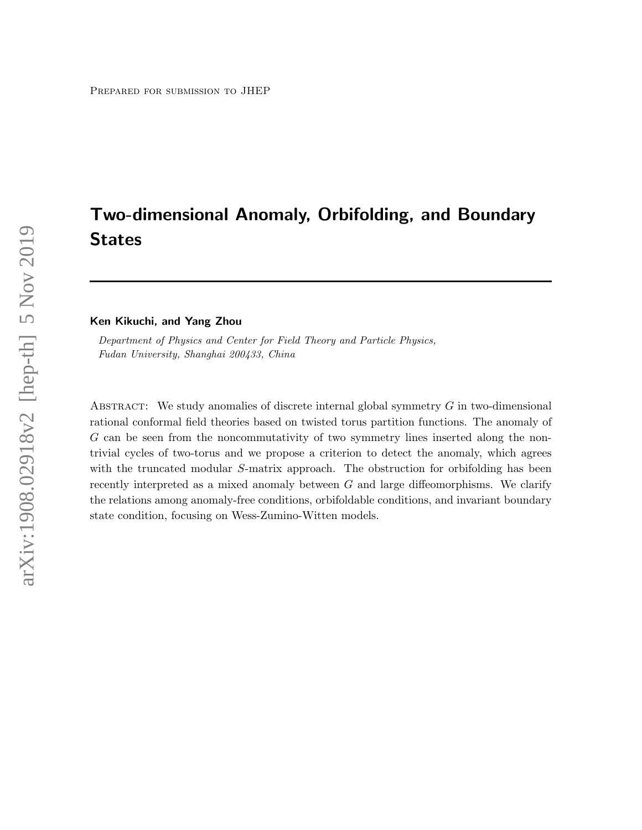# Two-dimensional Anomaly, Orbifolding, and Boundary States

Ken Kikuchi, and Yang Zhou

Department of Physics and Center for Field Theory and Particle Physics, Fudan University, Shanghai 200433, China

ABSTRACT: We study anomalies of discrete internal global symmetry  $G$  in two-dimensional rational conformal field theories based on twisted torus partition functions. The anomaly of G can be seen from the noncommutativity of two symmetry lines inserted along the nontrivial cycles of two-torus and we propose a criterion to detect the anomaly, which agrees with the truncated modular S-matrix approach. The obstruction for orbifolding has been recently interpreted as a mixed anomaly between  $G$  and large diffeomorphisms. We clarify the relations among anomaly-free conditions, orbifoldable conditions, and invariant boundary state condition, focusing on Wess-Zumino-Witten models.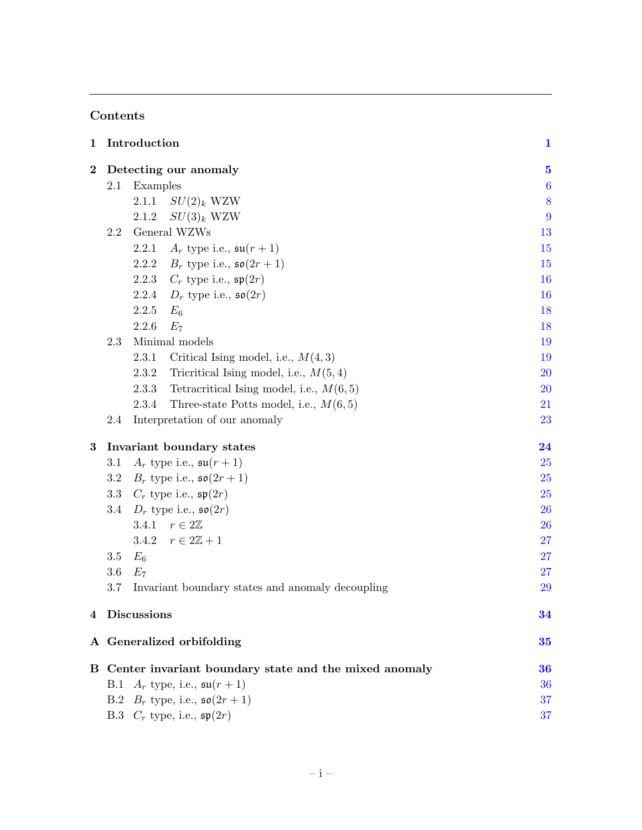# Contents

| 1        | Introduction                                            |                                                    |                  |  |  |
|----------|---------------------------------------------------------|----------------------------------------------------|------------------|--|--|
| $\bf{2}$ | Detecting our anomaly                                   |                                                    |                  |  |  |
|          | 2.1                                                     | Examples                                           | $\boldsymbol{6}$ |  |  |
|          |                                                         | $SU(2)_k$ WZW<br>2.1.1                             | 8                |  |  |
|          |                                                         | $SU(3)_k$ WZW<br>2.1.2                             | 9                |  |  |
|          | 2.2                                                     | General WZWs                                       | 13               |  |  |
|          |                                                         | $A_r$ type i.e., $\mathfrak{su}(r+1)$<br>2.2.1     | 15               |  |  |
|          |                                                         | $B_r$ type i.e., $\mathfrak{so}(2r+1)$<br>2.2.2    | 15               |  |  |
|          |                                                         | $C_r$ type i.e., $\mathfrak{sp}(2r)$<br>2.2.3      | <b>16</b>        |  |  |
|          |                                                         | $D_r$ type i.e., $\mathfrak{so}(2r)$<br>2.2.4      | 16               |  |  |
|          |                                                         | 2.2.5<br>$E_6$                                     | 18               |  |  |
|          |                                                         | 2.2.6<br>$E_7$                                     | 18               |  |  |
|          | 2.3                                                     | Minimal models                                     | 19               |  |  |
|          |                                                         | 2.3.1<br>Critical Ising model, i.e., $M(4,3)$      | 19               |  |  |
|          |                                                         | Tricritical Ising model, i.e., $M(5,4)$<br>2.3.2   | 20               |  |  |
|          |                                                         | Tetracritical Ising model, i.e., $M(6,5)$<br>2.3.3 | 20               |  |  |
|          |                                                         | 2.3.4<br>Three-state Potts model, i.e., $M(6,5)$   | 21               |  |  |
|          | 2.4                                                     | Interpretation of our anomaly                      |                  |  |  |
| 3        | Invariant boundary states                               |                                                    |                  |  |  |
|          | 3.1                                                     | $A_r$ type i.e., $\mathfrak{su}(r+1)$              | 25               |  |  |
|          | 3.2                                                     | <b>25</b>                                          |                  |  |  |
|          | 3.3                                                     | $C_r$ type i.e., $\mathfrak{sp}(2r)$               | 25               |  |  |
|          | 3.4                                                     | $D_r$ type i.e., $\mathfrak{so}(2r)$               | 26               |  |  |
|          |                                                         | 3.4.1 $r \in 2\mathbb{Z}$                          | 26               |  |  |
|          |                                                         | $r \in 2\mathbb{Z}+1$<br>3.4.2                     | 27               |  |  |
|          | 3.5                                                     | $E_6$                                              | 27               |  |  |
|          | $3.6\,$                                                 | $E_7$                                              | 27               |  |  |
|          | 3.7                                                     | Invariant boundary states and anomaly decoupling   | 29               |  |  |
| 4        | <b>Discussions</b>                                      | 34                                                 |                  |  |  |
|          | A Generalized orbifolding                               |                                                    |                  |  |  |
|          | B Center invariant boundary state and the mixed anomaly |                                                    |                  |  |  |
|          | $A_r$ type, i.e., $\mathfrak{su}(r+1)$<br>B.1           |                                                    |                  |  |  |
|          | $B_r$ type, i.e., $\mathfrak{so}(2r+1)$<br>B.2          |                                                    |                  |  |  |
|          |                                                         | B.3 $C_r$ type, i.e., $\mathfrak{sp}(2r)$          | 37               |  |  |

and the control of the control of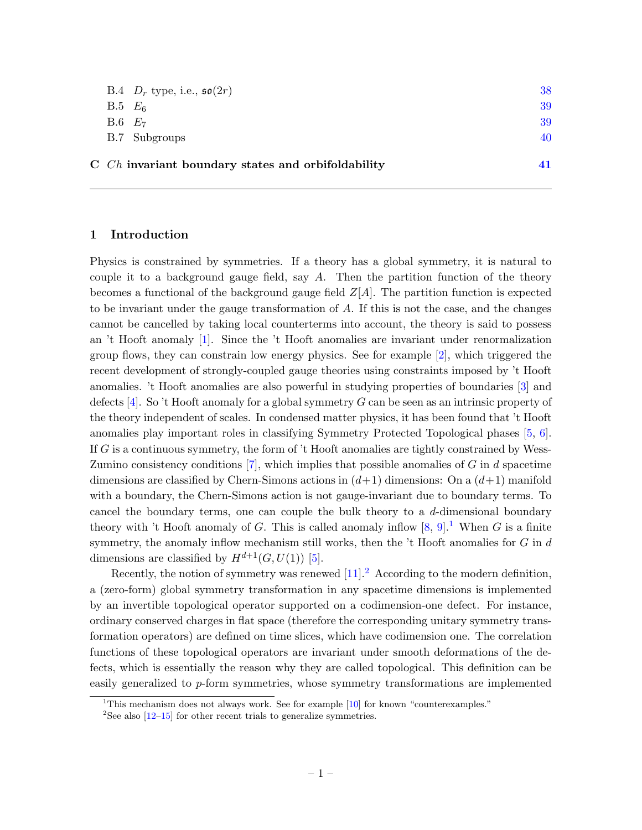| 40 |
|----|
| 39 |
| 39 |
| 38 |
|    |

### <span id="page-2-0"></span>1 Introduction

Physics is constrained by symmetries. If a theory has a global symmetry, it is natural to couple it to a background gauge field, say  $A$ . Then the partition function of the theory becomes a functional of the background gauge field  $Z[A]$ . The partition function is expected to be invariant under the gauge transformation of A. If this is not the case, and the changes cannot be cancelled by taking local counterterms into account, the theory is said to possess an 't Hooft anomaly [\[1\]](#page-42-1). Since the 't Hooft anomalies are invariant under renormalization group flows, they can constrain low energy physics. See for example [\[2\]](#page-42-2), which triggered the recent development of strongly-coupled gauge theories using constraints imposed by 't Hooft anomalies. 't Hooft anomalies are also powerful in studying properties of boundaries [\[3\]](#page-43-0) and defects  $[4]$ . So 't Hooft anomaly for a global symmetry G can be seen as an intrinsic property of the theory independent of scales. In condensed matter physics, it has been found that 't Hooft anomalies play important roles in classifying Symmetry Protected Topological phases [\[5,](#page-43-2) [6\]](#page-43-3). If  $G$  is a continuous symmetry, the form of  $\dot{\mathcal{L}}$  Hooft anomalies are tightly constrained by Wess-Zumino consistency conditions [\[7\]](#page-43-4), which implies that possible anomalies of  $G$  in  $d$  spacetime dimensions are classified by Chern-Simons actions in  $(d+1)$  dimensions: On a  $(d+1)$  manifold with a boundary, the Chern-Simons action is not gauge-invariant due to boundary terms. To cancel the boundary terms, one can couple the bulk theory to a d-dimensional boundary theory with 't Hooft anomaly of G. This is called anomaly inflow  $[8, 9]$  $[8, 9]$ .<sup>[1](#page-2-1)</sup> When G is a finite symmetry, the anomaly inflow mechanism still works, then the  $'t$  Hooft anomalies for  $G$  in  $d$ dimensions are classified by  $H^{d+1}(G, U(1))$  [\[5\]](#page-43-2).

Recently, the notion of symmetry was renewed  $[11]$ .<sup>[2](#page-2-2)</sup> According to the modern definition, a (zero-form) global symmetry transformation in any spacetime dimensions is implemented by an invertible topological operator supported on a codimension-one defect. For instance, ordinary conserved charges in flat space (therefore the corresponding unitary symmetry transformation operators) are defined on time slices, which have codimension one. The correlation functions of these topological operators are invariant under smooth deformations of the defects, which is essentially the reason why they are called topological. This definition can be easily generalized to p-form symmetries, whose symmetry transformations are implemented

<span id="page-2-1"></span><sup>&</sup>lt;sup>1</sup>This mechanism does not always work. See for example [\[10\]](#page-43-8) for known "counterexamples."

<span id="page-2-2"></span><sup>&</sup>lt;sup>2</sup>See also  $[12-15]$  $[12-15]$  for other recent trials to generalize symmetries.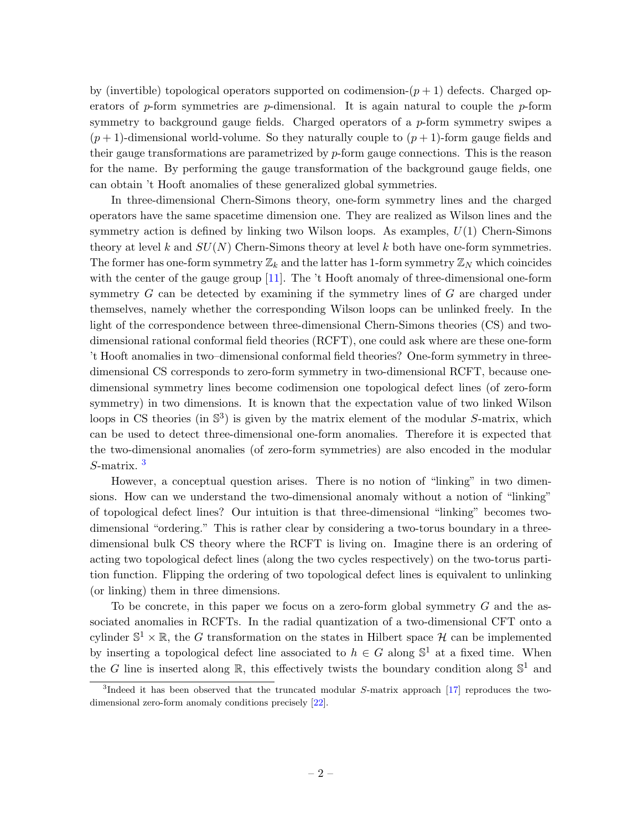by (invertible) topological operators supported on codimension- $(p+1)$  defects. Charged operators of p-form symmetries are p-dimensional. It is again natural to couple the p-form symmetry to background gauge fields. Charged operators of a p-form symmetry swipes a  $(p+1)$ -dimensional world-volume. So they naturally couple to  $(p+1)$ -form gauge fields and their gauge transformations are parametrized by p-form gauge connections. This is the reason for the name. By performing the gauge transformation of the background gauge fields, one can obtain 't Hooft anomalies of these generalized global symmetries.

In three-dimensional Chern-Simons theory, one-form symmetry lines and the charged operators have the same spacetime dimension one. They are realized as Wilson lines and the symmetry action is defined by linking two Wilson loops. As examples,  $U(1)$  Chern-Simons theory at level k and  $SU(N)$  Chern-Simons theory at level k both have one-form symmetries. The former has one-form symmetry  $\mathbb{Z}_k$  and the latter has 1-form symmetry  $\mathbb{Z}_N$  which coincides with the center of the gauge group [\[11\]](#page-43-7). The 't Hooft anomaly of three-dimensional one-form symmetry G can be detected by examining if the symmetry lines of G are charged under themselves, namely whether the corresponding Wilson loops can be unlinked freely. In the light of the correspondence between three-dimensional Chern-Simons theories (CS) and twodimensional rational conformal field theories (RCFT), one could ask where are these one-form 't Hooft anomalies in two–dimensional conformal field theories? One-form symmetry in threedimensional CS corresponds to zero-form symmetry in two-dimensional RCFT, because onedimensional symmetry lines become codimension one topological defect lines (of zero-form symmetry) in two dimensions. It is known that the expectation value of two linked Wilson loops in CS theories (in  $\mathbb{S}^3$ ) is given by the matrix element of the modular S-matrix, which can be used to detect three-dimensional one-form anomalies. Therefore it is expected that the two-dimensional anomalies (of zero-form symmetries) are also encoded in the modular S-matrix. [3](#page-3-0)

However, a conceptual question arises. There is no notion of "linking" in two dimensions. How can we understand the two-dimensional anomaly without a notion of "linking" of topological defect lines? Our intuition is that three-dimensional "linking" becomes twodimensional "ordering." This is rather clear by considering a two-torus boundary in a threedimensional bulk CS theory where the RCFT is living on. Imagine there is an ordering of acting two topological defect lines (along the two cycles respectively) on the two-torus partition function. Flipping the ordering of two topological defect lines is equivalent to unlinking (or linking) them in three dimensions.

To be concrete, in this paper we focus on a zero-form global symmetry  $G$  and the associated anomalies in RCFTs. In the radial quantization of a two-dimensional CFT onto a cylinder  $\mathbb{S}^1 \times \mathbb{R}$ , the G transformation on the states in Hilbert space H can be implemented by inserting a topological defect line associated to  $h \in G$  along  $\mathbb{S}^1$  at a fixed time. When the G line is inserted along  $\mathbb{R}$ , this effectively twists the boundary condition along  $\mathbb{S}^1$  and

<span id="page-3-0"></span><sup>&</sup>lt;sup>3</sup>Indeed it has been observed that the truncated modular S-matrix approach [\[17\]](#page-43-11) reproduces the twodimensional zero-form anomaly conditions precisely [\[22\]](#page-44-0).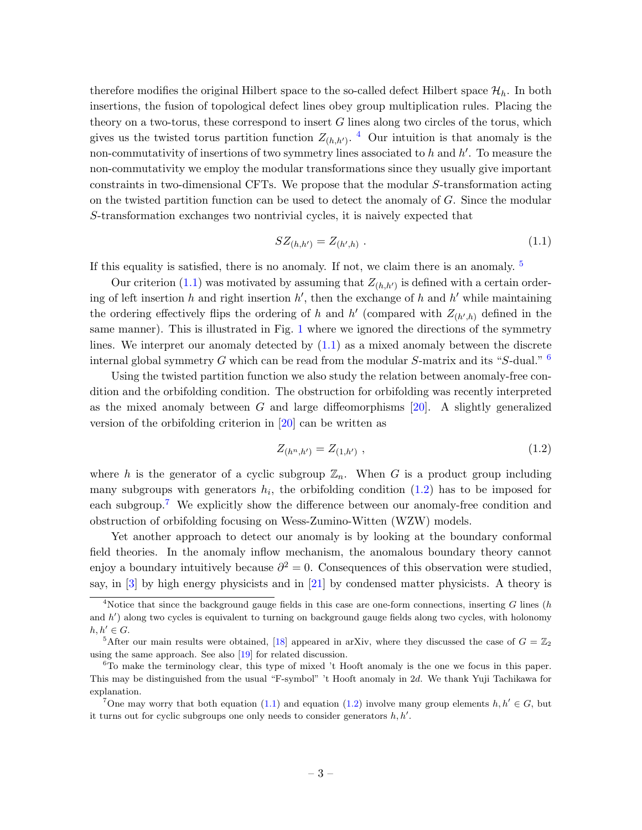therefore modifies the original Hilbert space to the so-called defect Hilbert space  $\mathcal{H}_h$ . In both insertions, the fusion of topological defect lines obey group multiplication rules. Placing the theory on a two-torus, these correspond to insert  $G$  lines along two circles of the torus, which gives us the twisted torus partition function  $Z_{(h,h')}$ . <sup>[4](#page-4-0)</sup> Our intuition is that anomaly is the non-commutativity of insertions of two symmetry lines associated to  $h$  and  $h'$ . To measure the non-commutativity we employ the modular transformations since they usually give important constraints in two-dimensional CFTs. We propose that the modular S-transformation acting on the twisted partition function can be used to detect the anomaly of  $G$ . Since the modular S-transformation exchanges two nontrivial cycles, it is naively expected that

<span id="page-4-2"></span>
$$
SZ_{(h,h')} = Z_{(h',h)} . \t\t(1.1)
$$

If this equality is satisfied, there is no anomaly. If not, we claim there is an anomaly. [5](#page-4-1)

Our criterion [\(1.1\)](#page-4-2) was motivated by assuming that  $Z_{(h,h')}$  is defined with a certain ordering of left insertion h and right insertion  $h'$ , then the exchange of h and h' while maintaining the ordering effectively flips the ordering of h and h' (compared with  $Z_{(h',h)}$  defined in the same manner). This is illustrated in Fig. [1](#page-5-0) where we ignored the directions of the symmetry lines. We interpret our anomaly detected by [\(1.1\)](#page-4-2) as a mixed anomaly between the discrete internal global symmetry G which can be read from the modular  $S$ -matrix and its "S-dual."  $6$ 

Using the twisted partition function we also study the relation between anomaly-free condition and the orbifolding condition. The obstruction for orbifolding was recently interpreted as the mixed anomaly between  $G$  and large diffeomorphisms [\[20\]](#page-44-1). A slightly generalized version of the orbifolding criterion in [\[20\]](#page-44-1) can be written as

<span id="page-4-4"></span>
$$
Z_{(h^n, h')} = Z_{(1, h')} \t\t(1.2)
$$

where h is the generator of a cyclic subgroup  $\mathbb{Z}_n$ . When G is a product group including many subgroups with generators  $h_i$ , the orbifolding condition  $(1.2)$  has to be imposed for each subgroup.[7](#page-4-5) We explicitly show the difference between our anomaly-free condition and obstruction of orbifolding focusing on Wess-Zumino-Witten (WZW) models.

Yet another approach to detect our anomaly is by looking at the boundary conformal field theories. In the anomaly inflow mechanism, the anomalous boundary theory cannot enjoy a boundary intuitively because  $\partial^2 = 0$ . Consequences of this observation were studied, say, in [\[3\]](#page-43-0) by high energy physicists and in [\[21\]](#page-44-2) by condensed matter physicists. A theory is

<span id="page-4-0"></span><sup>&</sup>lt;sup>4</sup>Notice that since the background gauge fields in this case are one-form connections, inserting  $G$  lines (h and h') along two cycles is equivalent to turning on background gauge fields along two cycles, with holonomy  $h, h' \in G$ .

<span id="page-4-1"></span><sup>&</sup>lt;sup>5</sup>After our main results were obtained, [\[18\]](#page-43-12) appeared in arXiv, where they discussed the case of  $G = \mathbb{Z}_2$ using the same approach. See also [\[19\]](#page-44-3) for related discussion.

<span id="page-4-3"></span> $6T_0$  make the terminology clear, this type of mixed 't Hooft anomaly is the one we focus in this paper. This may be distinguished from the usual "F-symbol" 't Hooft anomaly in 2d. We thank Yuji Tachikawa for explanation.

<span id="page-4-5"></span><sup>7</sup>One may worry that both equation [\(1.1\)](#page-4-2) and equation [\(1.2\)](#page-4-4) involve many group elements  $h, h' \in G$ , but it turns out for cyclic subgroups one only needs to consider generators  $h, h'$ .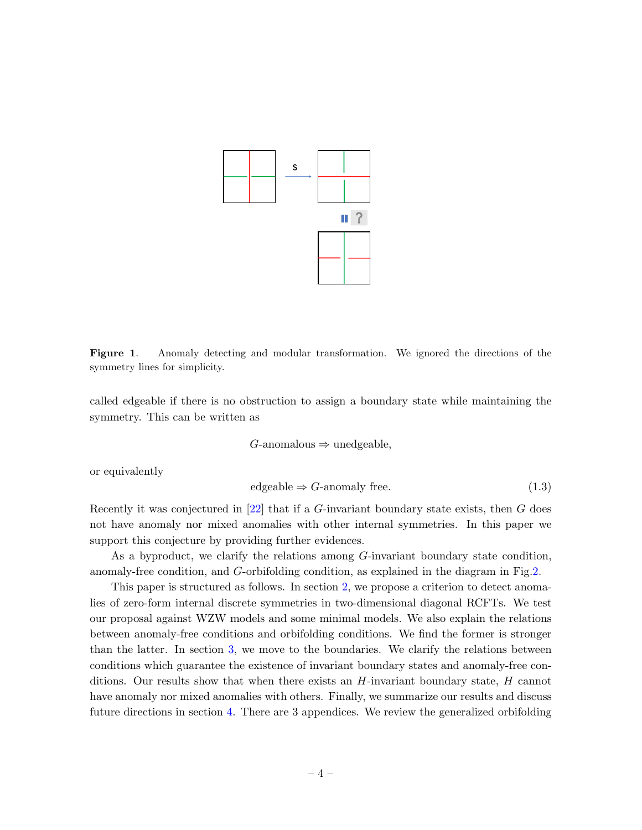

<span id="page-5-0"></span>Figure 1. Anomaly detecting and modular transformation. We ignored the directions of the symmetry lines for simplicity.

called edgeable if there is no obstruction to assign a boundary state while maintaining the symmetry. This can be written as

$$
G\text{-anomalous} \Rightarrow \text{unedgeable},
$$

or equivalently

<span id="page-5-1"></span>
$$
edgeable \Rightarrow G\text{-anomaly free.} \tag{1.3}
$$

Recently it was conjectured in [\[22\]](#page-44-0) that if a  $G$ -invariant boundary state exists, then  $G$  does not have anomaly nor mixed anomalies with other internal symmetries. In this paper we support this conjecture by providing further evidences.

As a byproduct, we clarify the relations among G-invariant boundary state condition, anomaly-free condition, and G-orbifolding condition, as explained in the diagram in Fig[.2.](#page-6-1)

This paper is structured as follows. In section [2,](#page-6-0) we propose a criterion to detect anomalies of zero-form internal discrete symmetries in two-dimensional diagonal RCFTs. We test our proposal against WZW models and some minimal models. We also explain the relations between anomaly-free conditions and orbifolding conditions. We find the former is stronger than the latter. In section [3,](#page-25-0) we move to the boundaries. We clarify the relations between conditions which guarantee the existence of invariant boundary states and anomaly-free conditions. Our results show that when there exists an  $H$ -invariant boundary state,  $H$  cannot have anomaly nor mixed anomalies with others. Finally, we summarize our results and discuss future directions in section [4.](#page-35-0) There are 3 appendices. We review the generalized orbifolding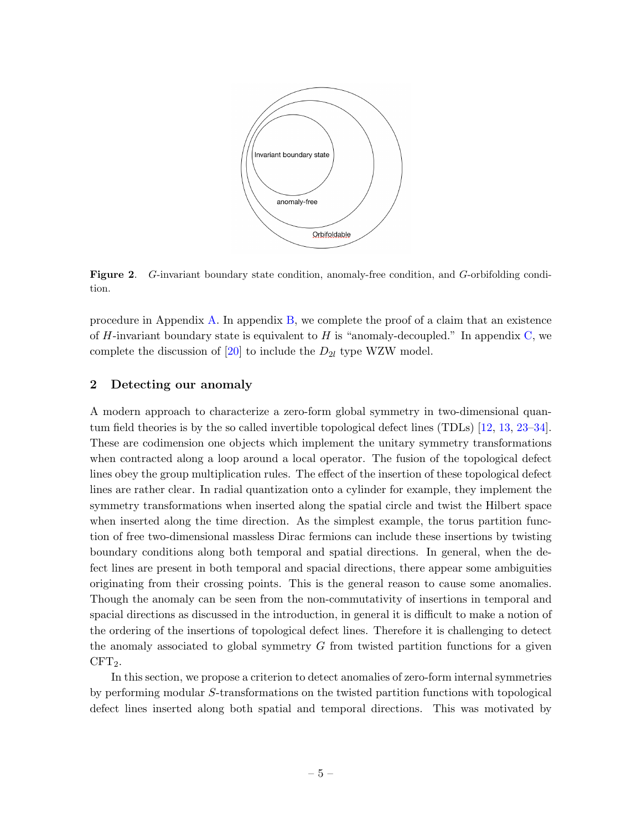

<span id="page-6-1"></span>Figure 2. G-invariant boundary state condition, anomaly-free condition, and G-orbifolding condition.

procedure in Appendix [A.](#page-36-0) In appendix [B,](#page-37-0) we complete the proof of a claim that an existence of H-invariant boundary state is equivalent to H is "anomaly-decoupled." In appendix [C,](#page-42-0) we complete the discussion of [\[20\]](#page-44-1) to include the  $D_{2l}$  type WZW model.

# <span id="page-6-0"></span>2 Detecting our anomaly

A modern approach to characterize a zero-form global symmetry in two-dimensional quantum field theories is by the so called invertible topological defect lines (TDLs) [\[12,](#page-43-9) [13,](#page-43-13) [23–](#page-44-4)[34\]](#page-44-5). These are codimension one objects which implement the unitary symmetry transformations when contracted along a loop around a local operator. The fusion of the topological defect lines obey the group multiplication rules. The effect of the insertion of these topological defect lines are rather clear. In radial quantization onto a cylinder for example, they implement the symmetry transformations when inserted along the spatial circle and twist the Hilbert space when inserted along the time direction. As the simplest example, the torus partition function of free two-dimensional massless Dirac fermions can include these insertions by twisting boundary conditions along both temporal and spatial directions. In general, when the defect lines are present in both temporal and spacial directions, there appear some ambiguities originating from their crossing points. This is the general reason to cause some anomalies. Though the anomaly can be seen from the non-commutativity of insertions in temporal and spacial directions as discussed in the introduction, in general it is difficult to make a notion of the ordering of the insertions of topological defect lines. Therefore it is challenging to detect the anomaly associated to global symmetry G from twisted partition functions for a given  $CFT<sub>2</sub>$ .

In this section, we propose a criterion to detect anomalies of zero-form internal symmetries by performing modular S-transformations on the twisted partition functions with topological defect lines inserted along both spatial and temporal directions. This was motivated by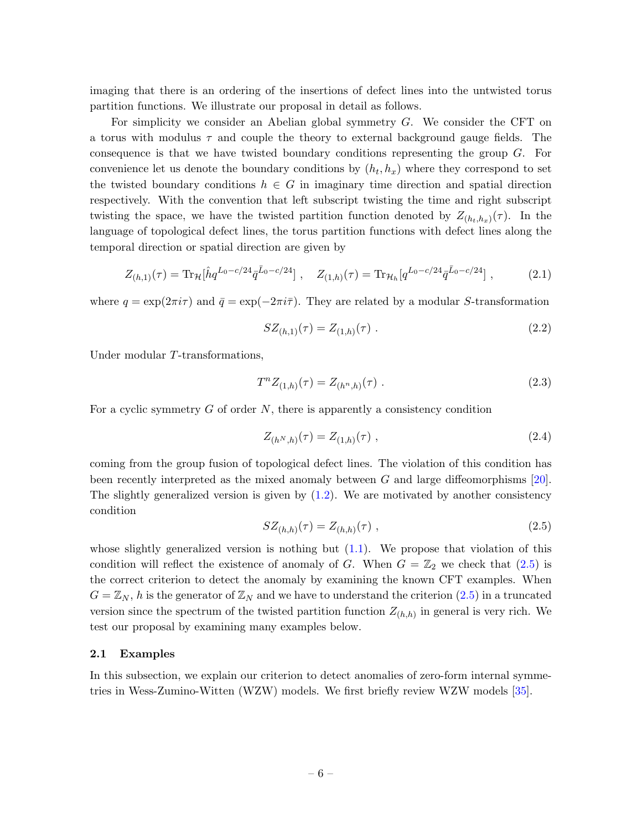imaging that there is an ordering of the insertions of defect lines into the untwisted torus partition functions. We illustrate our proposal in detail as follows.

For simplicity we consider an Abelian global symmetry G. We consider the CFT on a torus with modulus  $\tau$  and couple the theory to external background gauge fields. The consequence is that we have twisted boundary conditions representing the group G. For convenience let us denote the boundary conditions by  $(h_t, h_x)$  where they correspond to set the twisted boundary conditions  $h \in G$  in imaginary time direction and spatial direction respectively. With the convention that left subscript twisting the time and right subscript twisting the space, we have the twisted partition function denoted by  $Z_{(h_t,h_x)}(\tau)$ . In the language of topological defect lines, the torus partition functions with defect lines along the temporal direction or spatial direction are given by

<span id="page-7-2"></span>
$$
Z_{(h,1)}(\tau) = \text{Tr}_{\mathcal{H}}[\hat{h}q^{L_0 - c/24}\bar{q}^{\bar{L}_0 - c/24}], \quad Z_{(1,h)}(\tau) = \text{Tr}_{\mathcal{H}_h}[q^{L_0 - c/24}\bar{q}^{\bar{L}_0 - c/24}], \quad (2.1)
$$

where  $q = \exp(2\pi i \tau)$  and  $\bar{q} = \exp(-2\pi i \bar{\tau})$ . They are related by a modular S-transformation

$$
SZ_{(h,1)}(\tau) = Z_{(1,h)}(\tau) \tag{2.2}
$$

Under modular T-transformations,

$$
T^{n}Z_{(1,h)}(\tau) = Z_{(h^{n},h)}(\tau) . \qquad (2.3)
$$

For a cyclic symmetry  $G$  of order  $N$ , there is apparently a consistency condition

$$
Z_{(h^N,h)}(\tau) = Z_{(1,h)}(\tau) \tag{2.4}
$$

coming from the group fusion of topological defect lines. The violation of this condition has been recently interpreted as the mixed anomaly between G and large diffeomorphisms [\[20\]](#page-44-1). The slightly generalized version is given by [\(1.2\)](#page-4-4). We are motivated by another consistency condition

<span id="page-7-1"></span>
$$
SZ_{(h,h)}(\tau) = Z_{(h,h)}(\tau) \tag{2.5}
$$

whose slightly generalized version is nothing but  $(1.1)$ . We propose that violation of this condition will reflect the existence of anomaly of G. When  $G = \mathbb{Z}_2$  we check that  $(2.5)$  is the correct criterion to detect the anomaly by examining the known CFT examples. When  $G = \mathbb{Z}_N$ , h is the generator of  $\mathbb{Z}_N$  and we have to understand the criterion [\(2.5\)](#page-7-1) in a truncated version since the spectrum of the twisted partition function  $Z_{(h,h)}$  in general is very rich. We test our proposal by examining many examples below.

### <span id="page-7-0"></span>2.1 Examples

In this subsection, we explain our criterion to detect anomalies of zero-form internal symmetries in Wess-Zumino-Witten (WZW) models. We first briefly review WZW models [\[35\]](#page-44-6).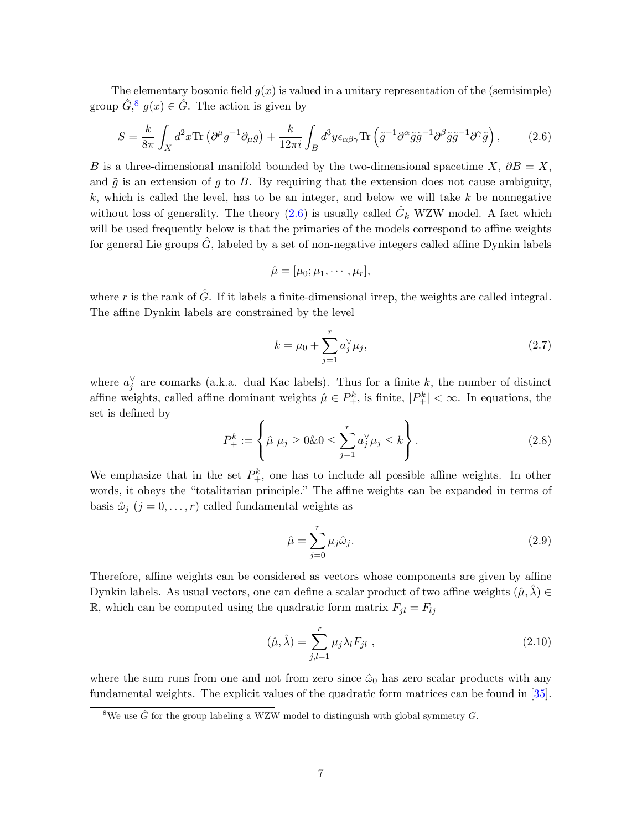The elementary bosonic field  $g(x)$  is valued in a unitary representation of the (semisimple) group  $\hat{G}$ <sup>[8](#page-8-0)</sup>,  $g(x) \in \hat{G}$ . The action is given by

<span id="page-8-1"></span>
$$
S = \frac{k}{8\pi} \int_X d^2 x \text{Tr} \left( \partial^\mu g^{-1} \partial_\mu g \right) + \frac{k}{12\pi i} \int_B d^3 y \epsilon_{\alpha\beta\gamma} \text{Tr} \left( \tilde{g}^{-1} \partial^\alpha \tilde{g} \tilde{g}^{-1} \partial^\beta \tilde{g} \tilde{g}^{-1} \partial^\gamma \tilde{g} \right), \tag{2.6}
$$

B is a three-dimensional manifold bounded by the two-dimensional spacetime X,  $\partial B = X$ , and  $\tilde{q}$  is an extension of q to B. By requiring that the extension does not cause ambiguity,  $k$ , which is called the level, has to be an integer, and below we will take  $k$  be nonnegative without loss of generality. The theory  $(2.6)$  is usually called  $\hat{G}_k$  WZW model. A fact which will be used frequently below is that the primaries of the models correspond to affine weights for general Lie groups  $\hat{G}$ , labeled by a set of non-negative integers called affine Dynkin labels

$$
\hat{\mu} = [\mu_0; \mu_1, \cdots, \mu_r],
$$

where r is the rank of  $\hat{G}$ . If it labels a finite-dimensional irrep, the weights are called integral. The affine Dynkin labels are constrained by the level

$$
k = \mu_0 + \sum_{j=1}^{r} a_j^{\vee} \mu_j,
$$
\n(2.7)

where  $a_j^{\vee}$  are comarks (a.k.a. dual Kac labels). Thus for a finite k, the number of distinct affine weights, called affine dominant weights  $\hat{\mu} \in P_+^k$ , is finite,  $|P_+^k| < \infty$ . In equations, the set is defined by

$$
P_{+}^{k} := \left\{ \hat{\mu} \Big| \mu_{j} \ge 0 \& 0 \le \sum_{j=1}^{r} a_{j}^{\vee} \mu_{j} \le k \right\}.
$$
 (2.8)

We emphasize that in the set  $P_{+}^{k}$ , one has to include all possible affine weights. In other words, it obeys the "totalitarian principle." The affine weights can be expanded in terms of basis  $\hat{\omega}_j$   $(j = 0, \ldots, r)$  called fundamental weights as

$$
\hat{\mu} = \sum_{j=0}^{r} \mu_j \hat{\omega}_j.
$$
\n(2.9)

Therefore, affine weights can be considered as vectors whose components are given by affine Dynkin labels. As usual vectors, one can define a scalar product of two affine weights  $(\hat{\mu}, \lambda) \in$ R, which can be computed using the quadratic form matrix  $F_{jl} = F_{lj}$ 

$$
(\hat{\mu}, \hat{\lambda}) = \sum_{j,l=1}^{r} \mu_j \lambda_l F_{jl} \tag{2.10}
$$

where the sum runs from one and not from zero since  $\hat{\omega}_0$  has zero scalar products with any fundamental weights. The explicit values of the quadratic form matrices can be found in [\[35\]](#page-44-6).

<span id="page-8-0"></span><sup>&</sup>lt;sup>8</sup>We use  $\hat{G}$  for the group labeling a WZW model to distinguish with global symmetry G.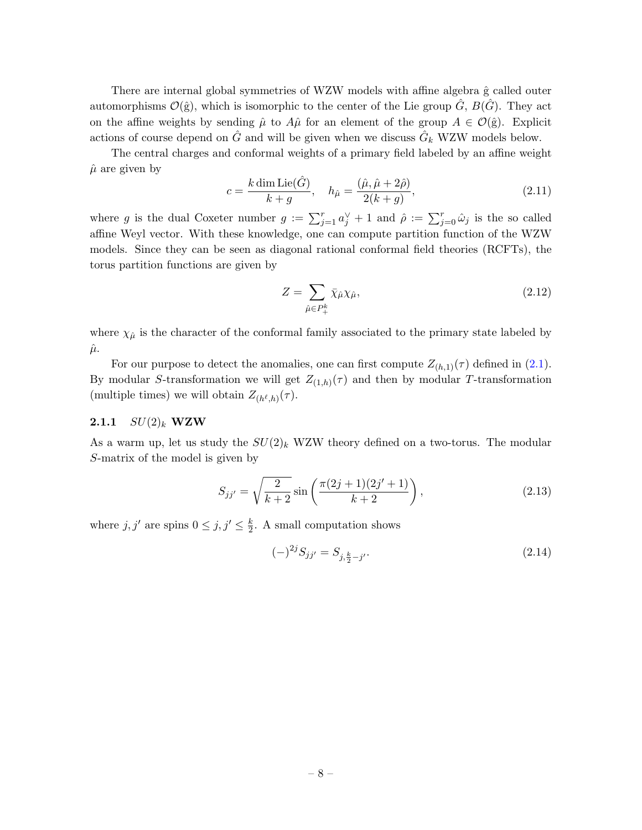There are internal global symmetries of WZW models with affine algebra  $\hat{g}$  called outer automorphisms  $\mathcal{O}(\hat{g})$ , which is isomorphic to the center of the Lie group  $\hat{G}$ ,  $B(\hat{G})$ . They act on the affine weights by sending  $\hat{\mu}$  to  $A\hat{\mu}$  for an element of the group  $A \in \mathcal{O}(\hat{g})$ . Explicit actions of course depend on  $\hat{G}$  and will be given when we discuss  $\hat{G}_k$  WZW models below.

The central charges and conformal weights of a primary field labeled by an affine weight  $\hat{\mu}$  are given by

$$
c = \frac{k \dim \text{Lie}(\hat{G})}{k+g}, \quad h_{\hat{\mu}} = \frac{(\hat{\mu}, \hat{\mu} + 2\hat{\rho})}{2(k+g)},
$$
\n(2.11)

where g is the dual Coxeter number  $g := \sum_{j=1}^r a_j^{\vee} + 1$  and  $\hat{\rho} := \sum_{j=0}^r \hat{\omega}_j$  is the so called affine Weyl vector. With these knowledge, one can compute partition function of the WZW models. Since they can be seen as diagonal rational conformal field theories (RCFTs), the torus partition functions are given by

$$
Z = \sum_{\hat{\mu} \in P_{+}^{k}} \bar{\chi}_{\hat{\mu}} \chi_{\hat{\mu}},\tag{2.12}
$$

where  $\chi_{\hat{\mu}}$  is the character of the conformal family associated to the primary state labeled by  $\hat{\mu}$ .

For our purpose to detect the anomalies, one can first compute  $Z_{(h,1)}(\tau)$  defined in [\(2.1\)](#page-7-2). By modular S-transformation we will get  $Z_{(1,h)}(\tau)$  and then by modular T-transformation (multiple times) we will obtain  $Z_{(h^{\ell},h)}(\tau)$ .

# <span id="page-9-0"></span>**2.1.1**  $SU(2)_k$  **WZW**

As a warm up, let us study the  $SU(2)_k$  WZW theory defined on a two-torus. The modular S-matrix of the model is given by

$$
S_{jj'} = \sqrt{\frac{2}{k+2}} \sin\left(\frac{\pi(2j+1)(2j'+1)}{k+2}\right),\tag{2.13}
$$

where  $j, j'$  are spins  $0 \leq j, j' \leq \frac{k}{2}$  $\frac{k}{2}$ . A small computation shows

<span id="page-9-1"></span>
$$
(-)^{2j} S_{jj'} = S_{j, \frac{k}{2} - j'}.\tag{2.14}
$$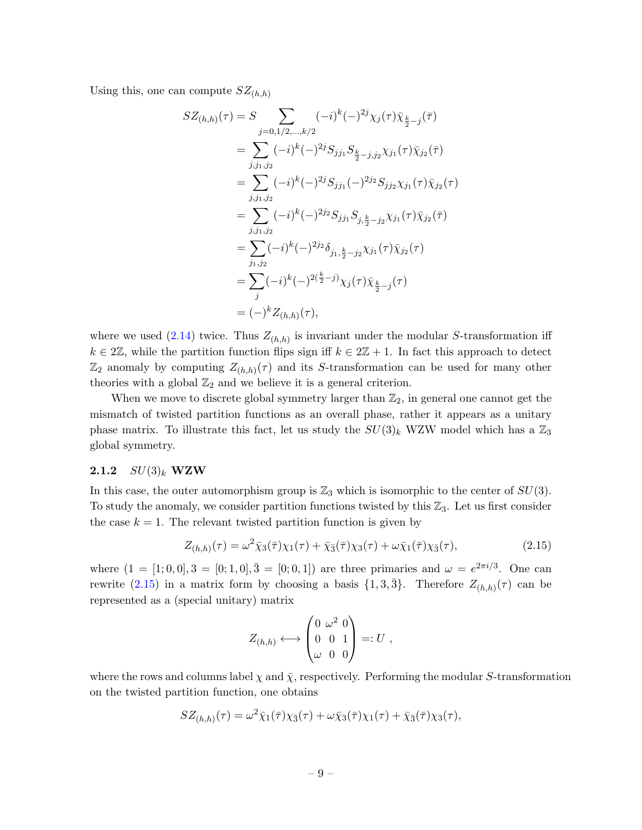Using this, one can compute  $SZ_{(h,h)}$ 

$$
SZ_{(h,h)}(\tau) = S \sum_{j=0,1/2,\ldots,k/2} (-i)^k (-)^{2j} \chi_j(\tau) \bar{\chi}_{\frac{k}{2}-j}(\bar{\tau})
$$
  
\n
$$
= \sum_{j,j_1,j_2} (-i)^k (-)^{2j} S_{jj_1} S_{\frac{k}{2}-j,j_2} \chi_{j_1}(\tau) \bar{\chi}_{j_2}(\bar{\tau})
$$
  
\n
$$
= \sum_{j,j_1,j_2} (-i)^k (-)^{2j} S_{jj_1}(-)^{2j_2} S_{jj_2} \chi_{j_1}(\tau) \bar{\chi}_{j_2}(\tau)
$$
  
\n
$$
= \sum_{j,j_1,j_2} (-i)^k (-)^{2j_2} S_{jj_1} S_{j,\frac{k}{2}-j_2} \chi_{j_1}(\tau) \bar{\chi}_{j_2}(\bar{\tau})
$$
  
\n
$$
= \sum_{j_1,j_2} (-i)^k (-)^{2j_2} \delta_{j_1,\frac{k}{2}-j_2} \chi_{j_1}(\tau) \bar{\chi}_{j_2}(\tau)
$$
  
\n
$$
= \sum_j (-i)^k (-)^{2(\frac{k}{2}-j)} \chi_j(\tau) \bar{\chi}_{\frac{k}{2}-j}(\tau)
$$
  
\n
$$
= (-)^k Z_{(h,h)}(\tau),
$$

where we used  $(2.14)$  twice. Thus  $Z_{(h,h)}$  is invariant under the modular S-transformation iff  $k \in 2\mathbb{Z}$ , while the partition function flips sign iff  $k \in 2\mathbb{Z} + 1$ . In fact this approach to detect  $\mathbb{Z}_2$  anomaly by computing  $Z_{(h,h)}(\tau)$  and its S-transformation can be used for many other theories with a global  $\mathbb{Z}_2$  and we believe it is a general criterion.

When we move to discrete global symmetry larger than  $\mathbb{Z}_2$ , in general one cannot get the mismatch of twisted partition functions as an overall phase, rather it appears as a unitary phase matrix. To illustrate this fact, let us study the  $SU(3)_k$  WZW model which has a  $\mathbb{Z}_3$ global symmetry.

### <span id="page-10-0"></span>**2.1.2**  $SU(3)_k$  **WZW**

In this case, the outer automorphism group is  $\mathbb{Z}_3$  which is isomorphic to the center of  $SU(3)$ . To study the anomaly, we consider partition functions twisted by this  $\mathbb{Z}_3$ . Let us first consider the case  $k = 1$ . The relevant twisted partition function is given by

<span id="page-10-1"></span>
$$
Z_{(h,h)}(\tau) = \omega^2 \bar{\chi}_3(\bar{\tau}) \chi_1(\tau) + \bar{\chi}_3(\bar{\tau}) \chi_3(\tau) + \omega \bar{\chi}_1(\bar{\tau}) \chi_3(\tau), \tag{2.15}
$$

where  $(1 = [1; 0, 0], 3 = [0; 1, 0], \overline{3} = [0; 0, 1]$  are three primaries and  $\omega = e^{2\pi i/3}$ . One can rewrite [\(2.15\)](#page-10-1) in a matrix form by choosing a basis  $\{1,3,\overline{3}\}$ . Therefore  $Z_{(h,h)}(\tau)$  can be represented as a (special unitary) matrix

$$
Z_{(h,h)} \longleftrightarrow \begin{pmatrix} 0 & \omega^2 & 0 \\ 0 & 0 & 1 \\ \omega & 0 & 0 \end{pmatrix} =: U ,
$$

where the rows and columns label  $\chi$  and  $\bar{\chi}$ , respectively. Performing the modular S-transformation on the twisted partition function, one obtains

$$
SZ_{(h,h)}(\tau) = \omega^2 \bar{\chi}_1(\bar{\tau}) \chi_{\bar{3}}(\tau) + \omega \bar{\chi}_3(\bar{\tau}) \chi_1(\tau) + \bar{\chi}_{\bar{3}}(\bar{\tau}) \chi_3(\tau),
$$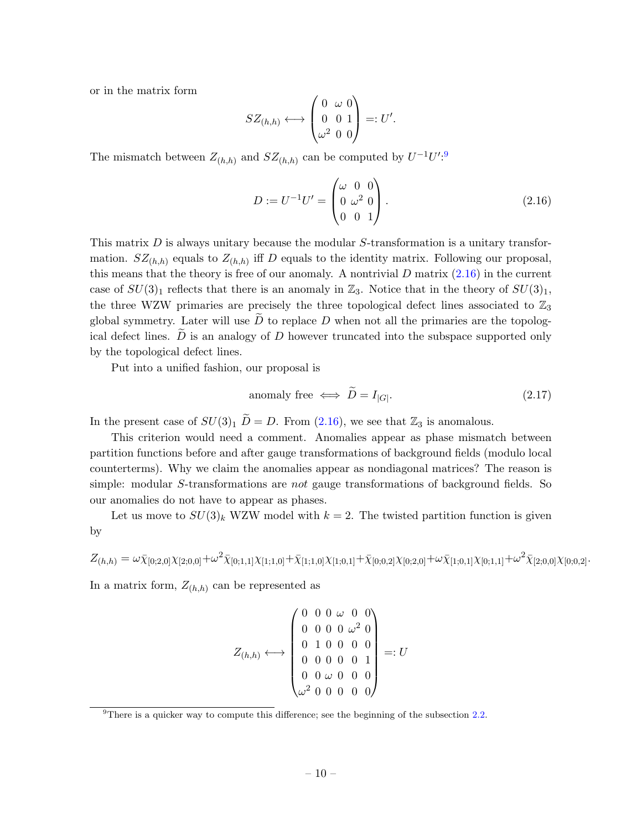or in the matrix form

$$
SZ_{(h,h)} \longleftrightarrow \begin{pmatrix} 0 & \omega & 0 \\ 0 & 0 & 1 \\ \omega^2 & 0 & 0 \end{pmatrix} =: U'.
$$

The mismatch between  $Z_{(h,h)}$  and  $SZ_{(h,h)}$  can be computed by  $U^{-1}U'^{.9}$  $U^{-1}U'^{.9}$  $U^{-1}U'^{.9}$ 

<span id="page-11-1"></span>
$$
D := U^{-1}U' = \begin{pmatrix} \omega & 0 & 0 \\ 0 & \omega^2 & 0 \\ 0 & 0 & 1 \end{pmatrix}.
$$
 (2.16)

This matrix  $D$  is always unitary because the modular  $S$ -transformation is a unitary transformation.  $SZ_{(h,h)}$  equals to  $Z_{(h,h)}$  iff D equals to the identity matrix. Following our proposal, this means that the theory is free of our anomaly. A nontrivial  $D$  matrix  $(2.16)$  in the current case of  $SU(3)_1$  reflects that there is an anomaly in  $\mathbb{Z}_3$ . Notice that in the theory of  $SU(3)_1$ , the three WZW primaries are precisely the three topological defect lines associated to  $\mathbb{Z}_3$ global symmetry. Later will use  $\overline{D}$  to replace  $D$  when not all the primaries are the topological defect lines.  $\tilde{D}$  is an analogy of D however truncated into the subspace supported only by the topological defect lines.

Put into a unified fashion, our proposal is

<span id="page-11-2"></span>anomaly free 
$$
\iff \widetilde{D} = I_{|G|}
$$
. (2.17)

In the present case of  $SU(3)_1 \tilde{D} = D$ . From [\(2.16\)](#page-11-1), we see that  $\mathbb{Z}_3$  is anomalous.

This criterion would need a comment. Anomalies appear as phase mismatch between partition functions before and after gauge transformations of background fields (modulo local counterterms). Why we claim the anomalies appear as nondiagonal matrices? The reason is simple: modular S-transformations are *not* gauge transformations of background fields. So our anomalies do not have to appear as phases.

Let us move to  $SU(3)_k$  WZW model with  $k = 2$ . The twisted partition function is given by

 $Z_{(h,h)} = \omega \bar{\chi}_{[0;2,0]}\chi_{[2;0,0]} + \omega^2 \bar{\chi}_{[0;1,1]}\chi_{[1;1,0]} + \bar{\chi}_{[1;1,0]}\chi_{[1;0,1]} + \bar{\chi}_{[0;0,2]}\chi_{[0;2,0]} + \omega \bar{\chi}_{[1;0,1]}\chi_{[0;1,1]} + \omega^2 \bar{\chi}_{[2;0,0]}\chi_{[0;0,2]}.$ 

In a matrix form,  $Z_{(h,h)}$  can be represented as

$$
Z_{(h,h)} \longleftrightarrow \begin{pmatrix} 0 & 0 & 0 & \omega & 0 & 0 \\ 0 & 0 & 0 & 0 & \omega^2 & 0 \\ 0 & 1 & 0 & 0 & 0 & 0 \\ 0 & 0 & 0 & 0 & 0 & 1 \\ 0 & 0 & \omega & 0 & 0 & 0 \\ \omega^2 & 0 & 0 & 0 & 0 & 0 \end{pmatrix} =: U
$$

<span id="page-11-0"></span> $9$ There is a quicker way to compute this difference; see the beginning of the subsection [2.2.](#page-14-0)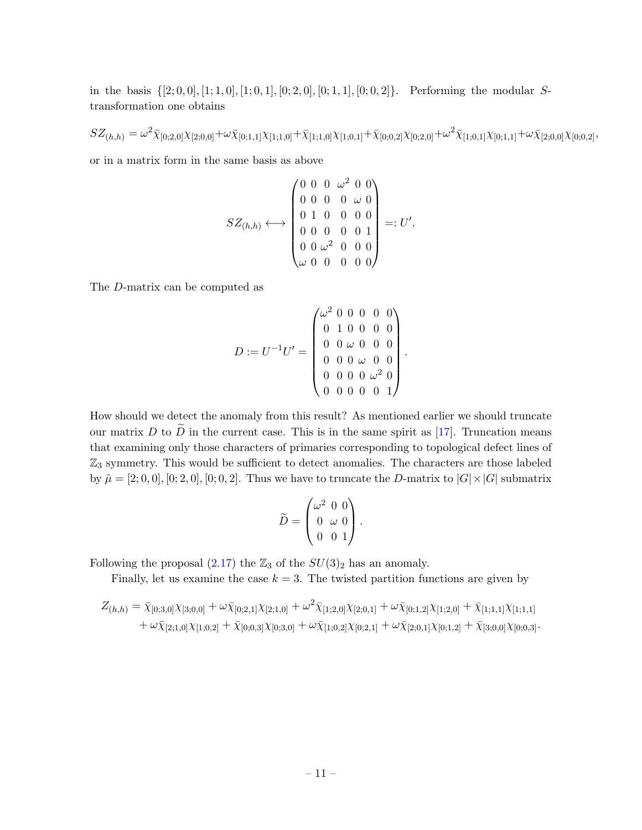in the basis  $\{[2; 0, 0], [1; 1, 0], [1; 0, 1], [0; 2, 0], [0; 1, 1], [0; 0, 2]\}.$  Performing the modular Stransformation one obtains

 $SZ_{(h,h)}=\omega^2\bar{\chi}_{[0;2,0]}\chi_{[2;0,0]}+\omega\bar{\chi}_{[0;1,1]}\chi_{[1;1,0]}+\bar{\chi}_{[1;1,0]}\chi_{[1;0,1]}+\bar{\chi}_{[0;0,2]}\chi_{[0;2,0]}+\omega^2\bar{\chi}_{[1;0,1]}\chi_{[0;1,1]}+\omega\bar{\chi}_{[2;0,0]}\chi_{[0;0,2]},$ 

or in a matrix form in the same basis as above

$$
SZ_{(h,h)} \longleftrightarrow \begin{pmatrix} 0 & 0 & 0 & \omega^2 & 0 & 0 \\ 0 & 0 & 0 & 0 & \omega & 0 \\ 0 & 1 & 0 & 0 & 0 & 0 \\ 0 & 0 & 0 & 0 & 0 & 1 \\ 0 & 0 & \omega^2 & 0 & 0 & 0 \\ \omega & 0 & 0 & 0 & 0 & 0 \end{pmatrix} =: U'.
$$

The D-matrix can be computed as

$$
D := U^{-1}U' = \begin{pmatrix} \omega^2 & 0 & 0 & 0 & 0 & 0 \\ 0 & 1 & 0 & 0 & 0 & 0 \\ 0 & 0 & \omega & 0 & 0 & 0 \\ 0 & 0 & \omega & 0 & 0 & 0 \\ 0 & 0 & 0 & \omega^2 & 0 \\ 0 & 0 & 0 & 0 & 0 & 1 \end{pmatrix}.
$$

How should we detect the anomaly from this result? As mentioned earlier we should truncate our matrix D to  $\tilde{D}$  in the current case. This is in the same spirit as [\[17\]](#page-43-11). Truncation means that examining only those characters of primaries corresponding to topological defect lines of  $\mathbb{Z}_3$  symmetry. This would be sufficient to detect anomalies. The characters are those labeled by  $\hat{\mu} = [2; 0, 0], [0; 2, 0], [0; 0, 2]$ . Thus we have to truncate the D-matrix to  $|G| \times |G|$  submatrix

$$
\widetilde{D} = \begin{pmatrix} \omega^2 & 0 & 0 \\ 0 & \omega & 0 \\ 0 & 0 & 1 \end{pmatrix}.
$$

Following the proposal  $(2.17)$  the  $\mathbb{Z}_3$  of the  $SU(3)_2$  has an anomaly.

Finally, let us examine the case  $k = 3$ . The twisted partition functions are given by

$$
Z_{(h,h)} = \bar{\chi}_{[0;3,0]} \chi_{[3;0,0]} + \omega \bar{\chi}_{[0;2,1]} \chi_{[2;1,0]} + \omega^2 \bar{\chi}_{[1;2,0]} \chi_{[2;0,1]} + \omega \bar{\chi}_{[0;1,2]} \chi_{[1;2,0]} + \bar{\chi}_{[1;1,1]} \chi_{[1;1,1]} + \omega \bar{\chi}_{[2;1,0]} \chi_{[1;0,2]} + \bar{\chi}_{[0;0,3]} \chi_{[0;3,0]} + \omega \bar{\chi}_{[1;0,2]} \chi_{[0;2,1]} + \omega \bar{\chi}_{[2;0,1]} \chi_{[0;1,2]} + \bar{\chi}_{[3;0,0]} \chi_{[0;0,3]}.
$$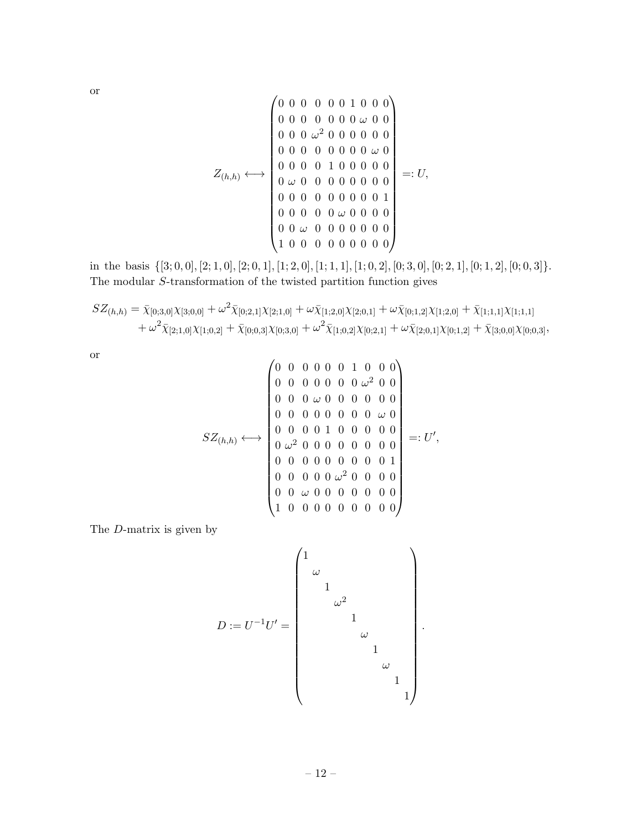or

$$
Z_{(h,h)} \longleftrightarrow \begin{pmatrix} 0 & 0 & 0 & 0 & 0 & 0 & 1 & 0 & 0 & 0 \\ 0 & 0 & 0 & 0 & 0 & 0 & \omega & 0 & 0 \\ 0 & 0 & 0 & \omega^2 & 0 & 0 & 0 & 0 & 0 \\ 0 & 0 & 0 & \omega^2 & 0 & 0 & 0 & 0 & 0 \\ 0 & 0 & 0 & 0 & 0 & 0 & 0 & \omega & 0 \\ 0 & \omega & 0 & 0 & 0 & 0 & 0 & 0 & 0 \\ 0 & 0 & 0 & 0 & 0 & 0 & 0 & 0 & 0 \\ 0 & 0 & 0 & 0 & 0 & 0 & 0 & 0 & 0 \\ 0 & 0 & \omega & 0 & 0 & 0 & 0 & 0 & 0 \\ 1 & 0 & 0 & 0 & 0 & 0 & 0 & 0 & 0 \end{pmatrix} =: U,
$$

in the basis  $\{[3; 0, 0], [2; 1, 0], [2; 0, 1], [1; 2, 0], [1; 1, 1], [1; 0, 2], [0; 3, 0], [0; 2, 1], [0; 1, 2], [0; 0, 3]\}.$ The modular S-transformation of the twisted partition function gives

$$
SZ_{(h,h)} = \bar{\chi}_{[0;3,0]} \chi_{[3;0,0]} + \omega^2 \bar{\chi}_{[0;2,1]} \chi_{[2;1,0]} + \omega \bar{\chi}_{[1;2,0]} \chi_{[2;0,1]} + \omega \bar{\chi}_{[0;1,2]} \chi_{[1;2,0]} + \bar{\chi}_{[1;1,1]} \chi_{[1;1,1]} + \omega^2 \bar{\chi}_{[2;1,0]} \chi_{[1;0,2]} + \bar{\chi}_{[0;0,3]} \chi_{[0;3,0]} + \omega^2 \bar{\chi}_{[1;0,2]} \chi_{[0;2,1]} + \omega \bar{\chi}_{[2;0,1]} \chi_{[0;1,2]} + \bar{\chi}_{[3;0,0]} \chi_{[0;0,3]},
$$

or

$$
SZ_{(h,h)} \longleftrightarrow \begin{pmatrix} 0 & 0 & 0 & 0 & 0 & 1 & 0 & 0 & 0 \\ 0 & 0 & 0 & 0 & 0 & 0 & \omega^2 & 0 & 0 \\ 0 & 0 & 0 & 0 & 0 & 0 & 0 & 0 & 0 \\ 0 & 0 & 0 & \omega & 0 & 0 & 0 & 0 & 0 \\ 0 & 0 & 0 & 0 & 0 & 0 & 0 & \omega & 0 \\ 0 & \omega^2 & 0 & 0 & 0 & 0 & 0 & 0 & 0 \\ 0 & 0 & 0 & 0 & 0 & 0 & 0 & 0 & 1 \\ 0 & 0 & 0 & 0 & 0 & \omega^2 & 0 & 0 & 0 & 0 \\ 0 & 0 & \omega & 0 & 0 & 0 & 0 & 0 & 0 & 0 \\ 1 & 0 & 0 & 0 & 0 & 0 & 0 & 0 & 0 & 0 \end{pmatrix} =: U',
$$

The D-matrix is given by

$$
D:=U^{-1}U'=\begin{pmatrix} 1&&&&&\\ &\omega&&&&&\\ &&1&&&&\\ &&&1&&&\\ &&&&\omega&&\\ &&&&&1&\\ &&&&&1&\\ &&&&&&1\\ &&&&&&1\\ &&&&&&&1\\ &&&&&&&1\\ &&&&&&&1\\ &&&&&&&1\\ &&&&&&&1\\ &&&&&&&1\\ &&&&&&&1\\ &&&&&&&1\\ &&&&&&&1\\ &&&&&&&1\\ &&&&&&&1\\ &&&&&&&1\\ &&&&&&&&1\\ &&&&&&&&1\\ &&&&&&&&1\\ &&&&&&&&1\\ \end{pmatrix}.
$$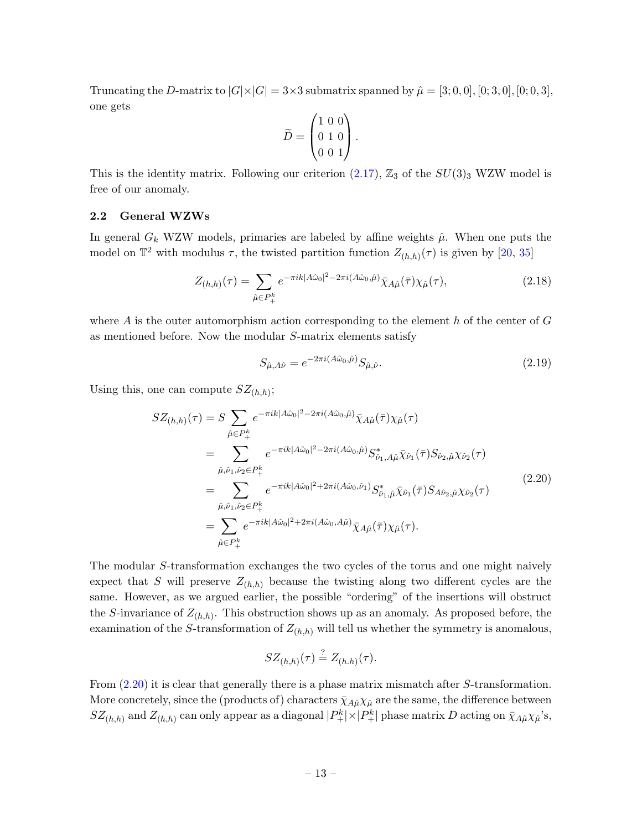Truncating the D-matrix to  $|G| \times |G| = 3 \times 3$  submatrix spanned by  $\hat{\mu} = [3, 0, 0], [0, 3, 0], [0, 0, 3],$ one gets

$$
\widetilde{D} = \begin{pmatrix} 1 & 0 & 0 \\ 0 & 1 & 0 \\ 0 & 0 & 1 \end{pmatrix}.
$$

This is the identity matrix. Following our criterion  $(2.17)$ ,  $\mathbb{Z}_3$  of the  $SU(3)_3$  WZW model is free of our anomaly.

### <span id="page-14-0"></span>2.2 General WZWs

In general  $G_k$  WZW models, primaries are labeled by affine weights  $\hat{\mu}$ . When one puts the model on  $\mathbb{T}^2$  with modulus  $\tau$ , the twisted partition function  $Z_{(h,h)}(\tau)$  is given by [\[20,](#page-44-1) [35\]](#page-44-6)

$$
Z_{(h,h)}(\tau) = \sum_{\hat{\mu} \in P_+^k} e^{-\pi i k |A\hat{\omega}_0|^2 - 2\pi i (A\hat{\omega}_0, \hat{\mu})} \bar{\chi}_{A\hat{\mu}}(\bar{\tau}) \chi_{\hat{\mu}}(\tau), \tag{2.18}
$$

where A is the outer automorphism action corresponding to the element h of the center of  $G$ as mentioned before. Now the modular S-matrix elements satisfy

$$
S_{\hat{\mu},A\hat{\nu}} = e^{-2\pi i (A\hat{\omega}_0,\hat{\mu})} S_{\hat{\mu},\hat{\nu}}.
$$
\n(2.19)

<span id="page-14-1"></span>Using this, one can compute  $SZ_{(h,h)}$ ;

$$
SZ_{(h,h)}(\tau) = S \sum_{\hat{\mu} \in P_+^k} e^{-\pi i k |A\hat{\omega}_0|^2 - 2\pi i (A\hat{\omega}_0, \hat{\mu})} \bar{\chi}_{A\hat{\mu}}(\bar{\tau}) \chi_{\hat{\mu}}(\tau)
$$
  
\n
$$
= \sum_{\hat{\mu}, \hat{\nu}_1, \hat{\nu}_2 \in P_+^k} e^{-\pi i k |A\hat{\omega}_0|^2 - 2\pi i (A\hat{\omega}_0, \hat{\mu})} S_{\hat{\nu}_1, A\hat{\mu}}^* \bar{\chi}_{\hat{\nu}_1}(\bar{\tau}) S_{\hat{\nu}_2, \hat{\mu}} \chi_{\hat{\nu}_2}(\tau)
$$
  
\n
$$
= \sum_{\hat{\mu}, \hat{\nu}_1, \hat{\nu}_2 \in P_+^k} e^{-\pi i k |A\hat{\omega}_0|^2 + 2\pi i (A\hat{\omega}_0, \hat{\nu}_1)} S_{\hat{\nu}_1, \hat{\mu}}^* \bar{\chi}_{\hat{\nu}_1}(\bar{\tau}) S_{A\hat{\nu}_2, \hat{\mu}} \chi_{\hat{\nu}_2}(\tau)
$$
  
\n
$$
= \sum_{\hat{\mu} \in P_+^k} e^{-\pi i k |A\hat{\omega}_0|^2 + 2\pi i (A\hat{\omega}_0, A\hat{\mu})} \bar{\chi}_{A\hat{\mu}}(\bar{\tau}) \chi_{\hat{\mu}}(\tau).
$$
  
\n(2.20)

The modular S-transformation exchanges the two cycles of the torus and one might naively expect that S will preserve  $Z_{(h,h)}$  because the twisting along two different cycles are the same. However, as we argued earlier, the possible "ordering" of the insertions will obstruct the S-invariance of  $Z_{(h,h)}$ . This obstruction shows up as an anomaly. As proposed before, the examination of the S-transformation of  $Z_{(h,h)}$  will tell us whether the symmetry is anomalous,

$$
SZ_{(h,h)}(\tau)\stackrel{?}{=}Z_{(h.h)}(\tau).
$$

From  $(2.20)$  it is clear that generally there is a phase matrix mismatch after S-transformation. More concretely, since the (products of) characters  $\bar{\chi}_{A\hat{\mu}}\chi_{\hat{\mu}}$  are the same, the difference between  $SZ_{(h,h)}$  and  $Z_{(h,h)}$  can only appear as a diagonal  $|P_+^k|\times|P_+^k|$  phase matrix D acting on  $\bar{\chi}_{A\hat{\mu}}\chi_{\hat{\mu}}$ 's,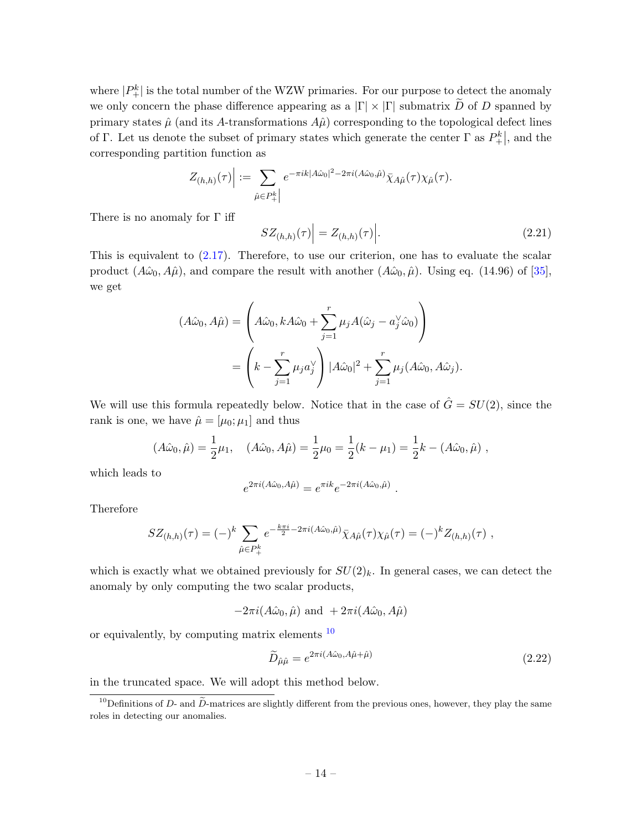where  $|P_{+}^{k}|$  is the total number of the WZW primaries. For our purpose to detect the anomaly we only concern the phase difference appearing as a  $|\Gamma| \times |\Gamma|$  submatrix  $\widetilde{D}$  of D spanned by primary states  $\hat{\mu}$  (and its A-transformations  $A\hat{\mu}$ ) corresponding to the topological defect lines of Γ. Let us denote the subset of primary states which generate the center Γ as  $P_{+}^{k}$ , and the corresponding partition function as

$$
Z_{(h,h)}(\tau)\Big| := \sum_{\hat{\mu}\in P_+^k\Big|} e^{-\pi i k |A\hat{\omega}_0|^2 - 2\pi i (A\hat{\omega}_0, \hat{\mu})} \bar{\chi}_{A\hat{\mu}}(\tau) \chi_{\hat{\mu}}(\tau).
$$

There is no anomaly for  $\Gamma$  iff

$$
SZ_{(h,h)}(\tau)\Big| = Z_{(h,h)}(\tau)\Big|.\tag{2.21}
$$

This is equivalent to  $(2.17)$ . Therefore, to use our criterion, one has to evaluate the scalar product  $(A\hat{\omega}_0, A\hat{\mu})$ , and compare the result with another  $(A\hat{\omega}_0, \hat{\mu})$ . Using eq. (14.96) of [\[35\]](#page-44-6), we get

$$
(A\hat{\omega}_0, A\hat{\mu}) = \left(A\hat{\omega}_0, kA\hat{\omega}_0 + \sum_{j=1}^r \mu_j A(\hat{\omega}_j - a_j^{\vee} \hat{\omega}_0)\right)
$$
  
= 
$$
\left(k - \sum_{j=1}^r \mu_j a_j^{\vee}\right) |A\hat{\omega}_0|^2 + \sum_{j=1}^r \mu_j (A\hat{\omega}_0, A\hat{\omega}_j).
$$

We will use this formula repeatedly below. Notice that in the case of  $\hat{G} = SU(2)$ , since the rank is one, we have  $\hat{\mu} = [\mu_0; \mu_1]$  and thus

$$
(A\hat{\omega}_0, \hat{\mu}) = \frac{1}{2}\mu_1, \quad (A\hat{\omega}_0, A\hat{\mu}) = \frac{1}{2}\mu_0 = \frac{1}{2}(k - \mu_1) = \frac{1}{2}k - (A\hat{\omega}_0, \hat{\mu}),
$$

which leads to

$$
e^{2\pi i(A\hat{\omega}_0, A\hat{\mu})} = e^{\pi i k} e^{-2\pi i(A\hat{\omega}_0, \hat{\mu})}
$$

Therefore

$$
SZ_{(h,h)}(\tau) = (-)^k \sum_{\hat{\mu} \in P_+^k} e^{-\frac{k\pi i}{2} - 2\pi i (A\hat{\omega}_0, \hat{\mu})} \bar{\chi}_{A\hat{\mu}}(\tau) \chi_{\hat{\mu}}(\tau) = (-)^k Z_{(h,h)}(\tau) ,
$$

which is exactly what we obtained previously for  $SU(2)_k$ . In general cases, we can detect the anomaly by only computing the two scalar products,

 $-2\pi i(A\hat{\omega}_0, \hat{\mu})$  and  $+2\pi i(A\hat{\omega}_0, A\hat{\mu})$ 

or equivalently, by computing matrix elements  $10$ 

$$
\widetilde{D}_{\hat{\mu}\hat{\mu}} = e^{2\pi i (A\hat{\omega}_0, A\hat{\mu} + \hat{\mu})} \tag{2.22}
$$

.

in the truncated space. We will adopt this method below.

<span id="page-15-0"></span><sup>&</sup>lt;sup>10</sup>Definitions of D- and  $\tilde{D}$ -matrices are slightly different from the previous ones, however, they play the same roles in detecting our anomalies.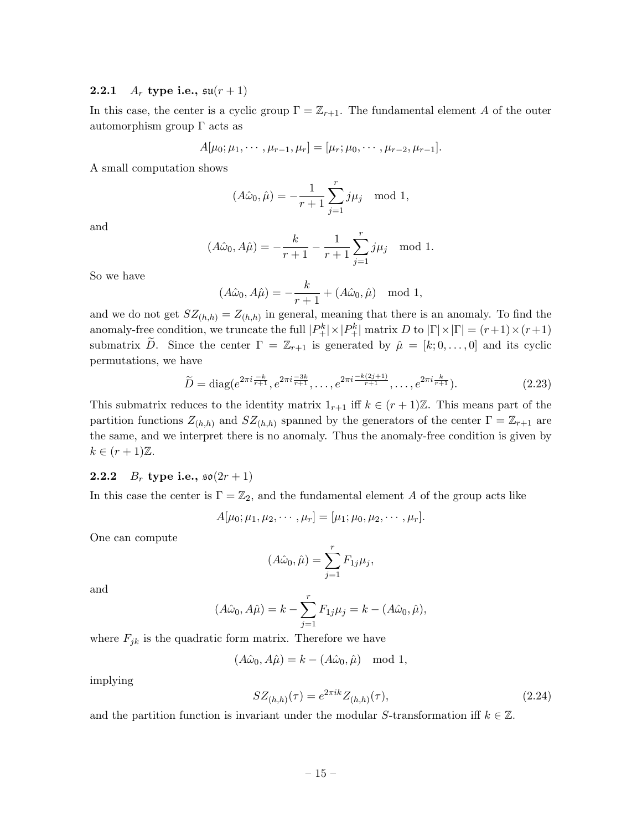### <span id="page-16-0"></span>**2.2.1**  $A_r$  type i.e.,  $\mathfrak{su}(r+1)$

In this case, the center is a cyclic group  $\Gamma = \mathbb{Z}_{r+1}$ . The fundamental element A of the outer automorphism group Γ acts as

$$
A[\mu_0; \mu_1, \cdots, \mu_{r-1}, \mu_r] = [\mu_r; \mu_0, \cdots, \mu_{r-2}, \mu_{r-1}].
$$

A small computation shows

$$
(A\hat{\omega}_0, \hat{\mu}) = -\frac{1}{r+1} \sum_{j=1}^r j\mu_j \mod 1,
$$

and

$$
(A\hat{\omega}_0, A\hat{\mu}) = -\frac{k}{r+1} - \frac{1}{r+1} \sum_{j=1}^r j\mu_j \mod 1.
$$

So we have

$$
(A\hat{\omega}_0, A\hat{\mu}) = -\frac{k}{r+1} + (A\hat{\omega}_0, \hat{\mu}) \mod 1,
$$

and we do not get  $SZ_{(h,h)} = Z_{(h,h)}$  in general, meaning that there is an anomaly. To find the anomaly-free condition, we truncate the full  $|P_+^k| \times |P_+^k|$  matrix D to  $|\Gamma| \times |\Gamma| = (r+1) \times (r+1)$ submatrix  $\tilde{D}$ . Since the center  $\Gamma = \mathbb{Z}_{r+1}$  is generated by  $\hat{\mu} = [k; 0, \ldots, 0]$  and its cyclic permutations, we have

$$
\widetilde{D} = \text{diag}(e^{2\pi i \frac{-k}{r+1}}, e^{2\pi i \frac{-3k}{r+1}}, \dots, e^{2\pi i \frac{-k(2j+1)}{r+1}}, \dots, e^{2\pi i \frac{k}{r+1}}). \tag{2.23}
$$

This submatrix reduces to the identity matrix  $1_{r+1}$  iff  $k \in (r+1)\mathbb{Z}$ . This means part of the partition functions  $Z_{(h,h)}$  and  $SZ_{(h,h)}$  spanned by the generators of the center  $\Gamma = \mathbb{Z}_{r+1}$  are the same, and we interpret there is no anomaly. Thus the anomaly-free condition is given by  $k \in (r+1)\mathbb{Z}.$ 

# <span id="page-16-1"></span>**2.2.2**  $B_r$  type i.e.,  $\mathfrak{so}(2r+1)$

In this case the center is  $\Gamma = \mathbb{Z}_2$ , and the fundamental element A of the group acts like

$$
A[\mu_0; \mu_1, \mu_2, \cdots, \mu_r] = [\mu_1; \mu_0, \mu_2, \cdots, \mu_r].
$$

One can compute

$$
(A\hat{\omega}_0, \hat{\mu}) = \sum_{j=1}^r F_{1j}\mu_j,
$$

and

$$
(A\hat{\omega}_0, A\hat{\mu}) = k - \sum_{j=1}^r F_{1j}\mu_j = k - (A\hat{\omega}_0, \hat{\mu}),
$$

where  $F_{jk}$  is the quadratic form matrix. Therefore we have

$$
(A\hat{\omega}_0, A\hat{\mu}) = k - (A\hat{\omega}_0, \hat{\mu}) \mod 1,
$$

implying

$$
SZ_{(h,h)}(\tau) = e^{2\pi ik} Z_{(h,h)}(\tau), \tag{2.24}
$$

and the partition function is invariant under the modular S-transformation iff  $k \in \mathbb{Z}$ .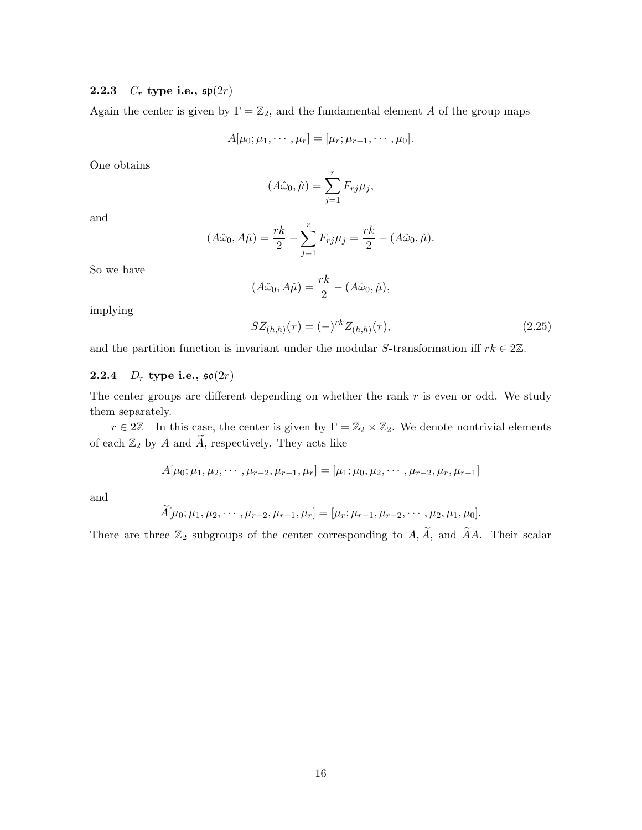### <span id="page-17-0"></span>**2.2.3**  $C_r$  type i.e.,  $\mathfrak{sp}(2r)$

Again the center is given by  $\Gamma = \mathbb{Z}_2$ , and the fundamental element A of the group maps

$$
A[\mu_0; \mu_1, \cdots, \mu_r] = [\mu_r; \mu_{r-1}, \cdots, \mu_0].
$$

One obtains

$$
(A\hat{\omega}_0, \hat{\mu}) = \sum_{j=1}^r F_{rj}\mu_j,
$$

and

$$
(A\hat{\omega}_0, A\hat{\mu}) = \frac{rk}{2} - \sum_{j=1}^r F_{rj}\mu_j = \frac{rk}{2} - (A\hat{\omega}_0, \hat{\mu}).
$$

So we have

$$
(A\hat{\omega}_0, A\hat{\mu}) = \frac{rk}{2} - (A\hat{\omega}_0, \hat{\mu}),
$$

implying

$$
SZ_{(h,h)}(\tau) = (-)^{rk} Z_{(h,h)}(\tau), \qquad (2.25)
$$

and the partition function is invariant under the modular S-transformation iff  $rk \in 2\mathbb{Z}$ .

# <span id="page-17-1"></span>**2.2.4**  $D_r$  type i.e.,  $\mathfrak{so}(2r)$

The center groups are different depending on whether the rank  $r$  is even or odd. We study them separately.

 $r \in 2\mathbb{Z}$  In this case, the center is given by  $\Gamma = \mathbb{Z}_2 \times \mathbb{Z}_2$ . We denote nontrivial elements of each  $\mathbb{Z}_2$  by A and  $\widetilde{A}$ , respectively. They acts like

$$
A[\mu_0; \mu_1, \mu_2, \cdots, \mu_{r-2}, \mu_{r-1}, \mu_r] = [\mu_1; \mu_0, \mu_2, \cdots, \mu_{r-2}, \mu_r, \mu_{r-1}]
$$

and

$$
\widetilde{A}[\mu_0; \mu_1, \mu_2, \cdots, \mu_{r-2}, \mu_{r-1}, \mu_r] = [\mu_r; \mu_{r-1}, \mu_{r-2}, \cdots, \mu_2, \mu_1, \mu_0].
$$

There are three  $\mathbb{Z}_2$  subgroups of the center corresponding to  $A, \widetilde{A}$ , and  $\widetilde{A}A$ . Their scalar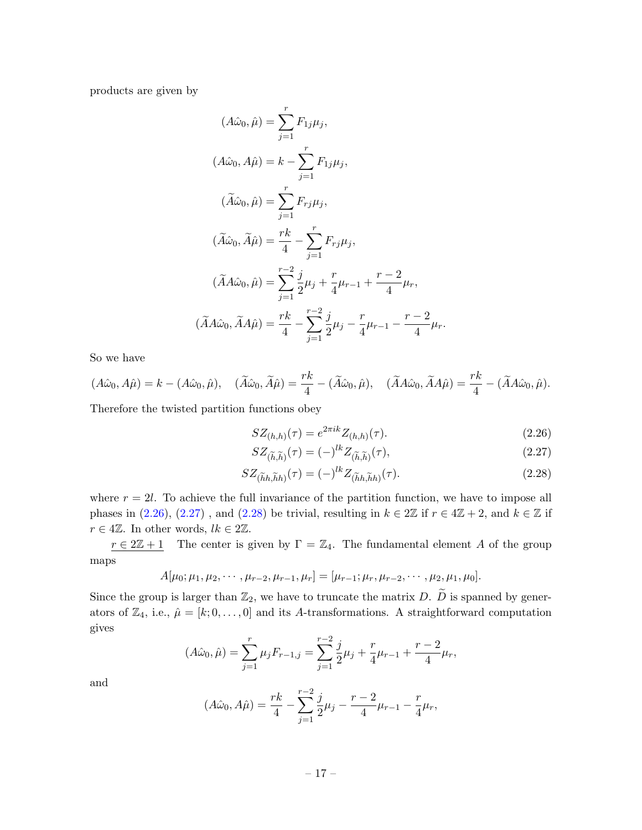products are given by

$$
(A\hat{\omega}_{0}, \hat{\mu}) = \sum_{j=1}^{r} F_{1j}\mu_{j},
$$
  
\n
$$
(A\hat{\omega}_{0}, A\hat{\mu}) = k - \sum_{j=1}^{r} F_{1j}\mu_{j},
$$
  
\n
$$
(\tilde{A}\hat{\omega}_{0}, \hat{\mu}) = \sum_{j=1}^{r} F_{rj}\mu_{j},
$$
  
\n
$$
(\tilde{A}\hat{\omega}_{0}, \tilde{A}\hat{\mu}) = \frac{rk}{4} - \sum_{j=1}^{r} F_{rj}\mu_{j},
$$
  
\n
$$
(\tilde{A}A\hat{\omega}_{0}, \hat{\mu}) = \sum_{j=1}^{r-2} \frac{j}{2}\mu_{j} + \frac{r}{4}\mu_{r-1} + \frac{r-2}{4}\mu_{r},
$$
  
\n
$$
(\tilde{A}A\hat{\omega}_{0}, \tilde{A}A\hat{\mu}) = \frac{rk}{4} - \sum_{j=1}^{r-2} \frac{j}{2}\mu_{j} - \frac{r}{4}\mu_{r-1} - \frac{r-2}{4}\mu_{r}.
$$

So we have

$$
(A\hat{\omega}_0, A\hat{\mu}) = k - (A\hat{\omega}_0, \hat{\mu}), \quad (\tilde{A}\hat{\omega}_0, \tilde{A}\hat{\mu}) = \frac{rk}{4} - (\tilde{A}\hat{\omega}_0, \hat{\mu}), \quad (\tilde{A}A\hat{\omega}_0, \tilde{A}A\hat{\mu}) = \frac{rk}{4} - (\tilde{A}A\hat{\omega}_0, \hat{\mu}).
$$

Therefore the twisted partition functions obey

<span id="page-18-0"></span>
$$
SZ_{(h,h)}(\tau) = e^{2\pi ik} Z_{(h,h)}(\tau). \tag{2.26}
$$

<span id="page-18-2"></span><span id="page-18-1"></span>
$$
SZ_{(\widetilde{h},\widetilde{h})}(\tau) = (-)^{lk} Z_{(\widetilde{h},\widetilde{h})}(\tau),\tag{2.27}
$$

$$
SZ_{(\widetilde{h}h,\widetilde{h}h)}(\tau) = (-)^{lk}Z_{(\widetilde{h}h,\widetilde{h}h)}(\tau). \tag{2.28}
$$

where  $r = 2l$ . To achieve the full invariance of the partition function, we have to impose all phases in [\(2.26\)](#page-18-0), [\(2.27\)](#page-18-1), and [\(2.28\)](#page-18-2) be trivial, resulting in  $k \in 2\mathbb{Z}$  if  $r \in 4\mathbb{Z} + 2$ , and  $k \in \mathbb{Z}$  if  $r \in 4\mathbb{Z}$ . In other words,  $lk \in 2\mathbb{Z}$ .

 $r \in 2\mathbb{Z}+1$  The center is given by  $\Gamma = \mathbb{Z}_4$ . The fundamental element A of the group maps

$$
A[\mu_0; \mu_1, \mu_2, \cdots, \mu_{r-2}, \mu_{r-1}, \mu_r] = [\mu_{r-1}; \mu_r, \mu_{r-2}, \cdots, \mu_2, \mu_1, \mu_0].
$$

Since the group is larger than  $\mathbb{Z}_2$ , we have to truncate the matrix D.  $\widetilde{D}$  is spanned by generators of  $\mathbb{Z}_4$ , i.e.,  $\hat{\mu} = [k; 0, \dots, 0]$  and its A-transformations. A straightforward computation gives

$$
(A\hat{\omega}_0, \hat{\mu}) = \sum_{j=1}^r \mu_j F_{r-1,j} = \sum_{j=1}^{r-2} \frac{j}{2} \mu_j + \frac{r}{4} \mu_{r-1} + \frac{r-2}{4} \mu_r,
$$

and

$$
(A\hat{\omega}_0, A\hat{\mu}) = \frac{rk}{4} - \sum_{j=1}^{r-2} \frac{j}{2}\mu_j - \frac{r-2}{4}\mu_{r-1} - \frac{r}{4}\mu_r,
$$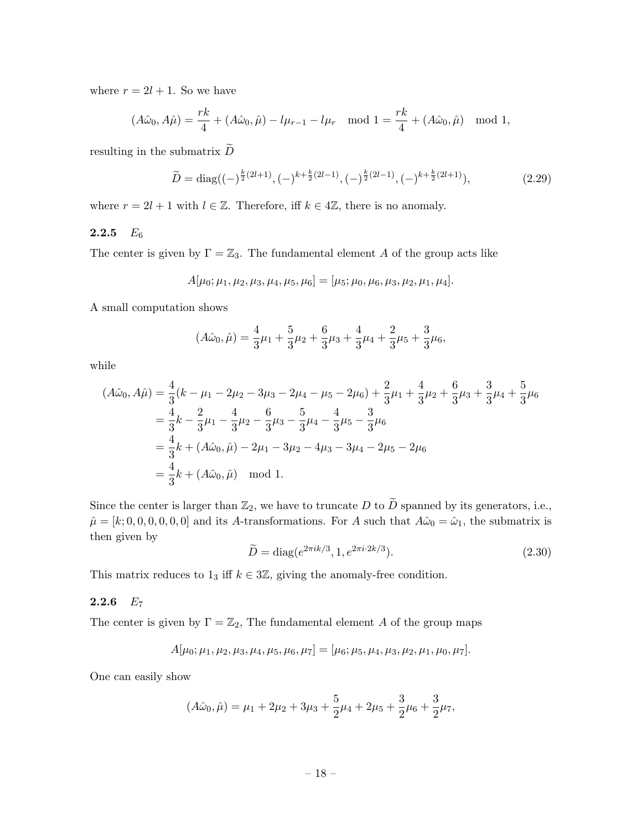where  $r = 2l + 1$ . So we have

$$
(A\hat{\omega}_0, A\hat{\mu}) = \frac{rk}{4} + (A\hat{\omega}_0, \hat{\mu}) - l\mu_{r-1} - l\mu_r \mod 1 = \frac{rk}{4} + (A\hat{\omega}_0, \hat{\mu}) \mod 1,
$$

resulting in the submatrix  $\widetilde{D}$ 

$$
\widetilde{D} = \text{diag}\left((-)^{\frac{k}{2}(2l+1)}, (-)^{k+\frac{k}{2}(2l-1)}, (-)^{\frac{k}{2}(2l-1)}, (-)^{k+\frac{k}{2}(2l+1)}\right),\tag{2.29}
$$

where  $r = 2l + 1$  with  $l \in \mathbb{Z}$ . Therefore, iff  $k \in 4\mathbb{Z}$ , there is no anomaly.

# <span id="page-19-0"></span>2.2.5  $E_6$

The center is given by  $\Gamma = \mathbb{Z}_3$ . The fundamental element A of the group acts like

$$
A[\mu_0; \mu_1, \mu_2, \mu_3, \mu_4, \mu_5, \mu_6] = [\mu_5; \mu_0, \mu_6, \mu_3, \mu_2, \mu_1, \mu_4].
$$

A small computation shows

$$
(A\hat{\omega}_0, \hat{\mu}) = \frac{4}{3}\mu_1 + \frac{5}{3}\mu_2 + \frac{6}{3}\mu_3 + \frac{4}{3}\mu_4 + \frac{2}{3}\mu_5 + \frac{3}{3}\mu_6,
$$

while

$$
(A\hat{\omega}_0, A\hat{\mu}) = \frac{4}{3}(k - \mu_1 - 2\mu_2 - 3\mu_3 - 2\mu_4 - \mu_5 - 2\mu_6) + \frac{2}{3}\mu_1 + \frac{4}{3}\mu_2 + \frac{6}{3}\mu_3 + \frac{3}{3}\mu_4 + \frac{5}{3}\mu_6
$$
  
=  $\frac{4}{3}k - \frac{2}{3}\mu_1 - \frac{4}{3}\mu_2 - \frac{6}{3}\mu_3 - \frac{5}{3}\mu_4 - \frac{4}{3}\mu_5 - \frac{3}{3}\mu_6$   
=  $\frac{4}{3}k + (A\hat{\omega}_0, \hat{\mu}) - 2\mu_1 - 3\mu_2 - 4\mu_3 - 3\mu_4 - 2\mu_5 - 2\mu_6$   
=  $\frac{4}{3}k + (A\hat{\omega}_0, \hat{\mu}) \mod 1$ .

Since the center is larger than  $\mathbb{Z}_2$ , we have to truncate D to  $\widetilde{D}$  spanned by its generators, i.e.,  $\hat{\mu} = [k; 0, 0, 0, 0, 0, 0]$  and its A-transformations. For A such that  $A\hat{\omega}_0 = \hat{\omega}_1$ , the submatrix is then given by

$$
\widetilde{D} = \text{diag}(e^{2\pi i k/3}, 1, e^{2\pi i \cdot 2k/3}).\tag{2.30}
$$

This matrix reduces to  $1_3$  iff  $k \in 3\mathbb{Z}$ , giving the anomaly-free condition.

# <span id="page-19-1"></span>2.2.6  $E_7$

The center is given by  $\Gamma = \mathbb{Z}_2$ , The fundamental element A of the group maps

$$
A[\mu_0; \mu_1, \mu_2, \mu_3, \mu_4, \mu_5, \mu_6, \mu_7] = [\mu_6; \mu_5, \mu_4, \mu_3, \mu_2, \mu_1, \mu_0, \mu_7].
$$

One can easily show

$$
(A\hat{\omega}_0, \hat{\mu}) = \mu_1 + 2\mu_2 + 3\mu_3 + \frac{5}{2}\mu_4 + 2\mu_5 + \frac{3}{2}\mu_6 + \frac{3}{2}\mu_7,
$$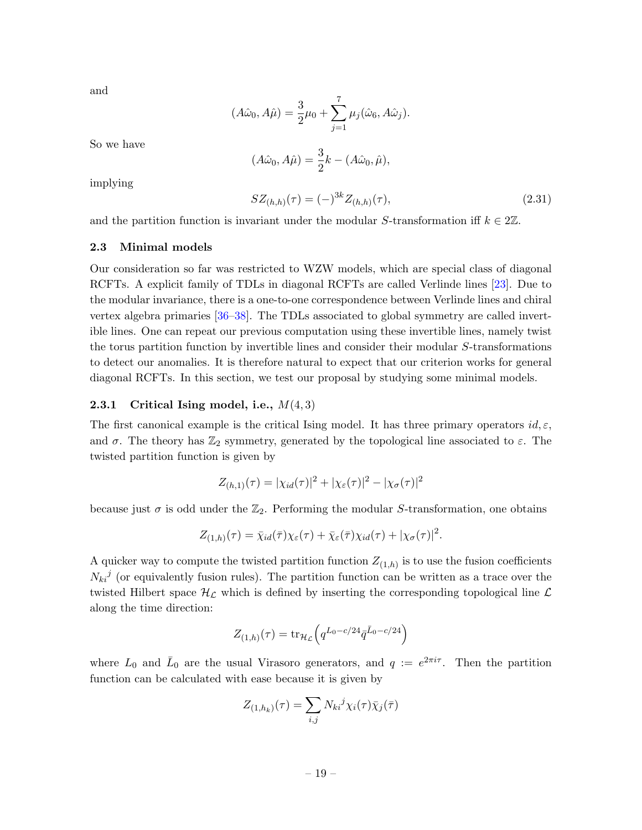and

$$
(A\hat{\omega}_0, A\hat{\mu}) = \frac{3}{2}\mu_0 + \sum_{j=1}^7 \mu_j(\hat{\omega}_6, A\hat{\omega}_j).
$$

So we have

$$
(A\hat{\omega}_0, A\hat{\mu}) = \frac{3}{2}k - (A\hat{\omega}_0, \hat{\mu}),
$$

implying

$$
SZ_{(h,h)}(\tau) = (-)^{3k} Z_{(h,h)}(\tau), \tag{2.31}
$$

and the partition function is invariant under the modular S-transformation iff  $k \in 2\mathbb{Z}$ .

### <span id="page-20-0"></span>2.3 Minimal models

Our consideration so far was restricted to WZW models, which are special class of diagonal RCFTs. A explicit family of TDLs in diagonal RCFTs are called Verlinde lines [\[23\]](#page-44-4). Due to the modular invariance, there is a one-to-one correspondence between Verlinde lines and chiral vertex algebra primaries [\[36–](#page-45-0)[38\]](#page-45-1). The TDLs associated to global symmetry are called invertible lines. One can repeat our previous computation using these invertible lines, namely twist the torus partition function by invertible lines and consider their modular S-transformations to detect our anomalies. It is therefore natural to expect that our criterion works for general diagonal RCFTs. In this section, we test our proposal by studying some minimal models.

### <span id="page-20-1"></span>2.3.1 Critical Ising model, i.e.,  $M(4,3)$

The first canonical example is the critical Ising model. It has three primary operators  $id, \varepsilon$ , and  $\sigma$ . The theory has  $\mathbb{Z}_2$  symmetry, generated by the topological line associated to  $\varepsilon$ . The twisted partition function is given by

$$
Z_{(h,1)}(\tau) = |\chi_{id}(\tau)|^2 + |\chi_{\varepsilon}(\tau)|^2 - |\chi_{\sigma}(\tau)|^2
$$

because just  $\sigma$  is odd under the  $\mathbb{Z}_2$ . Performing the modular S-transformation, one obtains

$$
Z_{(1,h)}(\tau) = \bar{\chi}_{id}(\bar{\tau})\chi_{\varepsilon}(\tau) + \bar{\chi}_{\varepsilon}(\bar{\tau})\chi_{id}(\tau) + |\chi_{\sigma}(\tau)|^2.
$$

A quicker way to compute the twisted partition function  $Z_{(1,h)}$  is to use the fusion coefficients  $N_{ki}^{j}$  (or equivalently fusion rules). The partition function can be written as a trace over the twisted Hilbert space  $\mathcal{H}_{\mathcal{L}}$  which is defined by inserting the corresponding topological line  $\mathcal{L}$ along the time direction:

$$
Z_{(1,h)}(\tau) = \text{tr}_{\mathcal{H}_{\mathcal{L}}}\left(q^{L_0 - c/24}\bar{q}^{\bar{L}_0 - c/24}\right)
$$

where  $L_0$  and  $\bar{L}_0$  are the usual Virasoro generators, and  $q := e^{2\pi i \tau}$ . Then the partition function can be calculated with ease because it is given by

$$
Z_{(1,h_k)}(\tau) = \sum_{i,j} N_{ki}{}^j \chi_i(\tau) \bar{\chi}_j(\bar{\tau})
$$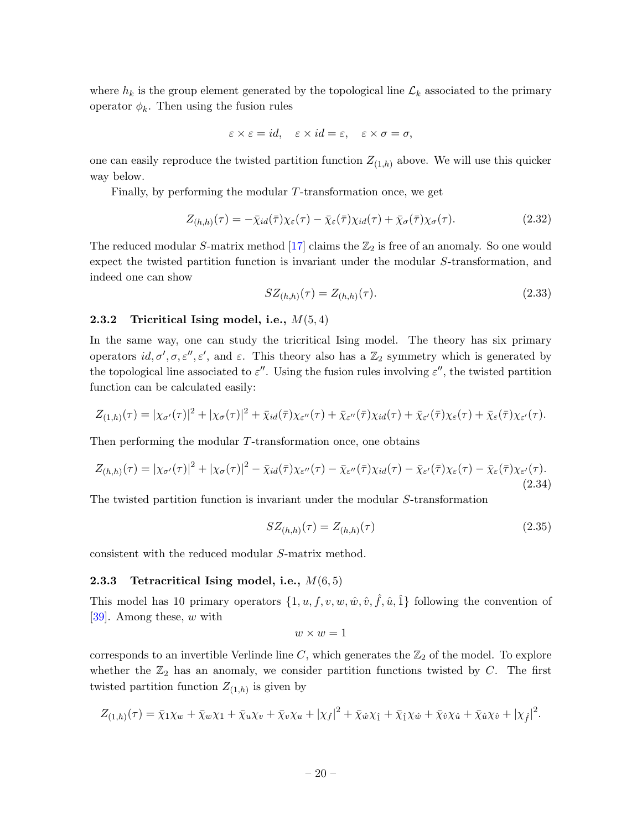where  $h_k$  is the group element generated by the topological line  $\mathcal{L}_k$  associated to the primary operator  $\phi_k$ . Then using the fusion rules

$$
\varepsilon \times \varepsilon = id, \quad \varepsilon \times id = \varepsilon, \quad \varepsilon \times \sigma = \sigma,
$$

one can easily reproduce the twisted partition function  $Z_{(1,h)}$  above. We will use this quicker way below.

Finally, by performing the modular  $T$ -transformation once, we get

$$
Z_{(h,h)}(\tau) = -\bar{\chi}_{id}(\bar{\tau})\chi_{\varepsilon}(\tau) - \bar{\chi}_{\varepsilon}(\bar{\tau})\chi_{id}(\tau) + \bar{\chi}_{\sigma}(\bar{\tau})\chi_{\sigma}(\tau). \tag{2.32}
$$

The reduced modular S-matrix method [\[17\]](#page-43-11) claims the  $\mathbb{Z}_2$  is free of an anomaly. So one would expect the twisted partition function is invariant under the modular S-transformation, and indeed one can show

$$
SZ_{(h,h)}(\tau) = Z_{(h,h)}(\tau). \tag{2.33}
$$

### <span id="page-21-0"></span>2.3.2 Tricritical Ising model, i.e.,  $M(5,4)$

In the same way, one can study the tricritical Ising model. The theory has six primary operators  $id, \sigma', \sigma, \varepsilon'', \varepsilon'$ , and  $\varepsilon$ . This theory also has a  $\mathbb{Z}_2$  symmetry which is generated by the topological line associated to  $\varepsilon''$ . Using the fusion rules involving  $\varepsilon''$ , the twisted partition function can be calculated easily:

$$
Z_{(1,h)}(\tau) = |\chi_{\sigma'}(\tau)|^2 + |\chi_{\sigma}(\tau)|^2 + \bar{\chi}_{id}(\bar{\tau})\chi_{\varepsilon''}(\tau) + \bar{\chi}_{\varepsilon''}(\bar{\tau})\chi_{id}(\tau) + \bar{\chi}_{\varepsilon'}(\bar{\tau})\chi_{\varepsilon}(\tau) + \bar{\chi}_{\varepsilon}(\bar{\tau})\chi_{\varepsilon'}(\tau).
$$

Then performing the modular T-transformation once, one obtains

$$
Z_{(h,h)}(\tau) = |\chi_{\sigma'}(\tau)|^2 + |\chi_{\sigma}(\tau)|^2 - \bar{\chi}_{id}(\bar{\tau})\chi_{\varepsilon''}(\tau) - \bar{\chi}_{\varepsilon''}(\bar{\tau})\chi_{id}(\tau) - \bar{\chi}_{\varepsilon'}(\bar{\tau})\chi_{\varepsilon}(\tau) - \bar{\chi}_{\varepsilon}(\bar{\tau})\chi_{\varepsilon'}(\tau). \tag{2.34}
$$

The twisted partition function is invariant under the modular S-transformation

$$
SZ_{(h,h)}(\tau) = Z_{(h,h)}(\tau) \tag{2.35}
$$

consistent with the reduced modular S-matrix method.

### <span id="page-21-1"></span>2.3.3 Tetracritical Ising model, i.e.,  $M(6,5)$

This model has 10 primary operators  $\{1, u, f, v, w, \hat{w}, \hat{v}, \hat{f}, \hat{u}, \hat{1}\}$  following the convention of [\[39\]](#page-45-2). Among these, w with

$$
w \times w = 1
$$

corresponds to an invertible Verlinde line  $C$ , which generates the  $\mathbb{Z}_2$  of the model. To explore whether the  $\mathbb{Z}_2$  has an anomaly, we consider partition functions twisted by C. The first twisted partition function  $Z_{(1,h)}$  is given by

$$
Z_{(1,h)}(\tau) = \bar{\chi}_1\chi_w + \bar{\chi}_w\chi_1 + \bar{\chi}_u\chi_v + \bar{\chi}_v\chi_u + |\chi_f|^2 + \bar{\chi}_\hat{w}\chi_{\hat{1}} + \bar{\chi}_{\hat{1}}\chi_{\hat{w}} + \bar{\chi}_{\hat{v}}\chi_{\hat{u}} + \bar{\chi}_{\hat{u}}\chi_{\hat{v}} + |\chi_{\hat{f}}|^2.
$$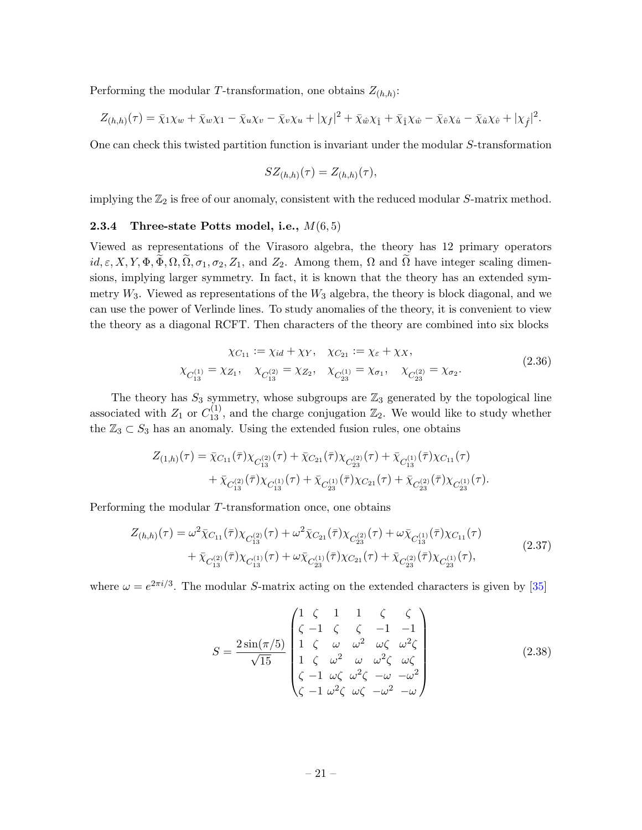Performing the modular T-transformation, one obtains  $Z_{(h,h)}$ :

$$
Z_{(h,h)}(\tau) = \bar{\chi}_1 \chi_w + \bar{\chi}_w \chi_1 - \bar{\chi}_u \chi_v - \bar{\chi}_v \chi_u + |\chi_f|^2 + \bar{\chi}_{\hat{w}} \chi_{\hat{1}} + \bar{\chi}_{\hat{1}} \chi_{\hat{w}} - \bar{\chi}_{\hat{v}} \chi_{\hat{u}} - \bar{\chi}_{\hat{u}} \chi_{\hat{v}} + |\chi_{\hat{f}}|^2.
$$

One can check this twisted partition function is invariant under the modular S-transformation

$$
SZ_{(h,h)}(\tau) = Z_{(h,h)}(\tau),
$$

implying the  $\mathbb{Z}_2$  is free of our anomaly, consistent with the reduced modular S-matrix method.

#### <span id="page-22-0"></span>**2.3.4** Three-state Potts model, i.e.,  $M(6, 5)$

Viewed as representations of the Virasoro algebra, the theory has 12 primary operators  $id, \varepsilon, X, Y, \Phi, \overline{\Phi}, \Omega, \overline{\Omega}, \sigma_1, \sigma_2, Z_1$ , and  $Z_2$ . Among them,  $\Omega$  and  $\overline{\Omega}$  have integer scaling dimensions, implying larger symmetry. In fact, it is known that the theory has an extended symmetry  $W_3$ . Viewed as representations of the  $W_3$  algebra, the theory is block diagonal, and we can use the power of Verlinde lines. To study anomalies of the theory, it is convenient to view the theory as a diagonal RCFT. Then characters of the theory are combined into six blocks

$$
\chi_{C_{11}} := \chi_{id} + \chi_Y, \quad \chi_{C_{21}} := \chi_{\varepsilon} + \chi_X, \n\chi_{C_{13}^{(1)}} = \chi_{Z_1}, \quad \chi_{C_{13}^{(2)}} = \chi_{Z_2}, \quad \chi_{C_{23}^{(1)}} = \chi_{\sigma_1}, \quad \chi_{C_{23}^{(2)}} = \chi_{\sigma_2}.
$$
\n(2.36)

The theory has  $S_3$  symmetry, whose subgroups are  $\mathbb{Z}_3$  generated by the topological line associated with  $Z_1$  or  $C_{13}^{(1)}$ , and the charge conjugation  $\mathbb{Z}_2$ . We would like to study whether the  $\mathbb{Z}_3 \subset S_3$  has an anomaly. Using the extended fusion rules, one obtains

$$
Z_{(1,h)}(\tau) = \bar{\chi}_{C_{11}}(\bar{\tau})\chi_{C_{13}^{(2)}}(\tau) + \bar{\chi}_{C_{21}}(\bar{\tau})\chi_{C_{23}^{(2)}}(\tau) + \bar{\chi}_{C_{13}^{(1)}}(\bar{\tau})\chi_{C_{11}}(\tau) + \bar{\chi}_{C_{13}^{(2)}}(\bar{\tau})\chi_{C_{13}^{(1)}}(\tau) + \bar{\chi}_{C_{23}^{(1)}}(\bar{\tau})\chi_{C_{21}}(\tau) + \bar{\chi}_{C_{23}^{(2)}}(\bar{\tau})\chi_{C_{23}^{(1)}}(\tau).
$$

Performing the modular T-transformation once, one obtains

$$
Z_{(h,h)}(\tau) = \omega^2 \bar{\chi}_{C_{11}}(\bar{\tau}) \chi_{C_{13}^{(2)}}(\tau) + \omega^2 \bar{\chi}_{C_{21}}(\bar{\tau}) \chi_{C_{23}^{(2)}}(\tau) + \omega \bar{\chi}_{C_{13}^{(1)}}(\bar{\tau}) \chi_{C_{11}}(\tau) + \bar{\chi}_{C_{13}^{(2)}}(\bar{\tau}) \chi_{C_{13}^{(1)}}(\tau) + \omega \bar{\chi}_{C_{23}^{(1)}}(\bar{\tau}) \chi_{C_{21}}(\tau) + \bar{\chi}_{C_{23}^{(2)}}(\bar{\tau}) \chi_{C_{23}^{(1)}}(\tau),
$$
\n(2.37)

where  $\omega = e^{2\pi i/3}$ . The modular *S*-matrix acting on the extended characters is given by [\[35\]](#page-44-6)

<span id="page-22-1"></span>
$$
S = \frac{2\sin(\pi/5)}{\sqrt{15}} \begin{pmatrix} 1 & \zeta & 1 & 1 & \zeta & \zeta \\ \zeta & -1 & \zeta & \zeta & -1 & -1 \\ 1 & \zeta & \omega & \omega^2 & \omega\zeta & \omega^2\zeta \\ 1 & \zeta & \omega^2 & \omega & \omega^2\zeta & \omega\zeta \\ \zeta & -1 & \omega\zeta & \omega^2\zeta & -\omega & -\omega^2 \\ \zeta & -1 & \omega^2\zeta & \omega\zeta & -\omega^2 & -\omega \end{pmatrix}
$$
(2.38)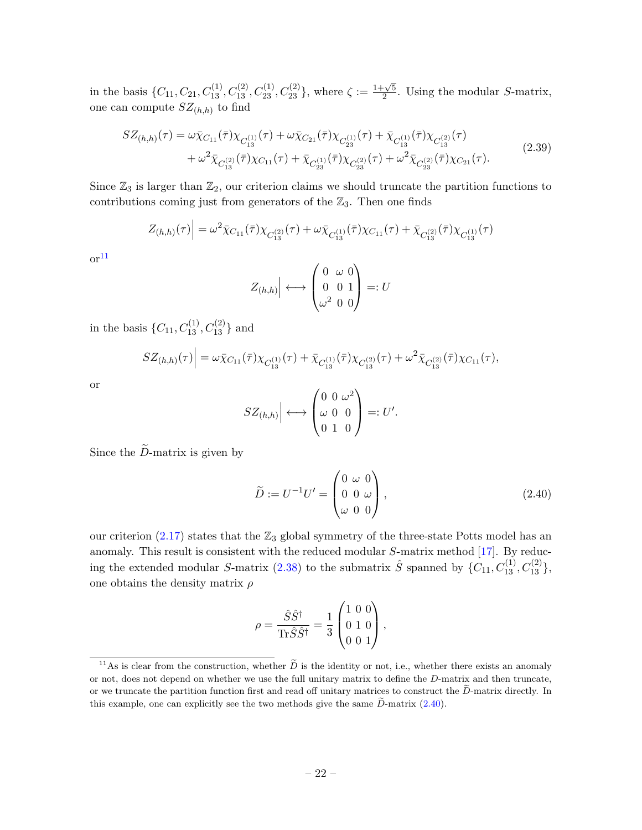in the basis  $\{C_{11}, C_{21}, C_{13}^{(1)}, C_{13}^{(2)}, C_{23}^{(1)}, C_{23}^{(2)}\}$ , where  $\zeta := \frac{1+\sqrt{5}}{2}$  $\frac{2}{2}$ . Using the modular *S*-matrix, one can compute  $SZ_{(h,h)}$  to find

$$
SZ_{(h,h)}(\tau) = \omega \bar{\chi}_{C_{11}}(\bar{\tau}) \chi_{C_{13}^{(1)}}(\tau) + \omega \bar{\chi}_{C_{21}}(\bar{\tau}) \chi_{C_{23}^{(1)}}(\tau) + \bar{\chi}_{C_{13}^{(1)}}(\bar{\tau}) \chi_{C_{13}^{(2)}}(\tau) + \omega^2 \bar{\chi}_{C_{13}^{(2)}}(\bar{\tau}) \chi_{C_{11}}(\tau) + \bar{\chi}_{C_{23}^{(1)}}(\bar{\tau}) \chi_{C_{23}^{(2)}}(\tau) + \omega^2 \bar{\chi}_{C_{23}^{(2)}}(\bar{\tau}) \chi_{C_{21}}(\tau).
$$
\n(2.39)

Since  $\mathbb{Z}_3$  is larger than  $\mathbb{Z}_2$ , our criterion claims we should truncate the partition functions to contributions coming just from generators of the  $\mathbb{Z}_3$ . Then one finds

$$
Z_{(h,h)}(\tau)\Big| = \omega^2 \bar{\chi}_{C_{11}}(\bar{\tau})\chi_{C_{13}^{(2)}}(\tau) + \omega \bar{\chi}_{C_{13}^{(1)}}(\bar{\tau})\chi_{C_{11}}(\tau) + \bar{\chi}_{C_{13}^{(2)}}(\bar{\tau})\chi_{C_{13}^{(1)}}(\tau)
$$

 $\mathrm{or}^{11}$  $\mathrm{or}^{11}$  $\mathrm{or}^{11}$ 

$$
Z_{(h,h)} \Big| \longleftrightarrow \begin{pmatrix} 0 & \omega & 0 \\ 0 & 0 & 1 \\ \omega^2 & 0 & 0 \end{pmatrix} =: U
$$

in the basis  $\{C_{11}, C_{13}^{(1)}, C_{13}^{(2)}\}$  and

$$
SZ_{(h,h)}(\tau)\Big| = \omega \bar{\chi}_{C_{11}}(\bar{\tau})\chi_{C_{13}^{(1)}}(\tau) + \bar{\chi}_{C_{13}^{(1)}}(\bar{\tau})\chi_{C_{13}^{(2)}}(\tau) + \omega^2 \bar{\chi}_{C_{13}^{(2)}}(\bar{\tau})\chi_{C_{11}}(\tau),
$$

or

$$
SZ_{(h,h)} \Big| \longleftrightarrow \begin{pmatrix} 0 & 0 & \omega^2 \\ \omega & 0 & 0 \\ 0 & 1 & 0 \end{pmatrix} =: U'.
$$

Since the  $\tilde{D}$ -matrix is given by

<span id="page-23-1"></span>
$$
\widetilde{D} := U^{-1}U' = \begin{pmatrix} 0 & \omega & 0 \\ 0 & 0 & \omega \\ \omega & 0 & 0 \end{pmatrix}, \tag{2.40}
$$

our criterion  $(2.17)$  states that the  $\mathbb{Z}_3$  global symmetry of the three-state Potts model has an anomaly. This result is consistent with the reduced modular S-matrix method [\[17\]](#page-43-11). By reduc-ing the extended modular S-matrix [\(2.38\)](#page-22-1) to the submatrix  $\hat{S}$  spanned by  $\{C_{11}, C_{13}^{(1)}, C_{13}^{(2)}\},$ one obtains the density matrix  $\rho$ 

$$
\rho = \frac{\hat{S}\hat{S}^{\dagger}}{\text{Tr}\hat{S}\hat{S}^{\dagger}} = \frac{1}{3} \begin{pmatrix} 1 & 0 & 0 \\ 0 & 1 & 0 \\ 0 & 0 & 1 \end{pmatrix},
$$

<span id="page-23-0"></span><sup>&</sup>lt;sup>11</sup>As is clear from the construction, whether  $\tilde{D}$  is the identity or not, i.e., whether there exists an anomaly or not, does not depend on whether we use the full unitary matrix to define the D-matrix and then truncate, or we truncate the partition function first and read off unitary matrices to construct the  $\tilde{D}$ -matrix directly. In this example, one can explicitly see the two methods give the same  $\ddot{D}$ -matrix  $(2.40)$ .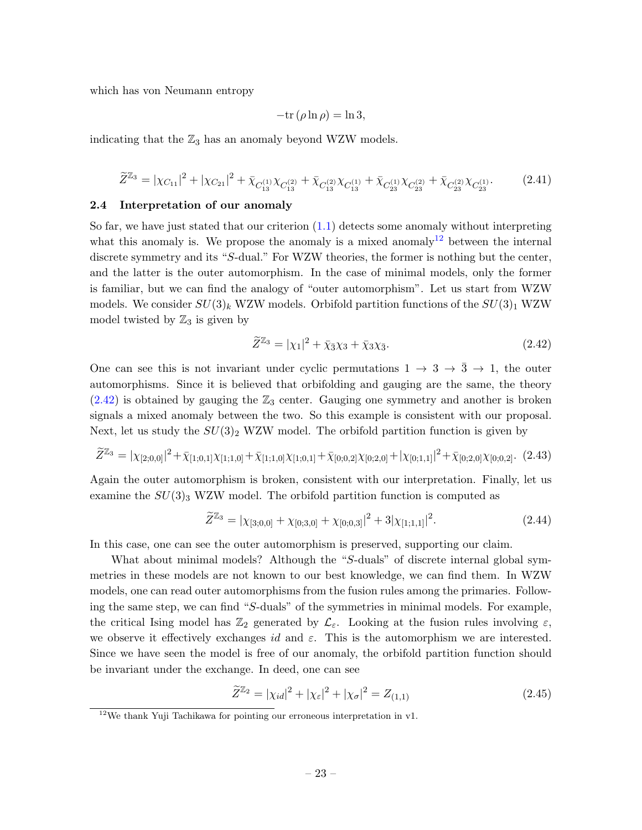which has von Neumann entropy

$$
-\mathrm{tr}\left(\rho \ln \rho\right) = \ln 3,
$$

indicating that the  $\mathbb{Z}_3$  has an anomaly beyond WZW models.

<span id="page-24-3"></span>
$$
\widetilde{Z}^{\mathbb{Z}_3} = |\chi_{C_{11}}|^2 + |\chi_{C_{21}}|^2 + \bar{\chi}_{C_{13}}^{(1)} \chi_{C_{13}}^{(2)} + \bar{\chi}_{C_{13}}^{(2)} \chi_{C_{13}}^{(1)} + \bar{\chi}_{C_{23}}^{(1)} \chi_{C_{23}}^{(2)} + \bar{\chi}_{C_{23}}^{(2)} \chi_{C_{23}}^{(1)}.
$$
(2.41)

### <span id="page-24-0"></span>2.4 Interpretation of our anomaly

So far, we have just stated that our criterion  $(1.1)$  detects some anomaly without interpreting what this anomaly is. We propose the anomaly is a mixed anomaly<sup>[12](#page-24-1)</sup> between the internal discrete symmetry and its "S-dual." For WZW theories, the former is nothing but the center, and the latter is the outer automorphism. In the case of minimal models, only the former is familiar, but we can find the analogy of "outer automorphism". Let us start from WZW models. We consider  $SU(3)_k$  WZW models. Orbifold partition functions of the  $SU(3)_1$  WZW model twisted by  $\mathbb{Z}_3$  is given by

<span id="page-24-2"></span>
$$
\widetilde{Z}^{\mathbb{Z}_3} = |\chi_1|^2 + \bar{\chi}_3 \chi_3 + \bar{\chi}_3 \chi_3. \tag{2.42}
$$

One can see this is not invariant under cyclic permutations  $1 \rightarrow 3 \rightarrow \overline{3} \rightarrow 1$ , the outer automorphisms. Since it is believed that orbifolding and gauging are the same, the theory  $(2.42)$  is obtained by gauging the  $\mathbb{Z}_3$  center. Gauging one symmetry and another is broken signals a mixed anomaly between the two. So this example is consistent with our proposal. Next, let us study the  $SU(3)_2$  WZW model. The orbifold partition function is given by

$$
\widetilde{Z}^{\mathbb{Z}_3} = |\chi_{[2;0,0]}|^2 + \bar{\chi}_{[1;0,1]} \chi_{[1;1,0]} + \bar{\chi}_{[1;1,0]} \chi_{[1;0,1]} + \bar{\chi}_{[0;0,2]} \chi_{[0;2,0]} + |\chi_{[0;1,1]}|^2 + \bar{\chi}_{[0;2,0]} \chi_{[0;0,2]}.
$$
(2.43)

Again the outer automorphism is broken, consistent with our interpretation. Finally, let us examine the  $SU(3)$ <sub>3</sub> WZW model. The orbifold partition function is computed as

$$
\widetilde{Z}^{\mathbb{Z}_3} = |\chi_{[3;0,0]} + \chi_{[0;3,0]} + \chi_{[0;0,3]}|^2 + 3|\chi_{[1;1,1]}|^2. \tag{2.44}
$$

In this case, one can see the outer automorphism is preserved, supporting our claim.

What about minimal models? Although the "S-duals" of discrete internal global symmetries in these models are not known to our best knowledge, we can find them. In WZW models, one can read outer automorphisms from the fusion rules among the primaries. Following the same step, we can find "S-duals" of the symmetries in minimal models. For example, the critical Ising model has  $\mathbb{Z}_2$  generated by  $\mathcal{L}_{\varepsilon}$ . Looking at the fusion rules involving  $\varepsilon$ , we observe it effectively exchanges id and  $\varepsilon$ . This is the automorphism we are interested. Since we have seen the model is free of our anomaly, the orbifold partition function should be invariant under the exchange. In deed, one can see

$$
\widetilde{Z}^{\mathbb{Z}_2} = |\chi_{id}|^2 + |\chi_{\varepsilon}|^2 + |\chi_{\sigma}|^2 = Z_{(1,1)}\tag{2.45}
$$

<span id="page-24-1"></span> $^{12}{\rm{We}}$  thank Yuji Tachikawa for pointing our erroneous interpretation in v1.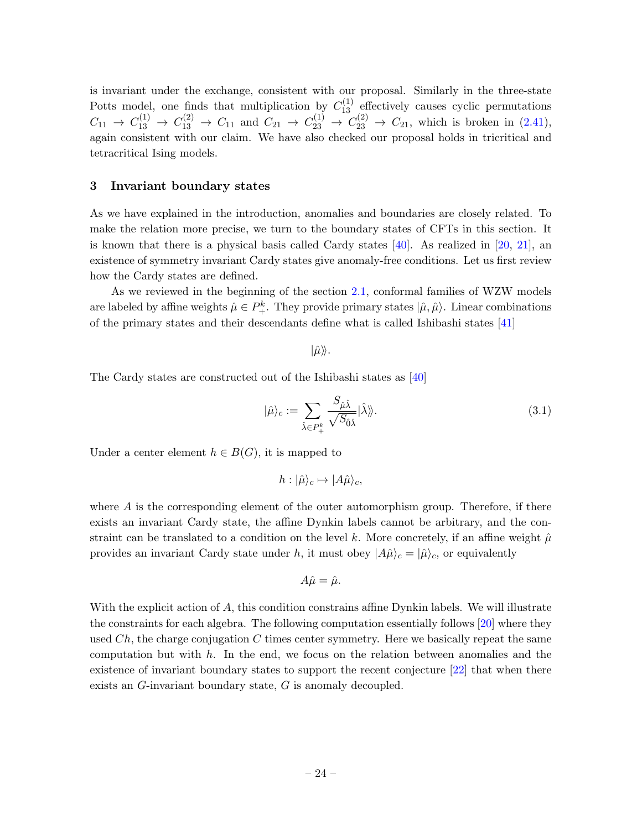is invariant under the exchange, consistent with our proposal. Similarly in the three-state Potts model, one finds that multiplication by  $C_{13}^{(1)}$  effectively causes cyclic permutations  $C_{11} \rightarrow C_{13}^{(1)} \rightarrow C_{13}^{(2)} \rightarrow C_{11}$  and  $C_{21} \rightarrow C_{23}^{(1)} \rightarrow C_{23}^{(2)} \rightarrow C_{21}$ , which is broken in [\(2.41\)](#page-24-3), again consistent with our claim. We have also checked our proposal holds in tricritical and tetracritical Ising models.

### <span id="page-25-0"></span>3 Invariant boundary states

As we have explained in the introduction, anomalies and boundaries are closely related. To make the relation more precise, we turn to the boundary states of CFTs in this section. It is known that there is a physical basis called Cardy states  $[40]$ . As realized in  $[20, 21]$  $[20, 21]$ , an existence of symmetry invariant Cardy states give anomaly-free conditions. Let us first review how the Cardy states are defined.

As we reviewed in the beginning of the section [2.1,](#page-7-0) conformal families of WZW models are labeled by affine weights  $\hat{\mu} \in P_+^k$ . They provide primary states  $|\hat{\mu}, \hat{\mu}\rangle$ . Linear combinations of the primary states and their descendants define what is called Ishibashi states [\[41\]](#page-45-4)

$$
|\hat{\mu}\rangle\!\rangle.
$$

The Cardy states are constructed out of the Ishibashi states as [\[40\]](#page-45-3)

$$
|\hat{\mu}\rangle_c := \sum_{\hat{\lambda} \in P_+^k} \frac{S_{\hat{\mu}\hat{\lambda}}}{\sqrt{S_{\hat{0}\hat{\lambda}}}} |\hat{\lambda}\rangle\tag{3.1}
$$

Under a center element  $h \in B(G)$ , it is mapped to

$$
h: |\hat{\mu}\rangle_c \mapsto |A\hat{\mu}\rangle_c,
$$

where  $A$  is the corresponding element of the outer automorphism group. Therefore, if there exists an invariant Cardy state, the affine Dynkin labels cannot be arbitrary, and the constraint can be translated to a condition on the level k. More concretely, if an affine weight  $\hat{\mu}$ provides an invariant Cardy state under h, it must obey  $|A\hat{\mu}\rangle_c = |\hat{\mu}\rangle_c$ , or equivalently

$$
A\hat{\mu} = \hat{\mu}.
$$

With the explicit action of A, this condition constrains affine Dynkin labels. We will illustrate the constraints for each algebra. The following computation essentially follows [\[20\]](#page-44-1) where they used  $Ch$ , the charge conjugation C times center symmetry. Here we basically repeat the same computation but with  $h$ . In the end, we focus on the relation between anomalies and the existence of invariant boundary states to support the recent conjecture [\[22\]](#page-44-0) that when there exists an G-invariant boundary state, G is anomaly decoupled.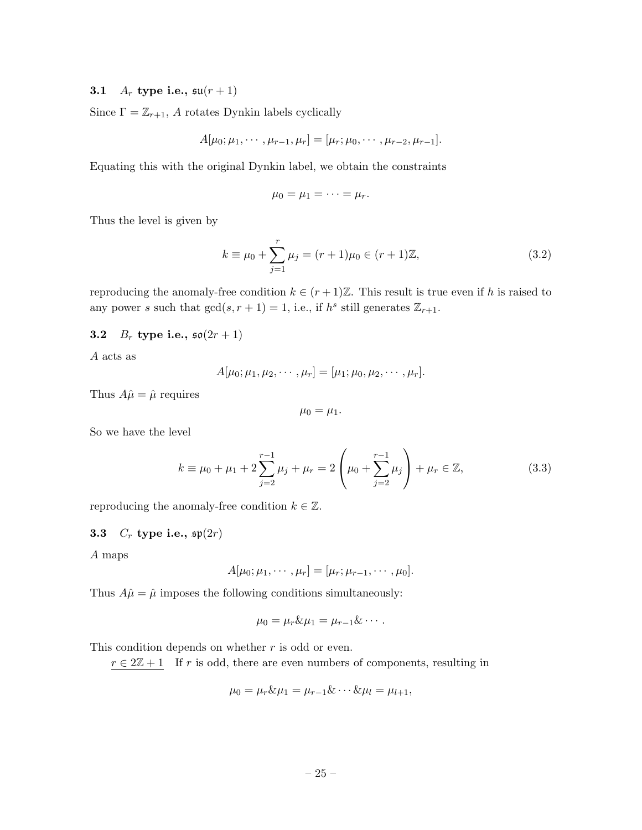# <span id="page-26-0"></span>3.1  $A_r$  type i.e.,  $\mathfrak{su}(r+1)$

Since  $\Gamma = \mathbb{Z}_{r+1}$ , A rotates Dynkin labels cyclically

$$
A[\mu_0; \mu_1, \cdots, \mu_{r-1}, \mu_r] = [\mu_r; \mu_0, \cdots, \mu_{r-2}, \mu_{r-1}].
$$

Equating this with the original Dynkin label, we obtain the constraints

$$
\mu_0=\mu_1=\cdots=\mu_r.
$$

Thus the level is given by

$$
k \equiv \mu_0 + \sum_{j=1}^{r} \mu_j = (r+1)\mu_0 \in (r+1)\mathbb{Z},\tag{3.2}
$$

reproducing the anomaly-free condition  $k \in (r+1)\mathbb{Z}$ . This result is true even if h is raised to any power s such that  $gcd(s, r + 1) = 1$ , i.e., if  $h<sup>s</sup>$  still generates  $\mathbb{Z}_{r+1}$ .

# <span id="page-26-1"></span>**3.2**  $B_r$  type i.e.,  $\mathfrak{so}(2r+1)$

A acts as

$$
A[\mu_0; \mu_1, \mu_2, \cdots, \mu_r] = [\mu_1; \mu_0, \mu_2, \cdots, \mu_r].
$$

Thus  $A\hat{\mu} = \hat{\mu}$  requires

$$
\mu_0=\mu_1.
$$

So we have the level

$$
k \equiv \mu_0 + \mu_1 + 2\sum_{j=2}^{r-1} \mu_j + \mu_r = 2\left(\mu_0 + \sum_{j=2}^{r-1} \mu_j\right) + \mu_r \in \mathbb{Z},\tag{3.3}
$$

reproducing the anomaly-free condition  $k \in \mathbb{Z}$ .

# <span id="page-26-2"></span>3.3  $C_r$  type i.e.,  $\mathfrak{sp}(2r)$

A maps

$$
A[\mu_0; \mu_1, \cdots, \mu_r] = [\mu_r; \mu_{r-1}, \cdots, \mu_0].
$$

Thus  $A\hat{\mu} = \hat{\mu}$  imposes the following conditions simultaneously:

$$
\mu_0=\mu_r\&\mu_1=\mu_{r-1}\&\cdots.
$$

This condition depends on whether  $r$  is odd or even.

 $r \in 2\mathbb{Z} + 1$  If r is odd, there are even numbers of components, resulting in

$$
\mu_0 = \mu_r \& \mu_1 = \mu_{r-1} \& \cdots \& \mu_l = \mu_{l+1},
$$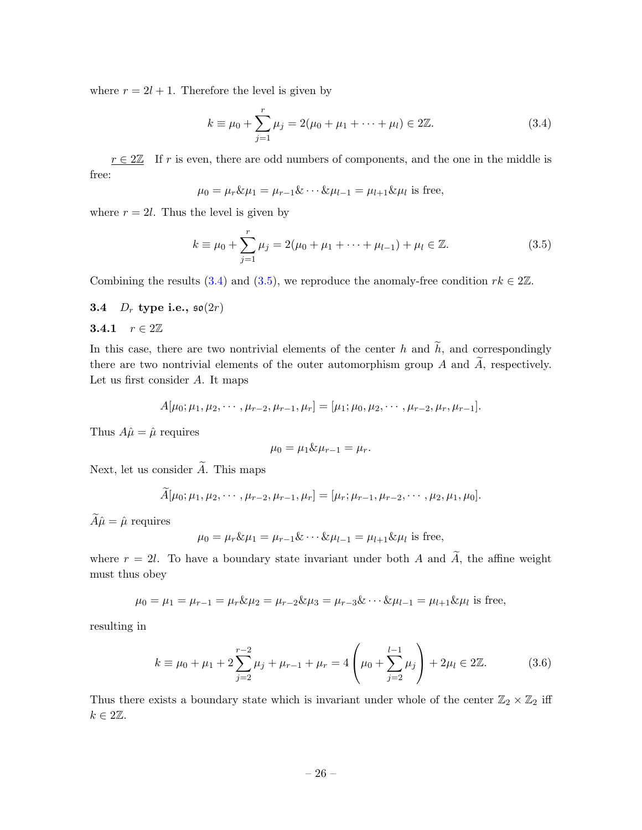where  $r = 2l + 1$ . Therefore the level is given by

<span id="page-27-2"></span>
$$
k \equiv \mu_0 + \sum_{j=1}^{r} \mu_j = 2(\mu_0 + \mu_1 + \dots + \mu_l) \in 2\mathbb{Z}.
$$
 (3.4)

 $r \in 2\mathbb{Z}$  If r is even, there are odd numbers of components, and the one in the middle is free:

$$
\mu_0 = \mu_r \& \mu_1 = \mu_{r-1} \& \cdots \& \mu_{l-1} = \mu_{l+1} \& \mu_l
$$
 is free,

where  $r = 2l$ . Thus the level is given by

<span id="page-27-3"></span>
$$
k \equiv \mu_0 + \sum_{j=1}^r \mu_j = 2(\mu_0 + \mu_1 + \dots + \mu_{l-1}) + \mu_l \in \mathbb{Z}.
$$
 (3.5)

Combining the results [\(3.4\)](#page-27-2) and [\(3.5\)](#page-27-3), we reproduce the anomaly-free condition  $rk \in 2\mathbb{Z}$ .

### <span id="page-27-0"></span>3.4  $D_r$  type i.e.,  $\mathfrak{so}(2r)$

### <span id="page-27-1"></span>3.4.1  $r \in 2\mathbb{Z}$

In this case, there are two nontrivial elements of the center h and  $\tilde{h}$ , and correspondingly there are two nontrivial elements of the outer automorphism group A and  $\widetilde{A}$ , respectively. Let us first consider A. It maps

$$
A[\mu_0; \mu_1, \mu_2, \cdots, \mu_{r-2}, \mu_{r-1}, \mu_r] = [\mu_1; \mu_0, \mu_2, \cdots, \mu_{r-2}, \mu_r, \mu_{r-1}].
$$

Thus  $A\hat{\mu} = \hat{\mu}$  requires

$$
\mu_0=\mu_1\&\mu_{r-1}=\mu_r.
$$

Next, let us consider  $\widetilde{A}$ . This maps

$$
\widetilde{A}[\mu_0; \mu_1, \mu_2, \cdots, \mu_{r-2}, \mu_{r-1}, \mu_r] = [\mu_r; \mu_{r-1}, \mu_{r-2}, \cdots, \mu_2, \mu_1, \mu_0].
$$

 $\widetilde{A}\hat{\mu} = \hat{\mu}$  requires

$$
\mu_0 = \mu_r \& \mu_1 = \mu_{r-1} \& \cdots \& \mu_{l-1} = \mu_{l+1} \& \mu_l
$$
 is free,

where  $r = 2l$ . To have a boundary state invariant under both A and  $\widetilde{A}$ , the affine weight must thus obey

$$
\mu_0 = \mu_1 = \mu_{r-1} = \mu_r \& \mu_2 = \mu_{r-2} \& \mu_3 = \mu_{r-3} \& \cdots \& \mu_{l-1} = \mu_{l+1} \& \mu_l
$$
 is free,

resulting in

<span id="page-27-4"></span>
$$
k \equiv \mu_0 + \mu_1 + 2\sum_{j=2}^{r-2} \mu_j + \mu_{r-1} + \mu_r = 4\left(\mu_0 + \sum_{j=2}^{l-1} \mu_j\right) + 2\mu_l \in 2\mathbb{Z}.
$$
 (3.6)

Thus there exists a boundary state which is invariant under whole of the center  $\mathbb{Z}_2 \times \mathbb{Z}_2$  iff  $k \in 2\mathbb{Z}$ .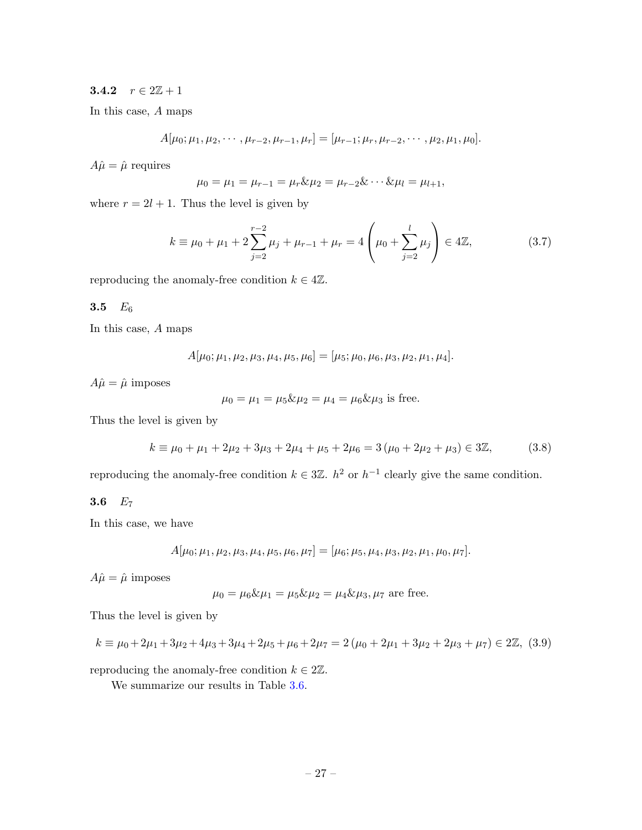### <span id="page-28-0"></span>3.4.2  $r \in 2\mathbb{Z} + 1$

In this case, A maps

$$
A[\mu_0; \mu_1, \mu_2, \cdots, \mu_{r-2}, \mu_{r-1}, \mu_r] = [\mu_{r-1}; \mu_r, \mu_{r-2}, \cdots, \mu_2, \mu_1, \mu_0].
$$

 $A\hat{\mu} = \hat{\mu}$  requires

$$
\mu_0 = \mu_1 = \mu_{r-1} = \mu_r \& \mu_2 = \mu_{r-2} \& \cdots \& \mu_l = \mu_{l+1},
$$

where  $r = 2l + 1$ . Thus the level is given by

$$
k \equiv \mu_0 + \mu_1 + 2\sum_{j=2}^{r-2} \mu_j + \mu_{r-1} + \mu_r = 4\left(\mu_0 + \sum_{j=2}^l \mu_j\right) \in 4\mathbb{Z},\tag{3.7}
$$

reproducing the anomaly-free condition  $k \in 4\mathbb{Z}$ .

### <span id="page-28-1"></span>3.5  $E_6$

In this case, A maps

$$
A[\mu_0; \mu_1, \mu_2, \mu_3, \mu_4, \mu_5, \mu_6] = [\mu_5; \mu_0, \mu_6, \mu_3, \mu_2, \mu_1, \mu_4].
$$

 $A\hat{\mu} = \hat{\mu}$  imposes

$$
\mu_0 = \mu_1 = \mu_5 \& \mu_2 = \mu_4 = \mu_6 \& \mu_3
$$
 is free.

Thus the level is given by

$$
k \equiv \mu_0 + \mu_1 + 2\mu_2 + 3\mu_3 + 2\mu_4 + \mu_5 + 2\mu_6 = 3(\mu_0 + 2\mu_2 + \mu_3) \in 3\mathbb{Z},
$$
 (3.8)

reproducing the anomaly-free condition  $k \in 3\mathbb{Z}$ .  $h^2$  or  $h^{-1}$  clearly give the same condition.

# <span id="page-28-2"></span>3.6  $E_7$

In this case, we have

$$
A[\mu_0; \mu_1, \mu_2, \mu_3, \mu_4, \mu_5, \mu_6, \mu_7] = [\mu_6; \mu_5, \mu_4, \mu_3, \mu_2, \mu_1, \mu_0, \mu_7].
$$

 $A\hat{\mu} = \hat{\mu}$  imposes

$$
\mu_0 = \mu_6 \& \mu_1 = \mu_5 \& \mu_2 = \mu_4 \& \mu_3, \mu_7
$$
 are free.

Thus the level is given by

<span id="page-28-3"></span>
$$
k \equiv \mu_0 + 2\mu_1 + 3\mu_2 + 4\mu_3 + 3\mu_4 + 2\mu_5 + \mu_6 + 2\mu_7 = 2(\mu_0 + 2\mu_1 + 3\mu_2 + 2\mu_3 + \mu_7) \in 2\mathbb{Z}, (3.9)
$$

reproducing the anomaly-free condition  $k \in 2\mathbb{Z}$ .

We summarize our results in Table [3.6.](#page-28-3)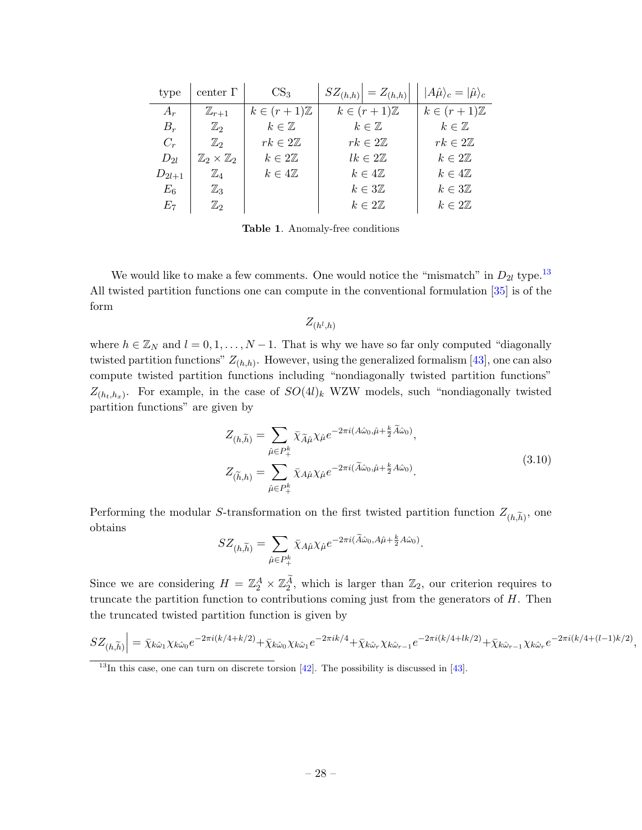| type        | center $\Gamma$                  | CS <sub>3</sub>         | $ SZ(h,h)  = Z(h,h)$    | $ A\hat{\mu}\rangle_c =  \hat{\mu}\rangle_c$ |
|-------------|----------------------------------|-------------------------|-------------------------|----------------------------------------------|
| $A_r$       | $\mathbb{Z}_{r+1}$               | $k \in (r+1)\mathbb{Z}$ | $k \in (r+1)\mathbb{Z}$ | $k \in (r+1)\mathbb{Z}$                      |
| $B_r$       | $\mathbb{Z}_2$                   | $k\in\mathbb{Z}$        | $k\in\mathbb{Z}$        | $k\in\mathbb{Z}$                             |
| $C_r$       | $\mathbb{Z}_2$                   | $rk\in 2\mathbb{Z}$     | $rk\in 2\mathbb{Z}$     | $rk\in 2\mathbb{Z}$                          |
| $D_{2l}$    | $\mathbb{Z}_2\times\mathbb{Z}_2$ | $k\in 2\mathbb{Z}$      | $lk \in 2\mathbb{Z}$    | $k\in 2\mathbb{Z}$                           |
| $D_{2l+1}$  | $\mathbb{Z}_4$                   | $k\in 4\mathbb{Z}$      | $k\in 4\mathbb{Z}$      | $k\in 4\mathbb{Z}$                           |
| $E_{\rm 6}$ | $\mathbb{Z}_3$                   |                         | $k\in 3\mathbb{Z}$      | $k\in 3\mathbb{Z}$                           |
| $E_7$       | $\mathbb{Z}_2$                   |                         | $k\in 2\mathbb{Z}$      | $k\in 2\mathbb{Z}$                           |

<span id="page-29-2"></span>Table 1. Anomaly-free conditions

We would like to make a few comments. One would notice the "mismatch" in  $D_{2l}$  type.<sup>[13](#page-29-0)</sup> All twisted partition functions one can compute in the conventional formulation [\[35\]](#page-44-6) is of the form

 $Z_{(h^l,h)}$ 

where  $h \in \mathbb{Z}_N$  and  $l = 0, 1, ..., N - 1$ . That is why we have so far only computed "diagonally" twisted partition functions"  $Z_{(h,h)}$ . However, using the generalized formalism [\[43\]](#page-45-5), one can also compute twisted partition functions including "nondiagonally twisted partition functions"  $Z_{(h_t,h_x)}$ . For example, in the case of  $SO(4)$ <sub>k</sub> WZW models, such "nondiagonally twisted partition functions" are given by

$$
Z_{(h,\widetilde{h})} = \sum_{\hat{\mu} \in P_+^k} \bar{\chi}_{\widetilde{A}\hat{\mu}} \chi_{\hat{\mu}} e^{-2\pi i (A\hat{\omega}_0, \hat{\mu} + \frac{k}{2} \widetilde{A}\hat{\omega}_0)},
$$
  
\n
$$
Z_{(\widetilde{h},h)} = \sum_{\hat{\mu} \in P_+^k} \bar{\chi}_{A\hat{\mu}} \chi_{\hat{\mu}} e^{-2\pi i (\widetilde{A}\hat{\omega}_0, \hat{\mu} + \frac{k}{2} A\hat{\omega}_0)}.
$$
\n(3.10)

<span id="page-29-1"></span>Performing the modular S-transformation on the first twisted partition function  $Z_{(h,\widetilde{h})}$ , one obtains

$$
SZ_{(h,\widetilde{h})} = \sum_{\hat{\mu} \in P_+^k} \bar{\chi}_{A\hat{\mu}} \chi_{\hat{\mu}} e^{-2\pi i (\widetilde{A}\hat{\omega}_0, A\hat{\mu} + \frac{k}{2} A\hat{\omega}_0)}.
$$

Since we are considering  $H = \mathbb{Z}_2^A \times \mathbb{Z}_2^A$ , which is larger than  $\mathbb{Z}_2$ , our criterion requires to truncate the partition function to contributions coming just from the generators of  $H$ . Then the truncated twisted partition function is given by

$$
SZ_{(h,\widetilde{h})}\Big| = \bar{\chi}_{k\hat{\omega}_1}\chi_{k\hat{\omega}_0}e^{-2\pi i(k/4+k/2)} + \bar{\chi}_{k\hat{\omega}_0}\chi_{k\hat{\omega}_1}e^{-2\pi ik/4} + \bar{\chi}_{k\hat{\omega}_r}\chi_{k\hat{\omega}_{r-1}}e^{-2\pi i(k/4+lk/2)} + \bar{\chi}_{k\hat{\omega}_{r-1}}\chi_{k\hat{\omega}_r}e^{-2\pi i(k/4+(l-1)k/2)}
$$

,

<span id="page-29-0"></span> $13$ In this case, one can turn on discrete torsion [\[42\]](#page-45-6). The possibility is discussed in [\[43\]](#page-45-5).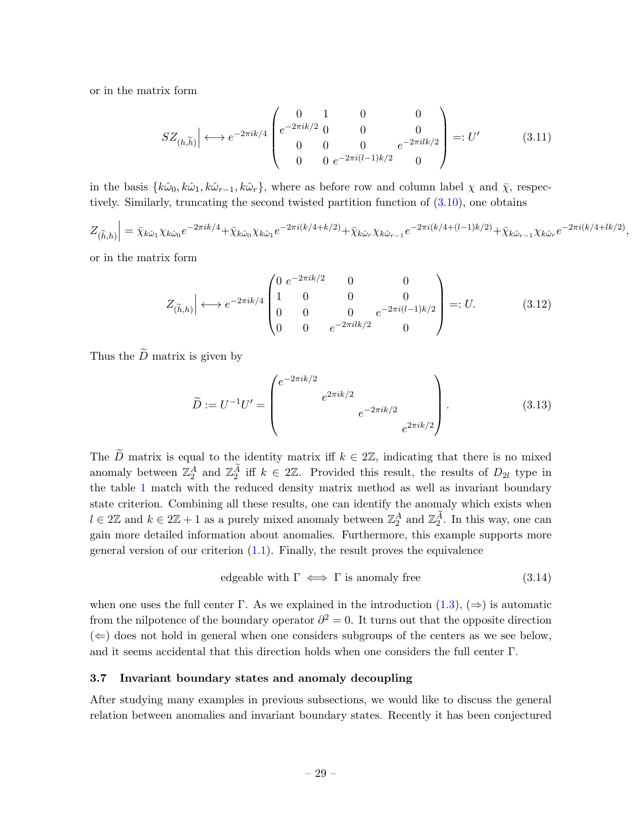or in the matrix form

$$
SZ_{(h,\widetilde{h})} \Big| \longleftrightarrow e^{-2\pi i k/4} \begin{pmatrix} 0 & 1 & 0 & 0 \\ e^{-2\pi i k/2} & 0 & 0 & 0 \\ 0 & 0 & 0 & e^{-2\pi i (l-1)k/2} \\ 0 & 0 & e^{-2\pi i (l-1)k/2} & 0 \end{pmatrix} =: U' \tag{3.11}
$$

in the basis  $\{\hat{k}\hat{\omega}_0, \hat{k}\hat{\omega}_1, \hat{k}\hat{\omega}_r\}$ , where as before row and column label  $\chi$  and  $\bar{\chi}$ , respectively. Similarly, truncating the second twisted partition function of [\(3.10\)](#page-29-1), one obtains

$$
Z_{(\widetilde{h},h)}\Big| = \bar{\chi}_{k\hat{\omega}_1}\chi_{k\hat{\omega}_0}e^{-2\pi ik/4} + \bar{\chi}_{k\hat{\omega}_0}\chi_{k\hat{\omega}_1}e^{-2\pi i(k/4+k/2)} + \bar{\chi}_{k\hat{\omega}_r}\chi_{k\hat{\omega}_{r-1}}e^{-2\pi i(k/4+(l-1)k/2)} + \bar{\chi}_{k\hat{\omega}_{r-1}}\chi_{k\hat{\omega}_r}e^{-2\pi i(k/4+lk/2)}
$$

,

or in the matrix form

$$
Z_{(\widetilde{h},h)} \Big| \longleftrightarrow e^{-2\pi i k/4} \begin{pmatrix} 0 & e^{-2\pi i k/2} & 0 & 0 \\ 1 & 0 & 0 & 0 \\ 0 & 0 & 0 & e^{-2\pi i (l-1)k/2} \\ 0 & 0 & e^{-2\pi i lk/2} & 0 \end{pmatrix} =: U. \tag{3.12}
$$

Thus the  $\tilde{D}$  matrix is given by

$$
\widetilde{D} := U^{-1}U' = \begin{pmatrix} e^{-2\pi ik/2} & & & \\ & e^{2\pi ik/2} & & \\ & & e^{-2\pi ik/2} & \\ & & & e^{2\pi ik/2} \end{pmatrix} .
$$
\n(3.13)

The  $\widetilde{D}$  matrix is equal to the identity matrix iff  $k \in 2\mathbb{Z}$ , indicating that there is no mixed anomaly between  $\mathbb{Z}_2^A$  and  $\mathbb{Z}_2^A$  iff  $k \in 2\mathbb{Z}$ . Provided this result, the results of  $D_{2l}$  type in the table [1](#page-29-2) match with the reduced density matrix method as well as invariant boundary state criterion. Combining all these results, one can identify the anomaly which exists when  $l \in 2\mathbb{Z}$  and  $k \in 2\mathbb{Z}+1$  as a purely mixed anomaly between  $\mathbb{Z}_2^A$  and  $\mathbb{Z}_2^A$ . In this way, one can gain more detailed information about anomalies. Furthermore, this example supports more general version of our criterion  $(1.1)$ . Finally, the result proves the equivalence

edgeable with 
$$
\Gamma \iff \Gamma
$$
 is anomaly free (3.14)

when one uses the full center Γ. As we explained in the introduction  $(1.3)$ ,  $(\Rightarrow)$  is automatic from the nilpotence of the boundary operator  $\partial^2 = 0$ . It turns out that the opposite direction  $(\Leftarrow)$  does not hold in general when one considers subgroups of the centers as we see below, and it seems accidental that this direction holds when one considers the full center  $\Gamma$ .

### <span id="page-30-0"></span>3.7 Invariant boundary states and anomaly decoupling

After studying many examples in previous subsections, we would like to discuss the general relation between anomalies and invariant boundary states. Recently it has been conjectured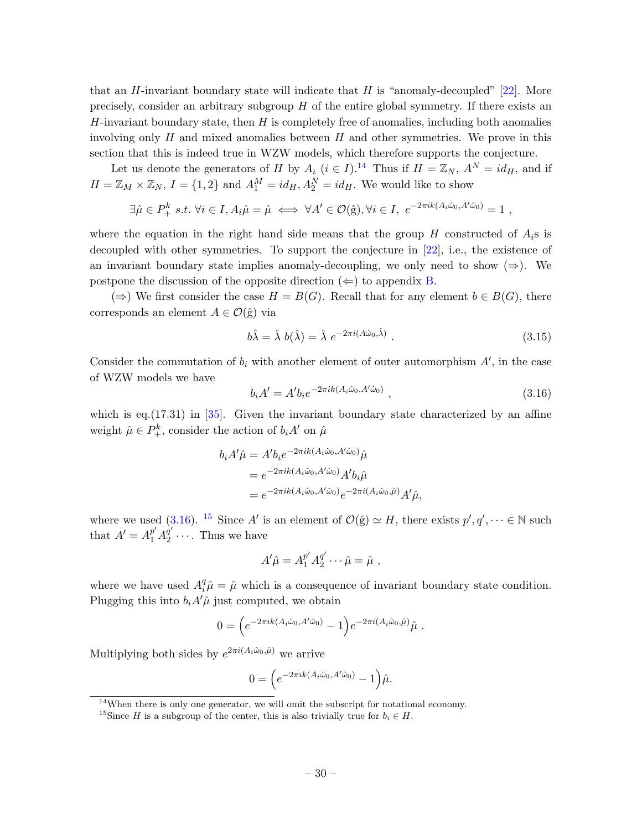that an H-invariant boundary state will indicate that H is "anomaly-decoupled"  $[22]$ . More precisely, consider an arbitrary subgroup H of the entire global symmetry. If there exists an  $H$ -invariant boundary state, then  $H$  is completely free of anomalies, including both anomalies involving only  $H$  and mixed anomalies between  $H$  and other symmetries. We prove in this section that this is indeed true in WZW models, which therefore supports the conjecture.

Let us denote the generators of H by  $A_i$   $(i \in I)$ .<sup>[14](#page-31-0)</sup> Thus if  $H = \mathbb{Z}_N$ ,  $A^N = id_H$ , and if  $H = \mathbb{Z}_M \times \mathbb{Z}_N$ ,  $I = \{1, 2\}$  and  $A_1^M = id_H, A_2^N = id_H$ . We would like to show

$$
\exists \hat{\mu} \in P_+^k \ s.t. \ \forall i \in I, A_i \hat{\mu} = \hat{\mu} \iff \forall A' \in \mathcal{O}(\hat{\mathbf{g}}), \forall i \in I, \ e^{-2\pi i k (A_i \hat{\omega}_0, A' \hat{\omega}_0)} = 1 \ ,
$$

where the equation in the right hand side means that the group H constructed of  $A_i$ s is decoupled with other symmetries. To support the conjecture in [\[22\]](#page-44-0), i.e., the existence of an invariant boundary state implies anomaly-decoupling, we only need to show  $(\Rightarrow)$ . We postpone the discussion of the opposite direction  $(\Leftarrow)$  to appendix [B.](#page-37-0)

(⇒) We first consider the case  $H = B(G)$ . Recall that for any element  $b \in B(G)$ , there corresponds an element  $A \in \mathcal{O}(\hat{g})$  via

$$
b\hat{\lambda} = \hat{\lambda} b(\hat{\lambda}) = \hat{\lambda} e^{-2\pi i (A\hat{\omega}_0, \hat{\lambda})}.
$$
 (3.15)

Consider the commutation of  $b_i$  with another element of outer automorphism  $A'$ , in the case of WZW models we have

<span id="page-31-1"></span>
$$
b_i A' = A' b_i e^{-2\pi i k (A_i \hat{\omega}_0, A' \hat{\omega}_0)}, \qquad (3.16)
$$

which is eq. $(17.31)$  in  $[35]$ . Given the invariant boundary state characterized by an affine weight  $\hat{\mu} \in P_+^k$ , consider the action of  $b_i A'$  on  $\hat{\mu}$ 

$$
b_i A' \hat{\mu} = A' b_i e^{-2\pi i k (A_i \hat{\omega}_0, A' \hat{\omega}_0)} \hat{\mu}
$$
  
= 
$$
e^{-2\pi i k (A_i \hat{\omega}_0, A' \hat{\omega}_0)} A' b_i \hat{\mu}
$$
  
= 
$$
e^{-2\pi i k (A_i \hat{\omega}_0, A' \hat{\omega}_0)} e^{-2\pi i (A_i \hat{\omega}_0, \hat{\mu})} A' \hat{\mu},
$$

where we used [\(3.16\)](#page-31-1). <sup>[15](#page-31-2)</sup> Since A' is an element of  $\mathcal{O}(\hat{g}) \simeq H$ , there exists  $p', q', \dots \in \mathbb{N}$  such that  $A' = A_1^{p'} A_2^{q'}$  $\frac{q}{2}$  .... Thus we have

$$
A'\hat{\mu} = A_1^{p'}A_2^{q'}\cdots \hat{\mu} = \hat{\mu} ,
$$

where we have used  $A_i^q \hat{\mu} = \hat{\mu}$  which is a consequence of invariant boundary state condition. Plugging this into  $b_i A' \hat{\mu}$  just computed, we obtain

$$
0 = \left(e^{-2\pi i k(A_i\hat{\omega}_0, A'\hat{\omega}_0)} - 1\right)e^{-2\pi i(A_i\hat{\omega}_0, \hat{\mu})}\hat{\mu} .
$$

Multiplying both sides by  $e^{2\pi i(A_i\hat{\omega}_0,\hat{\mu})}$  we arrive

$$
0 = \left(e^{-2\pi i k(A_i\hat{\omega}_0, A'\hat{\omega}_0)} - 1\right)\hat{\mu}.
$$

<span id="page-31-0"></span><sup>14</sup>When there is only one generator, we will omit the subscript for notational economy.

<span id="page-31-2"></span><sup>&</sup>lt;sup>15</sup>Since H is a subgroup of the center, this is also trivially true for  $b_i \in H$ .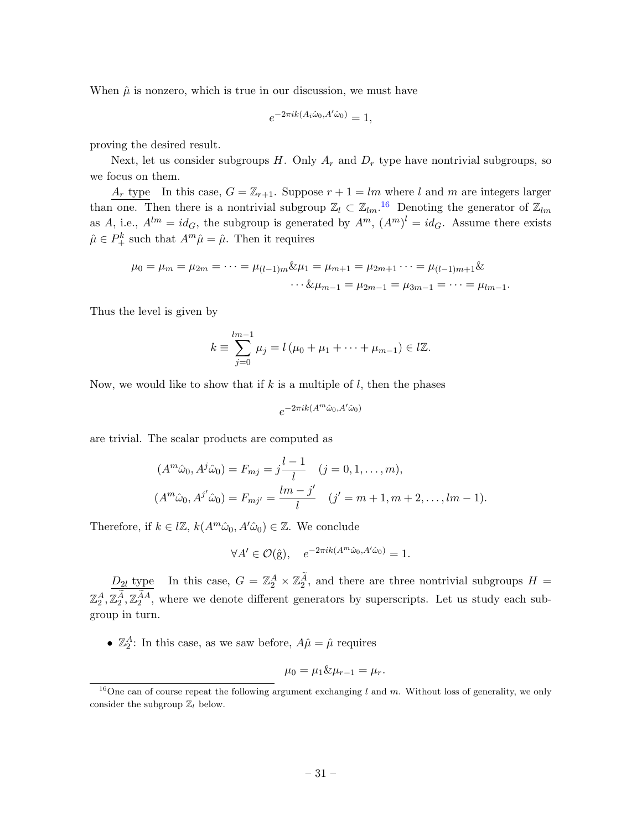When  $\hat{\mu}$  is nonzero, which is true in our discussion, we must have

$$
e^{-2\pi i k(A_i\hat{\omega}_0, A'\hat{\omega}_0)} = 1,
$$

proving the desired result.

Next, let us consider subgroups  $H$ . Only  $A_r$  and  $D_r$  type have nontrivial subgroups, so we focus on them.

 $A_r$  type In this case,  $G = \mathbb{Z}_{r+1}$ . Suppose  $r+1 = lm$  where l and m are integers larger than one. Then there is a nontrivial subgroup  $\mathbb{Z}_l \subset \mathbb{Z}_{lm}$ .<sup>[16](#page-32-0)</sup> Denoting the generator of  $\mathbb{Z}_{lm}$ as A, i.e.,  $A^{lm} = id_G$ , the subgroup is generated by  $A^m$ ,  $(A^m)^l = id_G$ . Assume there exists  $\hat{\mu} \in P_+^k$  such that  $A^m \hat{\mu} = \hat{\mu}$ . Then it requires

$$
\mu_0 = \mu_m = \mu_{2m} = \dots = \mu_{(l-1)m} \& \mu_1 = \mu_{m+1} = \mu_{2m+1} \dots = \mu_{(l-1)m+1} \& \n\cdots \& \mu_{m-1} = \mu_{2m-1} = \mu_{3m-1} = \dots = \mu_{lm-1}.
$$

Thus the level is given by

$$
k \equiv \sum_{j=0}^{lm-1} \mu_j = l(\mu_0 + \mu_1 + \dots + \mu_{m-1}) \in l\mathbb{Z}.
$$

Now, we would like to show that if  $k$  is a multiple of  $l$ , then the phases

$$
e^{-2\pi i k(A^m\hat{\omega}_0, A'\hat{\omega}_0)}
$$

are trivial. The scalar products are computed as

$$
(Am\hat{\omega}_0, Aj\hat{\omega}_0) = F_{mj} = j\frac{l-1}{l} \quad (j = 0, 1, ..., m),
$$
  

$$
(Am\hat{\omega}_0, Aj\hat{\omega}_0) = F_{mj'} = \frac{lm - j'}{l} \quad (j' = m + 1, m + 2, ..., lm - 1).
$$

Therefore, if  $k \in \mathbb{Z}$ ,  $k(A^m\hat{\omega}_0, A'\hat{\omega}_0) \in \mathbb{Z}$ . We conclude

$$
\forall A' \in \mathcal{O}(\hat{\mathbf{g}}), \quad e^{-2\pi i k (A^m \hat{\omega}_0, A' \hat{\omega}_0)} = 1.
$$

 $D_{2l}$  type In this case,  $G = \mathbb{Z}_2^A \times \mathbb{Z}_2^A$ , and there are three nontrivial subgroups  $H =$  $\mathbb{Z}_2^A, \mathbb{Z}_2^{\tilde{A}}, \mathbb{Z}_2^{\tilde{A}A}$ , where we denote different generators by superscripts. Let us study each subgroup in turn.

•  $\mathbb{Z}_2^A$ : In this case, as we saw before,  $A\hat{\mu} = \hat{\mu}$  requires

$$
\mu_0=\mu_1\&\mu_{r-1}=\mu_r.
$$

<span id="page-32-0"></span><sup>&</sup>lt;sup>16</sup>One can of course repeat the following argument exchanging l and m. Without loss of generality, we only consider the subgroup  $\mathbb{Z}_l$  below.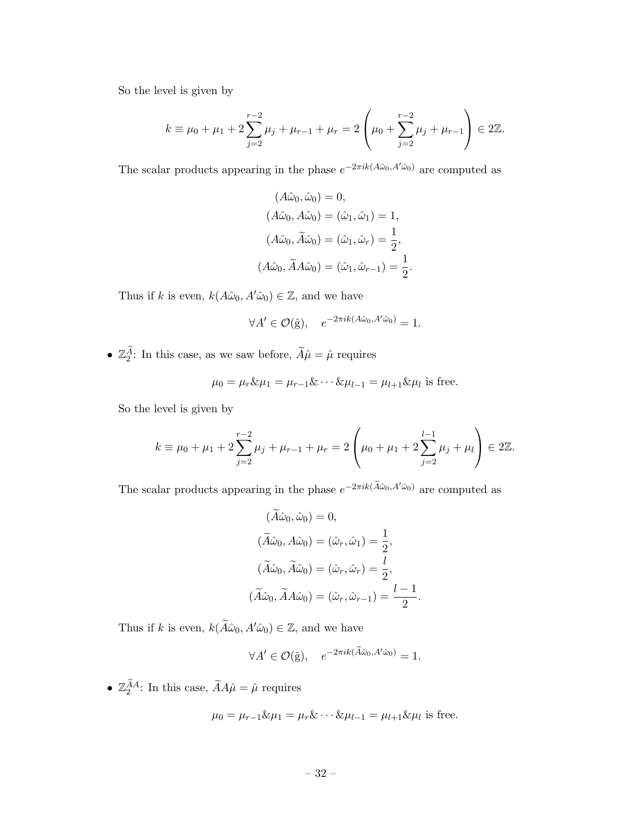So the level is given by

$$
k \equiv \mu_0 + \mu_1 + 2\sum_{j=2}^{r-2} \mu_j + \mu_{r-1} + \mu_r = 2\left(\mu_0 + \sum_{j=2}^{r-2} \mu_j + \mu_{r-1}\right) \in 2\mathbb{Z}.
$$

The scalar products appearing in the phase  $e^{-2\pi i k(A\hat{\omega}_0, A'\hat{\omega}_0)}$  are computed as

$$
(A\hat{\omega}_0, \hat{\omega}_0) = 0,
$$
  
\n
$$
(A\hat{\omega}_0, A\hat{\omega}_0) = (\hat{\omega}_1, \hat{\omega}_1) = 1,
$$
  
\n
$$
(A\hat{\omega}_0, \tilde{A}\hat{\omega}_0) = (\hat{\omega}_1, \hat{\omega}_r) = \frac{1}{2},
$$
  
\n
$$
(A\hat{\omega}_0, \tilde{A}A\hat{\omega}_0) = (\hat{\omega}_1, \hat{\omega}_{r-1}) = \frac{1}{2}
$$

.

.

Thus if k is even,  $k(A\hat{\omega}_0, A'\hat{\omega}_0) \in \mathbb{Z}$ , and we have

$$
\forall A' \in \mathcal{O}(\hat{g}), \quad e^{-2\pi i k(A\hat{\omega}_0, A'\hat{\omega}_0)} = 1.
$$

•  $\mathbb{Z}_2^A$ : In this case, as we saw before,  $\widetilde{A}\hat{\mu} = \hat{\mu}$  requires

$$
\mu_0 = \mu_r \& \mu_1 = \mu_{r-1} \& \cdots \& \mu_{l-1} = \mu_{l+1} \& \mu_l
$$
 is free.

So the level is given by

$$
k \equiv \mu_0 + \mu_1 + 2\sum_{j=2}^{r-2} \mu_j + \mu_{r-1} + \mu_r = 2\left(\mu_0 + \mu_1 + 2\sum_{j=2}^{l-1} \mu_j + \mu_l\right) \in 2\mathbb{Z}.
$$

The scalar products appearing in the phase  $e^{-2\pi i k(\tilde{A}\hat{\omega}_0, A'\hat{\omega}_0)}$  are computed as

$$
(\widetilde{A}\hat{\omega}_0, \hat{\omega}_0) = 0,
$$
  
\n
$$
(\widetilde{A}\hat{\omega}_0, A\hat{\omega}_0) = (\hat{\omega}_r, \hat{\omega}_1) = \frac{1}{2},
$$
  
\n
$$
(\widetilde{A}\hat{\omega}_0, \widetilde{A}\hat{\omega}_0) = (\hat{\omega}_r, \hat{\omega}_r) = \frac{l}{2},
$$
  
\n
$$
(\widetilde{A}\hat{\omega}_0, \widetilde{A}A\hat{\omega}_0) = (\hat{\omega}_r, \hat{\omega}_{r-1}) = \frac{l-1}{2}
$$

Thus if k is even,  $k(\tilde{A}\hat{\omega}_0, A'\hat{\omega}_0) \in \mathbb{Z}$ , and we have

$$
\forall A' \in \mathcal{O}(\hat{g}), \quad e^{-2\pi i k(\widetilde{A}\hat{\omega}_0, A'\hat{\omega}_0)} = 1.
$$

•  $\mathbb{Z}_2^{\tilde{A}A}$ : In this case,  $\tilde{A}A\hat{\mu} = \hat{\mu}$  requires

$$
\mu_0 = \mu_{r-1} \& \mu_1 = \mu_r \& \cdots \& \mu_{l-1} = \mu_{l+1} \& \mu_l
$$
 is free.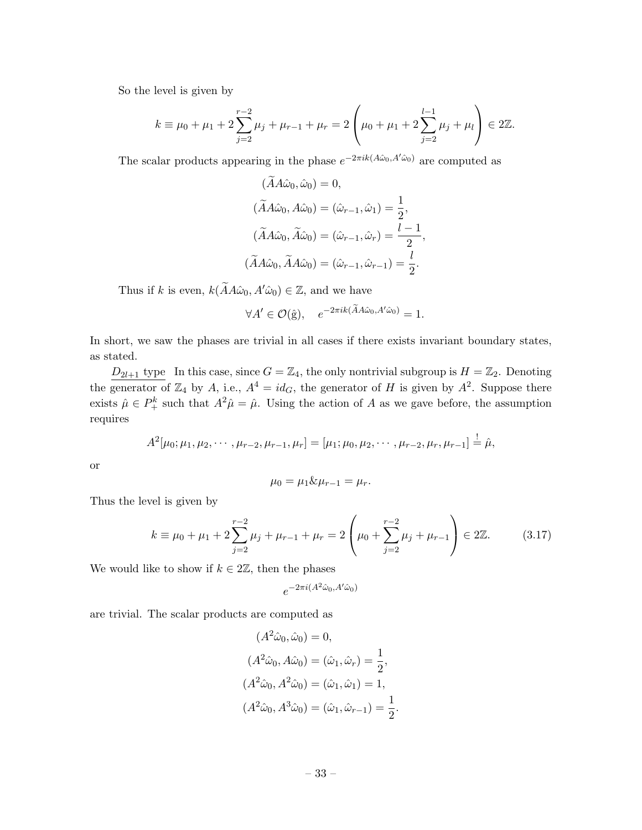So the level is given by

$$
k \equiv \mu_0 + \mu_1 + 2\sum_{j=2}^{r-2} \mu_j + \mu_{r-1} + \mu_r = 2\left(\mu_0 + \mu_1 + 2\sum_{j=2}^{l-1} \mu_j + \mu_l\right) \in 2\mathbb{Z}.
$$

The scalar products appearing in the phase  $e^{-2\pi i k(A\hat{\omega}_0, A'\hat{\omega}_0)}$  are computed as

$$
(AA\hat{\omega}_0, \hat{\omega}_0) = 0,
$$
  
\n
$$
(\tilde{A}A\hat{\omega}_0, A\hat{\omega}_0) = (\hat{\omega}_{r-1}, \hat{\omega}_1) = \frac{1}{2},
$$
  
\n
$$
(\tilde{A}A\hat{\omega}_0, \tilde{A}\hat{\omega}_0) = (\hat{\omega}_{r-1}, \hat{\omega}_r) = \frac{l-1}{2},
$$
  
\n
$$
(\tilde{A}A\hat{\omega}_0, \tilde{A}A\hat{\omega}_0) = (\hat{\omega}_{r-1}, \hat{\omega}_{r-1}) = \frac{l}{2}.
$$

Thus if k is even,  $k(\tilde{A}A\hat{\omega}_0, A'\hat{\omega}_0) \in \mathbb{Z}$ , and we have

$$
\forall A' \in \mathcal{O}(\hat{g}), \quad e^{-2\pi i k(\tilde{A}A\hat{\omega}_0, A'\hat{\omega}_0)} = 1.
$$

In short, we saw the phases are trivial in all cases if there exists invariant boundary states, as stated.

 $D_{2l+1}$  type In this case, since  $G = \mathbb{Z}_4$ , the only nontrivial subgroup is  $H = \mathbb{Z}_2$ . Denoting the generator of  $\mathbb{Z}_4$  by A, i.e.,  $A^4 = id_G$ , the generator of H is given by  $A^2$ . Suppose there exists  $\hat{\mu} \in P_+^k$  such that  $A^2 \hat{\mu} = \hat{\mu}$ . Using the action of A as we gave before, the assumption requires

$$
A^{2}[\mu_0; \mu_1, \mu_2, \cdots, \mu_{r-2}, \mu_{r-1}, \mu_r] = [\mu_1; \mu_0, \mu_2, \cdots, \mu_{r-2}, \mu_r, \mu_{r-1}] \stackrel{!}{=} \hat{\mu},
$$

or

$$
\mu_0 = \mu_1 \& \mu_{r-1} = \mu_r.
$$

Thus the level is given by

$$
k \equiv \mu_0 + \mu_1 + 2\sum_{j=2}^{r-2} \mu_j + \mu_{r-1} + \mu_r = 2\left(\mu_0 + \sum_{j=2}^{r-2} \mu_j + \mu_{r-1}\right) \in 2\mathbb{Z}.
$$
 (3.17)

We would like to show if  $k \in 2\mathbb{Z}$ , then the phases

$$
e^{-2\pi i(A^2\hat{\omega}_0, A'\hat{\omega}_0)}
$$

are trivial. The scalar products are computed as

$$
(A^{2}\hat{\omega}_{0}, \hat{\omega}_{0}) = 0,
$$
  
\n
$$
(A^{2}\hat{\omega}_{0}, A\hat{\omega}_{0}) = (\hat{\omega}_{1}, \hat{\omega}_{r}) = \frac{1}{2},
$$
  
\n
$$
(A^{2}\hat{\omega}_{0}, A^{2}\hat{\omega}_{0}) = (\hat{\omega}_{1}, \hat{\omega}_{1}) = 1,
$$
  
\n
$$
(A^{2}\hat{\omega}_{0}, A^{3}\hat{\omega}_{0}) = (\hat{\omega}_{1}, \hat{\omega}_{r-1}) = \frac{1}{2}.
$$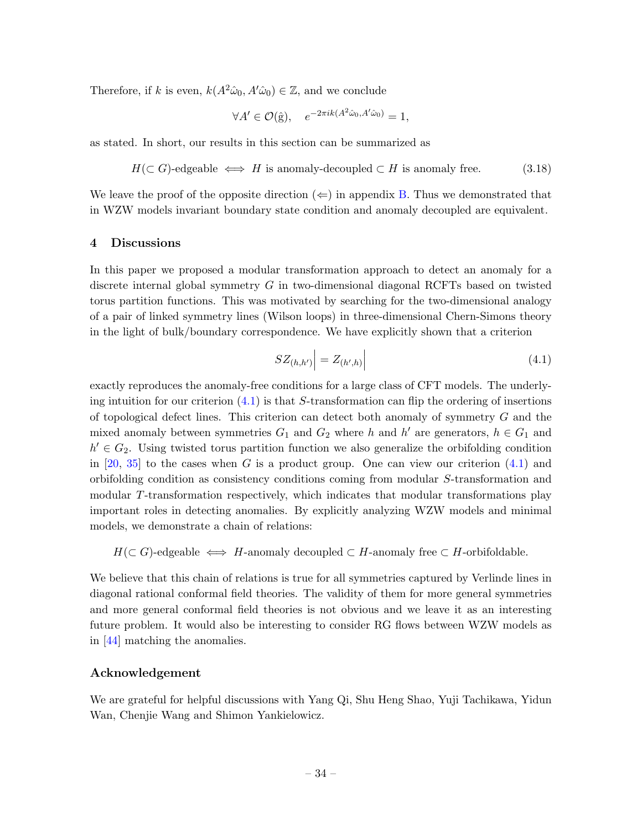Therefore, if k is even,  $k(A^2\hat{\omega}_0, A'\hat{\omega}_0) \in \mathbb{Z}$ , and we conclude

$$
\forall A' \in \mathcal{O}(\hat{\mathbf{g}}), \quad e^{-2\pi i k (A^2 \hat{\omega}_0, A' \hat{\omega}_0)} = 1,
$$

as stated. In short, our results in this section can be summarized as

$$
H(\subset G)
$$
-edgeable  $\iff H$  is anomaly-decoupled  $\subset H$  is anomaly free. (3.18)

We leave the proof of the opposite direction  $(\Leftarrow)$  in appendix [B.](#page-37-0) Thus we demonstrated that in WZW models invariant boundary state condition and anomaly decoupled are equivalent.

### <span id="page-35-0"></span>4 Discussions

In this paper we proposed a modular transformation approach to detect an anomaly for a discrete internal global symmetry G in two-dimensional diagonal RCFTs based on twisted torus partition functions. This was motivated by searching for the two-dimensional analogy of a pair of linked symmetry lines (Wilson loops) in three-dimensional Chern-Simons theory in the light of bulk/boundary correspondence. We have explicitly shown that a criterion

<span id="page-35-1"></span>
$$
SZ_{(h,h')} \Big| = Z_{(h',h)} \Big| \tag{4.1}
$$

exactly reproduces the anomaly-free conditions for a large class of CFT models. The underlying intuition for our criterion  $(4.1)$  is that S-transformation can flip the ordering of insertions of topological defect lines. This criterion can detect both anomaly of symmetry G and the mixed anomaly between symmetries  $G_1$  and  $G_2$  where h and h' are generators,  $h \in G_1$  and  $h' \in G_2$ . Using twisted torus partition function we also generalize the orbifolding condition in [\[20,](#page-44-1) [35\]](#page-44-6) to the cases when G is a product group. One can view our criterion  $(4.1)$  and orbifolding condition as consistency conditions coming from modular S-transformation and modular T-transformation respectively, which indicates that modular transformations play important roles in detecting anomalies. By explicitly analyzing WZW models and minimal models, we demonstrate a chain of relations:

 $H(\subset G)$ -edgeable  $\iff H$ -anomaly decoupled  $\subset H$ -anomaly free  $\subset H$ -orbifoldable.

We believe that this chain of relations is true for all symmetries captured by Verlinde lines in diagonal rational conformal field theories. The validity of them for more general symmetries and more general conformal field theories is not obvious and we leave it as an interesting future problem. It would also be interesting to consider RG flows between WZW models as in [\[44\]](#page-45-7) matching the anomalies.

# Acknowledgement

We are grateful for helpful discussions with Yang Qi, Shu Heng Shao, Yuji Tachikawa, Yidun Wan, Chenjie Wang and Shimon Yankielowicz.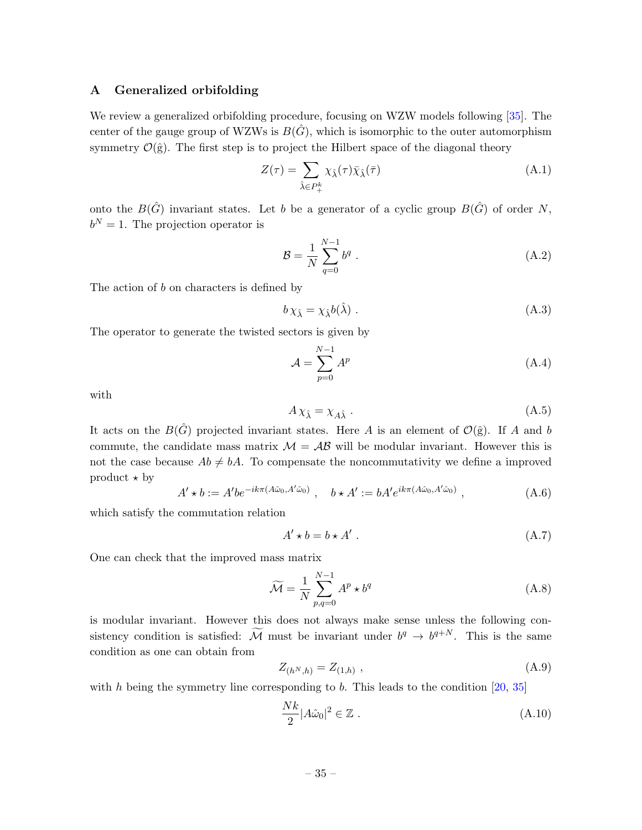### <span id="page-36-0"></span>A Generalized orbifolding

We review a generalized orbifolding procedure, focusing on WZW models following [\[35\]](#page-44-6). The center of the gauge group of WZWs is  $B(\hat{G})$ , which is isomorphic to the outer automorphism symmetry  $\mathcal{O}(\hat{g})$ . The first step is to project the Hilbert space of the diagonal theory

$$
Z(\tau) = \sum_{\hat{\lambda} \in P_{+}^{k}} \chi_{\hat{\lambda}}(\tau) \bar{\chi}_{\hat{\lambda}}(\bar{\tau})
$$
\n(A.1)

onto the  $B(\hat{G})$  invariant states. Let b be a generator of a cyclic group  $B(\hat{G})$  of order N,  $b^N = 1$ . The projection operator is

$$
\mathcal{B} = \frac{1}{N} \sum_{q=0}^{N-1} b^q .
$$
 (A.2)

The action of b on characters is defined by

$$
b\,\chi_{\hat{\lambda}} = \chi_{\hat{\lambda}}b(\hat{\lambda})\,. \tag{A.3}
$$

The operator to generate the twisted sectors is given by

$$
\mathcal{A} = \sum_{p=0}^{N-1} A^p \tag{A.4}
$$

with

$$
A\chi_{\hat{\lambda}} = \chi_{A\hat{\lambda}} \tag{A.5}
$$

It acts on the  $B(\hat{G})$  projected invariant states. Here A is an element of  $\mathcal{O}(\hat{g})$ . If A and b commute, the candidate mass matrix  $\mathcal{M} = \mathcal{AB}$  will be modular invariant. However this is not the case because  $Ab \neq bA$ . To compensate the noncommutativity we define a improved product  $\star$  by

$$
A' \star b := A' b e^{-ik\pi(A\hat{\omega}_0, A'\hat{\omega}_0)}, \quad b \star A' := b A' e^{ik\pi(A\hat{\omega}_0, A'\hat{\omega}_0)}, \tag{A.6}
$$

which satisfy the commutation relation

$$
A' \star b = b \star A' \tag{A.7}
$$

One can check that the improved mass matrix

$$
\widetilde{\mathcal{M}} = \frac{1}{N} \sum_{p,q=0}^{N-1} A^p \star b^q
$$
\n(A.8)

is modular invariant. However this does not always make sense unless the following consistency condition is satisfied:  $\widetilde{\mathcal{M}}$  must be invariant under  $b^q \to b^{q+N}$ . This is the same condition as one can obtain from

$$
Z_{(h^N,h)} = Z_{(1,h)} \t{,} \t\t(A.9)
$$

with  $h$  being the symmetry line corresponding to  $b$ . This leads to the condition [\[20,](#page-44-1) [35\]](#page-44-6)

$$
\frac{Nk}{2}|A\hat{\omega}_0|^2 \in \mathbb{Z} \ . \tag{A.10}
$$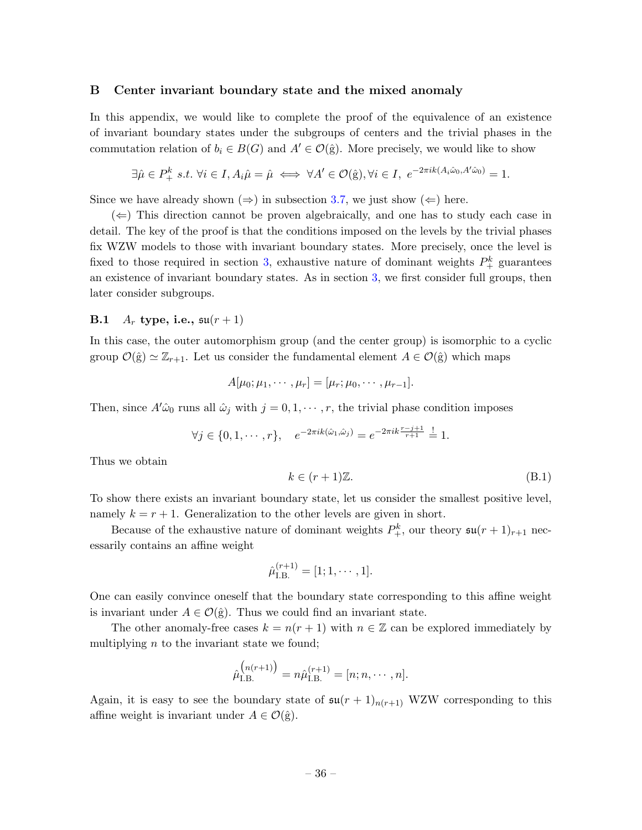### <span id="page-37-0"></span>B Center invariant boundary state and the mixed anomaly

In this appendix, we would like to complete the proof of the equivalence of an existence of invariant boundary states under the subgroups of centers and the trivial phases in the commutation relation of  $b_i \in B(G)$  and  $A' \in \mathcal{O}(\hat{g})$ . More precisely, we would like to show

$$
\exists \hat{\mu} \in P_+^k \ s.t. \ \forall i \in I, A_i \hat{\mu} = \hat{\mu} \iff \forall A' \in \mathcal{O}(\hat{\mathbf{g}}), \forall i \in I, \ e^{-2\pi i k (A_i \hat{\omega}_0, A' \hat{\omega}_0)} = 1.
$$

Since we have already shown  $(\Rightarrow)$  in subsection [3.7,](#page-30-0) we just show  $(\Leftarrow)$  here.

 $(\Leftarrow)$  This direction cannot be proven algebraically, and one has to study each case in detail. The key of the proof is that the conditions imposed on the levels by the trivial phases fix WZW models to those with invariant boundary states. More precisely, once the level is fixed to those required in section [3,](#page-25-0) exhaustive nature of dominant weights  $P_+^k$  guarantees an existence of invariant boundary states. As in section [3,](#page-25-0) we first consider full groups, then later consider subgroups.

# <span id="page-37-1"></span>B.1  $A_r$  type, i.e.,  $\mathfrak{su}(r+1)$

In this case, the outer automorphism group (and the center group) is isomorphic to a cyclic group  $\mathcal{O}(\hat{g}) \simeq \mathbb{Z}_{r+1}$ . Let us consider the fundamental element  $A \in \mathcal{O}(\hat{g})$  which maps

$$
A[\mu_0; \mu_1, \cdots, \mu_r] = [\mu_r; \mu_0, \cdots, \mu_{r-1}].
$$

Then, since  $A'\hat{\omega}_0$  runs all  $\hat{\omega}_j$  with  $j = 0, 1, \dots, r$ , the trivial phase condition imposes

$$
\forall j \in \{0, 1, \cdots, r\}, \quad e^{-2\pi i k(\hat{\omega}_1, \hat{\omega}_j)} = e^{-2\pi i k \frac{r-j+1}{r+1}} \stackrel{!}{=} 1.
$$

Thus we obtain

$$
k \in (r+1)\mathbb{Z}.\tag{B.1}
$$

To show there exists an invariant boundary state, let us consider the smallest positive level, namely  $k = r + 1$ . Generalization to the other levels are given in short.

Because of the exhaustive nature of dominant weights  $P_+^k$ , our theory  $\mathfrak{su}(r+1)_{r+1}$  necessarily contains an affine weight

$$
\hat{\mu}_{\text{I.B.}}^{(r+1)} = [1; 1, \cdots, 1].
$$

One can easily convince oneself that the boundary state corresponding to this affine weight is invariant under  $A \in \mathcal{O}(\hat{g})$ . Thus we could find an invariant state.

The other anomaly-free cases  $k = n(r + 1)$  with  $n \in \mathbb{Z}$  can be explored immediately by multiplying  $n$  to the invariant state we found;

$$
\hat{\mu}_{\text{I.B.}}^{(n(r+1))} = n\hat{\mu}_{\text{I.B.}}^{(r+1)} = [n; n, \cdots, n].
$$

Again, it is easy to see the boundary state of  $\mathfrak{su}(r+1)_{n(r+1)}$  WZW corresponding to this affine weight is invariant under  $A \in \mathcal{O}(\hat{g})$ .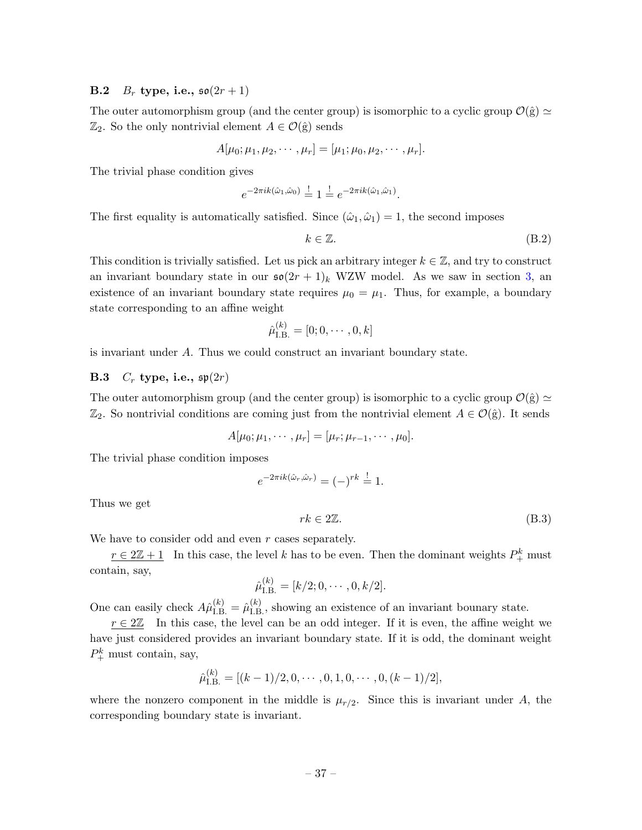# <span id="page-38-0"></span>**B.2**  $B_r$  type, i.e.,  $\mathfrak{so}(2r+1)$

The outer automorphism group (and the center group) is isomorphic to a cyclic group  $\mathcal{O}(\hat{g}) \simeq$  $\mathbb{Z}_2$ . So the only nontrivial element  $A \in \mathcal{O}(\hat{g})$  sends

$$
A[\mu_0; \mu_1, \mu_2, \cdots, \mu_r] = [\mu_1; \mu_0, \mu_2, \cdots, \mu_r].
$$

The trivial phase condition gives

$$
e^{-2\pi i k(\hat{\omega}_1,\hat{\omega}_0)} \stackrel{!}{=} 1 \stackrel{!}{=} e^{-2\pi i k(\hat{\omega}_1,\hat{\omega}_1)}.
$$

The first equality is automatically satisfied. Since  $(\hat{\omega}_1, \hat{\omega}_1) = 1$ , the second imposes

$$
k \in \mathbb{Z}.\tag{B.2}
$$

This condition is trivially satisfied. Let us pick an arbitrary integer  $k \in \mathbb{Z}$ , and try to construct an invariant boundary state in our  $\mathfrak{so}(2r+1)_k$  WZW model. As we saw in section [3,](#page-25-0) an existence of an invariant boundary state requires  $\mu_0 = \mu_1$ . Thus, for example, a boundary state corresponding to an affine weight

$$
\hat{\mu}_{\text{I.B.}}^{(k)} = [0; 0, \cdots, 0, k]
$$

is invariant under A. Thus we could construct an invariant boundary state.

## <span id="page-38-1"></span>**B.3**  $C_r$  type, i.e.,  $\mathfrak{sp}(2r)$

The outer automorphism group (and the center group) is isomorphic to a cyclic group  $\mathcal{O}(\hat{g}) \simeq$  $\mathbb{Z}_2$ . So nontrivial conditions are coming just from the nontrivial element  $A \in \mathcal{O}(\hat{g})$ . It sends

$$
A[\mu_0; \mu_1, \cdots, \mu_r] = [\mu_r; \mu_{r-1}, \cdots, \mu_0].
$$

The trivial phase condition imposes

$$
e^{-2\pi i k(\hat{\omega}_r, \hat{\omega}_r)} = (-)^{rk} \stackrel{!}{=} 1.
$$

Thus we get

$$
rk \in 2\mathbb{Z}.\tag{B.3}
$$

We have to consider odd and even r cases separately.

 $r \in 2\mathbb{Z}+1$  In this case, the level k has to be even. Then the dominant weights  $P_+^k$  must contain, say,

$$
\hat{\mu}_{\text{I.B.}}^{(k)} = [k/2; 0, \cdots, 0, k/2].
$$

One can easily check  $A\hat{\mu}_{\text{LB}}^{(k)} = \hat{\mu}_{\text{LB}}^{(k)}$ , showing an existence of an invariant bounary state.

 $r \in 2\mathbb{Z}$  In this case, the level can be an odd integer. If it is even, the affine weight we have just considered provides an invariant boundary state. If it is odd, the dominant weight  $P_+^k$  must contain, say,

$$
\hat{\mu}_{\text{I.B.}}^{(k)} = [(k-1)/2, 0, \cdots, 0, 1, 0, \cdots, 0, (k-1)/2],
$$

where the nonzero component in the middle is  $\mu_{r/2}$ . Since this is invariant under A, the corresponding boundary state is invariant.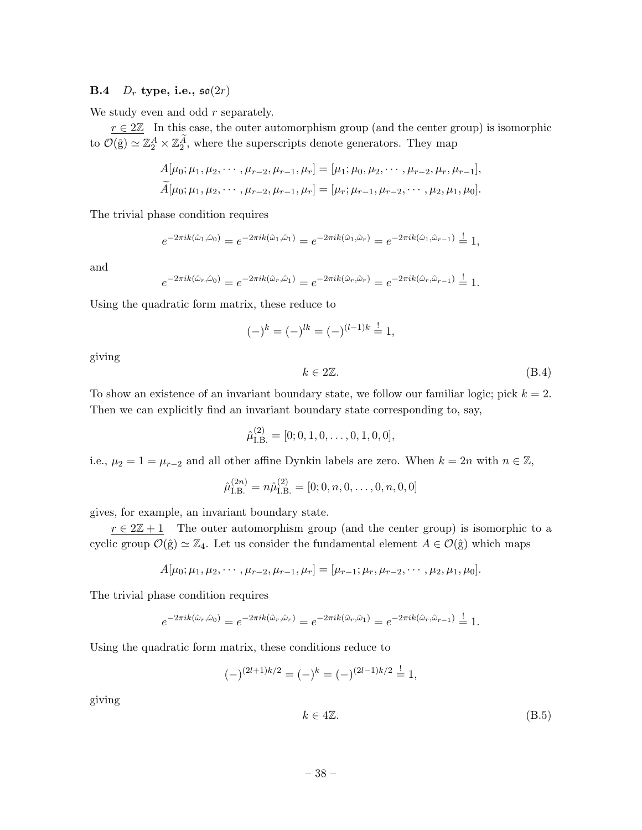### <span id="page-39-0"></span>**B.4**  $D_r$  type, i.e.,  $\mathfrak{so}(2r)$

We study even and odd  $r$  separately.

 $r \in 2\mathbb{Z}$  In this case, the outer automorphism group (and the center group) is isomorphic to  $\mathcal{O}(\hat{g}) \simeq \mathbb{Z}_2^A \times \mathbb{Z}_2^A$ , where the superscripts denote generators. They map

$$
A[\mu_0; \mu_1, \mu_2, \cdots, \mu_{r-2}, \mu_{r-1}, \mu_r] = [\mu_1; \mu_0, \mu_2, \cdots, \mu_{r-2}, \mu_r, \mu_{r-1}],
$$
  

$$
\widetilde{A}[\mu_0; \mu_1, \mu_2, \cdots, \mu_{r-2}, \mu_{r-1}, \mu_r] = [\mu_r; \mu_{r-1}, \mu_{r-2}, \cdots, \mu_2, \mu_1, \mu_0].
$$

The trivial phase condition requires

$$
e^{-2\pi i k(\hat{\omega}_1, \hat{\omega}_0)} = e^{-2\pi i k(\hat{\omega}_1, \hat{\omega}_1)} = e^{-2\pi i k(\hat{\omega}_1, \hat{\omega}_r)} = e^{-2\pi i k(\hat{\omega}_1, \hat{\omega}_{r-1})} = 1,
$$

and

$$
e^{-2\pi i k(\hat{\omega}_r, \hat{\omega}_0)} = e^{-2\pi i k(\hat{\omega}_r, \hat{\omega}_1)} = e^{-2\pi i k(\hat{\omega}_r, \hat{\omega}_r)} = e^{-2\pi i k(\hat{\omega}_r, \hat{\omega}_{r-1})} = 1.
$$

Using the quadratic form matrix, these reduce to

$$
(-)^k = (-)^{lk} = (-)^{(l-1)k} = 1,
$$

giving

$$
k \in 2\mathbb{Z}.\tag{B.4}
$$

To show an existence of an invariant boundary state, we follow our familiar logic; pick  $k = 2$ . Then we can explicitly find an invariant boundary state corresponding to, say,

$$
\hat{\mu}_{\text{I.B.}}^{(2)} = [0; 0, 1, 0, \dots, 0, 1, 0, 0],
$$

i.e.,  $\mu_2 = 1 = \mu_{r-2}$  and all other affine Dynkin labels are zero. When  $k = 2n$  with  $n \in \mathbb{Z}$ ,

$$
\hat{\mu}_{\text{I.B.}}^{(2n)} = n\hat{\mu}_{\text{I.B.}}^{(2)} = [0; 0, n, 0, \dots, 0, n, 0, 0]
$$

gives, for example, an invariant boundary state.

 $r \in 2\mathbb{Z}+1$  The outer automorphism group (and the center group) is isomorphic to a cyclic group  $\mathcal{O}(\hat{g}) \simeq \mathbb{Z}_4$ . Let us consider the fundamental element  $A \in \mathcal{O}(\hat{g})$  which maps

$$
A[\mu_0; \mu_1, \mu_2, \cdots, \mu_{r-2}, \mu_{r-1}, \mu_r] = [\mu_{r-1}; \mu_r, \mu_{r-2}, \cdots, \mu_2, \mu_1, \mu_0].
$$

The trivial phase condition requires

$$
e^{-2\pi i k(\hat{\omega}_r,\hat{\omega}_0)} = e^{-2\pi i k(\hat{\omega}_r,\hat{\omega}_r)} = e^{-2\pi i k(\hat{\omega}_r,\hat{\omega}_1)} = e^{-2\pi i k(\hat{\omega}_r,\hat{\omega}_{r-1})} = 1.
$$

Using the quadratic form matrix, these conditions reduce to

$$
(-)^{(2l+1)k/2} = (-)^k = (-)^{(2l-1)k/2} \stackrel{!}{=} 1,
$$

giving

$$
k \in 4\mathbb{Z}.\tag{B.5}
$$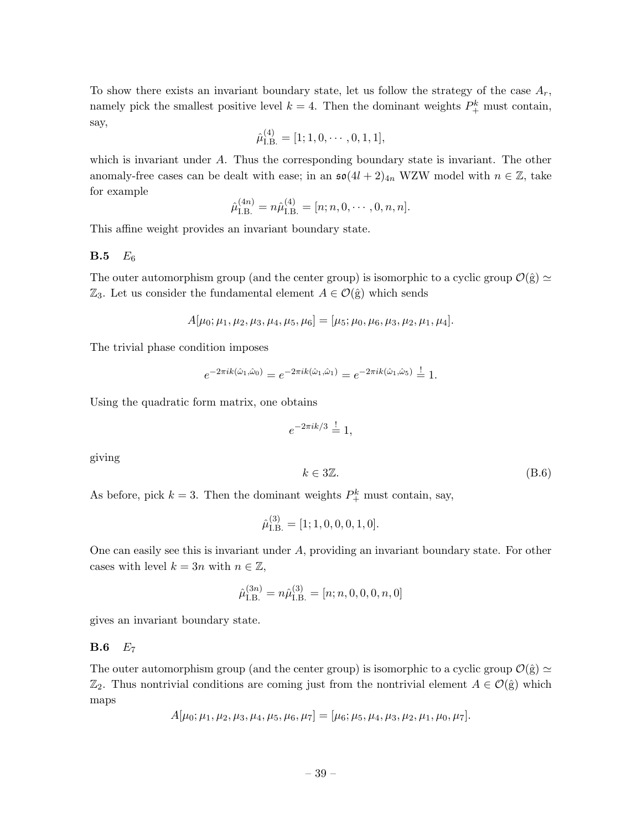To show there exists an invariant boundary state, let us follow the strategy of the case  $A_r$ , namely pick the smallest positive level  $k = 4$ . Then the dominant weights  $P_{+}^{k}$  must contain, say,

$$
\hat{\mu}_{\text{I.B.}}^{(4)} = [1; 1, 0, \cdots, 0, 1, 1],
$$

which is invariant under A. Thus the corresponding boundary state is invariant. The other anomaly-free cases can be dealt with ease; in an  $\mathfrak{so}(4l+2)_{4n}$  WZW model with  $n \in \mathbb{Z}$ , take for example

$$
\hat{\mu}_{\text{I.B.}}^{(4n)} = n\hat{\mu}_{\text{I.B.}}^{(4)} = [n; n, 0, \cdots, 0, n, n].
$$

This affine weight provides an invariant boundary state.

### <span id="page-40-0"></span> $B.5 E_6$

The outer automorphism group (and the center group) is isomorphic to a cyclic group  $\mathcal{O}(\hat{g}) \simeq$  $\mathbb{Z}_3$ . Let us consider the fundamental element  $A \in \mathcal{O}(\hat{g})$  which sends

$$
A[\mu_0; \mu_1, \mu_2, \mu_3, \mu_4, \mu_5, \mu_6] = [\mu_5; \mu_0, \mu_6, \mu_3, \mu_2, \mu_1, \mu_4].
$$

The trivial phase condition imposes

$$
e^{-2\pi i k(\hat{\omega}_1, \hat{\omega}_0)} = e^{-2\pi i k(\hat{\omega}_1, \hat{\omega}_1)} = e^{-2\pi i k(\hat{\omega}_1, \hat{\omega}_5)} \stackrel{!}{=} 1.
$$

Using the quadratic form matrix, one obtains

$$
e^{-2\pi i k/3} \stackrel{!}{=} 1,
$$

giving

$$
k \in 3\mathbb{Z}.\tag{B.6}
$$

As before, pick  $k = 3$ . Then the dominant weights  $P_+^k$  must contain, say,

$$
\hat{\mu}_{\text{I.B.}}^{(3)} = [1; 1, 0, 0, 0, 1, 0].
$$

One can easily see this is invariant under A, providing an invariant boundary state. For other cases with level  $k = 3n$  with  $n \in \mathbb{Z}$ ,

$$
\hat{\mu}_{\text{I.B.}}^{(3n)} = n\hat{\mu}_{\text{I.B.}}^{(3)} = [n; n, 0, 0, 0, n, 0]
$$

gives an invariant boundary state.

### <span id="page-40-1"></span> $\mathbf{B.6}$   $E_7$

The outer automorphism group (and the center group) is isomorphic to a cyclic group  $\mathcal{O}(\hat{g}) \simeq$  $\mathbb{Z}_2$ . Thus nontrivial conditions are coming just from the nontrivial element  $A \in \mathcal{O}(\hat{g})$  which maps

$$
A[\mu_0; \mu_1, \mu_2, \mu_3, \mu_4, \mu_5, \mu_6, \mu_7] = [\mu_6; \mu_5, \mu_4, \mu_3, \mu_2, \mu_1, \mu_0, \mu_7].
$$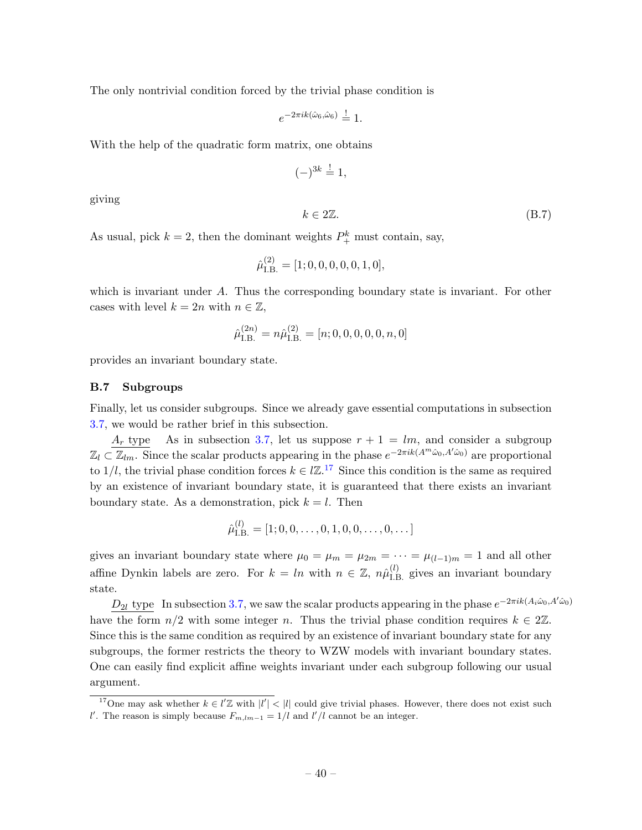The only nontrivial condition forced by the trivial phase condition is

 $e^{-2\pi i k(\hat{\omega}_6, \hat{\omega}_6)} \stackrel{!}{=} 1.$ 

With the help of the quadratic form matrix, one obtains

$$
(-)^{3k} \stackrel{!}{=} 1,
$$

giving

$$
k \in 2\mathbb{Z}.\tag{B.7}
$$

As usual, pick  $k = 2$ , then the dominant weights  $P_{+}^{k}$  must contain, say,

$$
\hat{\mu}_{\text{I.B.}}^{(2)} = [1; 0, 0, 0, 0, 0, 1, 0],
$$

which is invariant under A. Thus the corresponding boundary state is invariant. For other cases with level  $k = 2n$  with  $n \in \mathbb{Z}$ ,

$$
\hat{\mu}_{\text{I.B.}}^{(2n)} = n\hat{\mu}_{\text{I.B.}}^{(2)} = [n; 0, 0, 0, 0, 0, n, 0]
$$

provides an invariant boundary state.

### <span id="page-41-0"></span>B.7 Subgroups

Finally, let us consider subgroups. Since we already gave essential computations in subsection [3.7,](#page-30-0) we would be rather brief in this subsection.

 $A_r$  type As in subsection [3.7,](#page-30-0) let us suppose  $r + 1 = lm$ , and consider a subgroup  $\mathbb{Z}_l \subset \overline{\mathbb{Z}_{lm}}$ . Since the scalar products appearing in the phase  $e^{-2\pi i k(A^m\hat{\omega}_0, A^l\hat{\omega}_0)}$  are proportional to 1/l, the trivial phase condition forces  $k \in \mathbb{Z}^{17}$  $k \in \mathbb{Z}^{17}$  $k \in \mathbb{Z}^{17}$  Since this condition is the same as required by an existence of invariant boundary state, it is guaranteed that there exists an invariant boundary state. As a demonstration, pick  $k = l$ . Then

$$
\hat{\mu}_{\text{I.B.}}^{(l)} = [1; 0, 0, \dots, 0, 1, 0, 0, \dots, 0, \dots]
$$

gives an invariant boundary state where  $\mu_0 = \mu_m = \mu_{2m} = \cdots = \mu_{(l-1)m} = 1$  and all other affine Dynkin labels are zero. For  $k = ln$  with  $n \in \mathbb{Z}$ ,  $n\hat{\mu}_{\text{I.B.}}^{(l)}$  gives an invariant boundary state.

 $D_{2l}$  type In subsection [3.7,](#page-30-0) we saw the scalar products appearing in the phase  $e^{-2\pi i k(A_i\hat{\omega}_0, A'\hat{\omega}_0)}$ have the form  $n/2$  with some integer n. Thus the trivial phase condition requires  $k \in 2\mathbb{Z}$ . Since this is the same condition as required by an existence of invariant boundary state for any subgroups, the former restricts the theory to WZW models with invariant boundary states. One can easily find explicit affine weights invariant under each subgroup following our usual argument.

<span id="page-41-1"></span><sup>&</sup>lt;sup>17</sup>One may ask whether  $k \in l' \mathbb{Z}$  with  $|l'| < |l|$  could give trivial phases. However, there does not exist such l'. The reason is simply because  $F_{m,lm-1} = 1/l$  and  $l'/l$  cannot be an integer.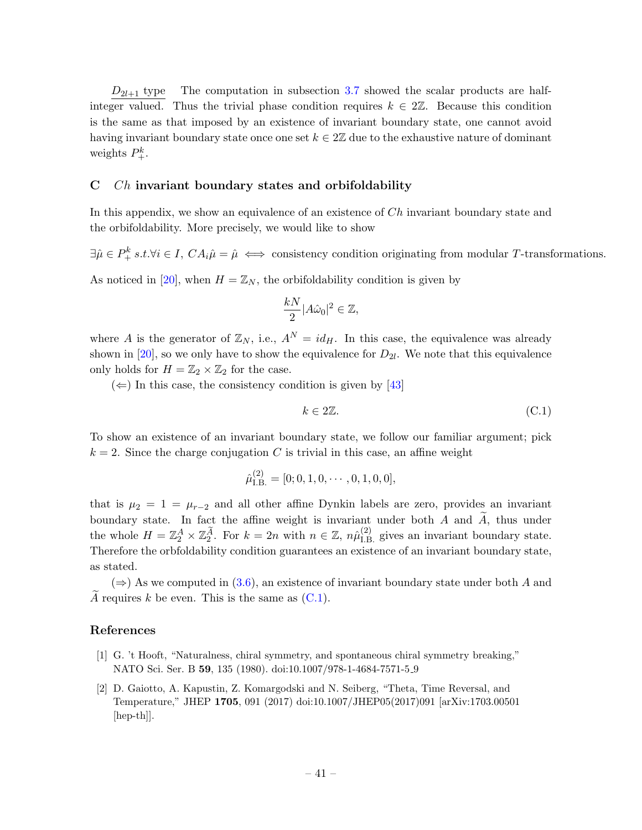$D_{2l+1}$  type The computation in subsection [3.7](#page-30-0) showed the scalar products are halfinteger valued. Thus the trivial phase condition requires  $k \in 2\mathbb{Z}$ . Because this condition is the same as that imposed by an existence of invariant boundary state, one cannot avoid having invariant boundary state once one set  $k \in 2\mathbb{Z}$  due to the exhaustive nature of dominant weights  $P_+^k$ .

### <span id="page-42-0"></span>C Ch invariant boundary states and orbifoldability

In this appendix, we show an equivalence of an existence of Ch invariant boundary state and the orbifoldability. More precisely, we would like to show

 $\exists \hat{\mu} \in P_+^k \ s.t. \forall i \in I, CA_i \hat{\mu} = \hat{\mu} \iff \text{consistency condition originating from modular } T\text{-transformations.}$ 

As noticed in [\[20\]](#page-44-1), when  $H = \mathbb{Z}_N$ , the orbifoldability condition is given by

$$
\frac{kN}{2}|A\hat{\omega}_0|^2 \in \mathbb{Z},
$$

where A is the generator of  $\mathbb{Z}_N$ , i.e.,  $A^N = id_H$ . In this case, the equivalence was already shown in [\[20\]](#page-44-1), so we only have to show the equivalence for  $D_{2l}$ . We note that this equivalence only holds for  $H = \mathbb{Z}_2 \times \mathbb{Z}_2$  for the case.

 $(\Leftarrow)$  In this case, the consistency condition is given by [\[43\]](#page-45-5)

<span id="page-42-3"></span>
$$
k \in 2\mathbb{Z}.\tag{C.1}
$$

To show an existence of an invariant boundary state, we follow our familiar argument; pick  $k = 2$ . Since the charge conjugation C is trivial in this case, an affine weight

$$
\hat{\mu}_{\text{I.B.}}^{(2)} = [0; 0, 1, 0, \cdots, 0, 1, 0, 0],
$$

that is  $\mu_2 = 1 = \mu_{r-2}$  and all other affine Dynkin labels are zero, provides an invariant boundary state. In fact the affine weight is invariant under both A and  $\widetilde{A}$ , thus under the whole  $H = \mathbb{Z}_2^A \times \mathbb{Z}_2^{\widetilde{A}}$ . For  $k = 2n$  with  $n \in \mathbb{Z}$ ,  $n\hat{\mu}_{\text{LB}}^{(2)}$  gives an invariant boundary state. Therefore the orbfoldability condition guarantees an existence of an invariant boundary state, as stated.

 $(\Rightarrow)$  As we computed in [\(3.6\)](#page-27-4), an existence of invariant boundary state under both A and  $\widetilde{A}$  requires k be even. This is the same as [\(C.1\)](#page-42-3).

### References

- <span id="page-42-1"></span>[1] G. 't Hooft, "Naturalness, chiral symmetry, and spontaneous chiral symmetry breaking," NATO Sci. Ser. B 59, 135 (1980). doi:10.1007/978-1-4684-7571-5 9
- <span id="page-42-2"></span>[2] D. Gaiotto, A. Kapustin, Z. Komargodski and N. Seiberg, "Theta, Time Reversal, and Temperature," JHEP 1705, 091 (2017) doi:10.1007/JHEP05(2017)091 [arXiv:1703.00501 [hep-th]].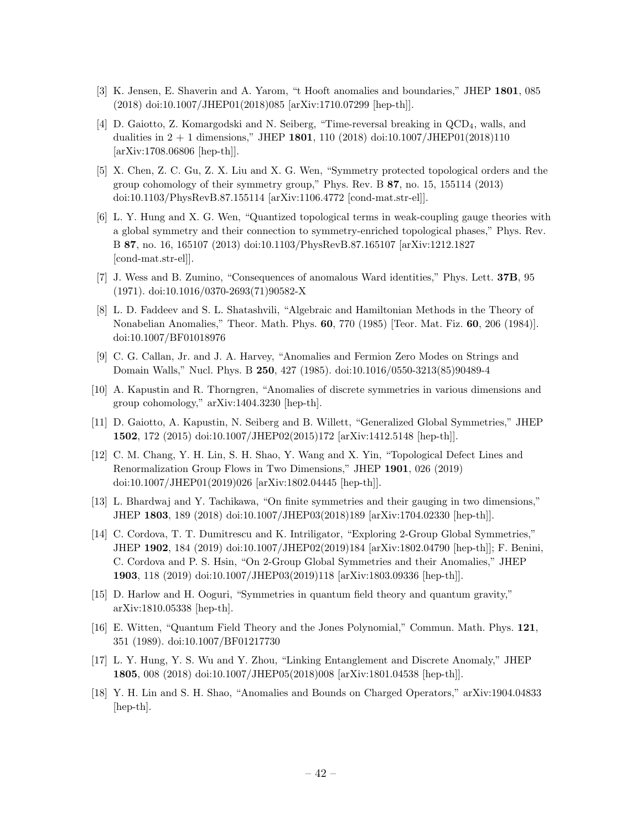- <span id="page-43-0"></span>[3] K. Jensen, E. Shaverin and A. Yarom, "t Hooft anomalies and boundaries," JHEP 1801, 085 (2018) doi:10.1007/JHEP01(2018)085 [arXiv:1710.07299 [hep-th]].
- <span id="page-43-1"></span>[4] D. Gaiotto, Z. Komargodski and N. Seiberg, "Time-reversal breaking in QCD4, walls, and dualities in  $2 + 1$  dimensions," JHEP 1801, 110 (2018) doi:10.1007/JHEP01(2018)110 [arXiv:1708.06806 [hep-th]].
- <span id="page-43-2"></span>[5] X. Chen, Z. C. Gu, Z. X. Liu and X. G. Wen, "Symmetry protected topological orders and the group cohomology of their symmetry group," Phys. Rev. B 87, no. 15, 155114 (2013) doi:10.1103/PhysRevB.87.155114 [arXiv:1106.4772 [cond-mat.str-el]].
- <span id="page-43-3"></span>[6] L. Y. Hung and X. G. Wen, "Quantized topological terms in weak-coupling gauge theories with a global symmetry and their connection to symmetry-enriched topological phases," Phys. Rev. B 87, no. 16, 165107 (2013) doi:10.1103/PhysRevB.87.165107 [arXiv:1212.1827 [cond-mat.str-el]].
- <span id="page-43-4"></span>[7] J. Wess and B. Zumino, "Consequences of anomalous Ward identities," Phys. Lett. 37B, 95 (1971). doi:10.1016/0370-2693(71)90582-X
- <span id="page-43-5"></span>[8] L. D. Faddeev and S. L. Shatashvili, "Algebraic and Hamiltonian Methods in the Theory of Nonabelian Anomalies," Theor. Math. Phys. 60, 770 (1985) [Teor. Mat. Fiz. 60, 206 (1984)]. doi:10.1007/BF01018976
- <span id="page-43-6"></span>[9] C. G. Callan, Jr. and J. A. Harvey, "Anomalies and Fermion Zero Modes on Strings and Domain Walls," Nucl. Phys. B 250, 427 (1985). doi:10.1016/0550-3213(85)90489-4
- <span id="page-43-8"></span>[10] A. Kapustin and R. Thorngren, "Anomalies of discrete symmetries in various dimensions and group cohomology," arXiv:1404.3230 [hep-th].
- <span id="page-43-7"></span>[11] D. Gaiotto, A. Kapustin, N. Seiberg and B. Willett, "Generalized Global Symmetries," JHEP 1502, 172 (2015) doi:10.1007/JHEP02(2015)172 [arXiv:1412.5148 [hep-th]].
- <span id="page-43-9"></span>[12] C. M. Chang, Y. H. Lin, S. H. Shao, Y. Wang and X. Yin, "Topological Defect Lines and Renormalization Group Flows in Two Dimensions," JHEP 1901, 026 (2019) doi:10.1007/JHEP01(2019)026 [arXiv:1802.04445 [hep-th]].
- <span id="page-43-13"></span>[13] L. Bhardwaj and Y. Tachikawa, "On finite symmetries and their gauging in two dimensions," JHEP 1803, 189 (2018) doi:10.1007/JHEP03(2018)189 [arXiv:1704.02330 [hep-th]].
- [14] C. Cordova, T. T. Dumitrescu and K. Intriligator, "Exploring 2-Group Global Symmetries," JHEP 1902, 184 (2019) doi:10.1007/JHEP02(2019)184 [arXiv:1802.04790 [hep-th]]; F. Benini, C. Cordova and P. S. Hsin, "On 2-Group Global Symmetries and their Anomalies," JHEP 1903, 118 (2019) doi:10.1007/JHEP03(2019)118 [arXiv:1803.09336 [hep-th]].
- <span id="page-43-10"></span>[15] D. Harlow and H. Ooguri, "Symmetries in quantum field theory and quantum gravity," arXiv:1810.05338 [hep-th].
- [16] E. Witten, "Quantum Field Theory and the Jones Polynomial," Commun. Math. Phys. 121, 351 (1989). doi:10.1007/BF01217730
- <span id="page-43-11"></span>[17] L. Y. Hung, Y. S. Wu and Y. Zhou, "Linking Entanglement and Discrete Anomaly," JHEP 1805, 008 (2018) doi:10.1007/JHEP05(2018)008 [arXiv:1801.04538 [hep-th]].
- <span id="page-43-12"></span>[18] Y. H. Lin and S. H. Shao, "Anomalies and Bounds on Charged Operators," arXiv:1904.04833 [hep-th].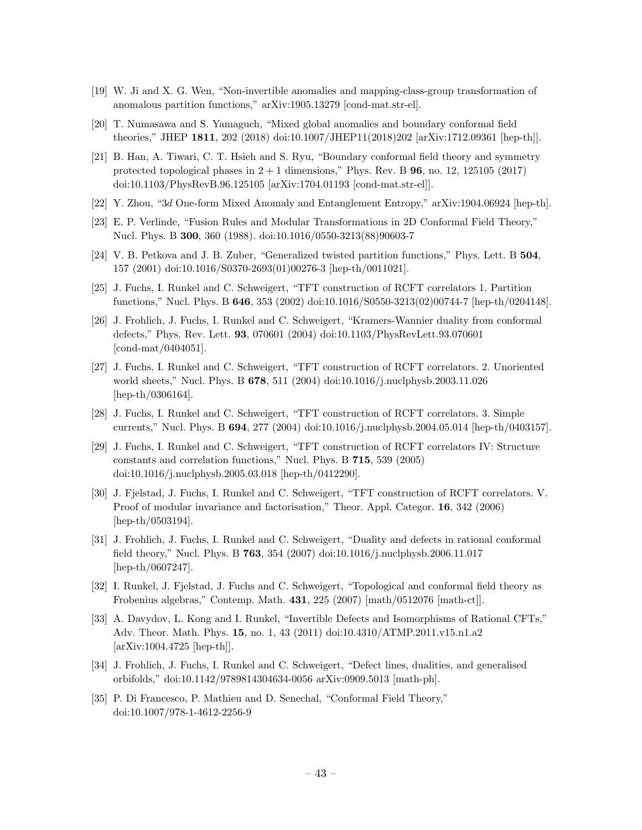- <span id="page-44-3"></span>[19] W. Ji and X. G. Wen, "Non-invertible anomalies and mapping-class-group transformation of anomalous partition functions," arXiv:1905.13279 [cond-mat.str-el].
- <span id="page-44-1"></span>[20] T. Numasawa and S. Yamaguch, "Mixed global anomalies and boundary conformal field theories," JHEP 1811, 202 (2018) doi:10.1007/JHEP11(2018)202 [arXiv:1712.09361 [hep-th]].
- <span id="page-44-2"></span>[21] B. Han, A. Tiwari, C. T. Hsieh and S. Ryu, "Boundary conformal field theory and symmetry protected topological phases in  $2 + 1$  dimensions," Phys. Rev. B **96**, no. 12, 125105 (2017) doi:10.1103/PhysRevB.96.125105 [arXiv:1704.01193 [cond-mat.str-el]].
- <span id="page-44-0"></span>[22] Y. Zhou, "3d One-form Mixed Anomaly and Entanglement Entropy," arXiv:1904.06924 [hep-th].
- <span id="page-44-4"></span>[23] E. P. Verlinde, "Fusion Rules and Modular Transformations in 2D Conformal Field Theory," Nucl. Phys. B 300, 360 (1988). doi:10.1016/0550-3213(88)90603-7
- [24] V. B. Petkova and J. B. Zuber, "Generalized twisted partition functions," Phys. Lett. B 504, 157 (2001) doi:10.1016/S0370-2693(01)00276-3 [hep-th/0011021].
- [25] J. Fuchs, I. Runkel and C. Schweigert, "TFT construction of RCFT correlators 1. Partition functions," Nucl. Phys. B 646, 353 (2002) doi:10.1016/S0550-3213(02)00744-7 [hep-th/0204148].
- [26] J. Frohlich, J. Fuchs, I. Runkel and C. Schweigert, "Kramers-Wannier duality from conformal defects," Phys. Rev. Lett. 93, 070601 (2004) doi:10.1103/PhysRevLett.93.070601 [cond-mat/0404051].
- [27] J. Fuchs, I. Runkel and C. Schweigert, "TFT construction of RCFT correlators. 2. Unoriented world sheets," Nucl. Phys. B 678, 511 (2004) doi:10.1016/j.nuclphysb.2003.11.026 [hep-th/0306164].
- [28] J. Fuchs, I. Runkel and C. Schweigert, "TFT construction of RCFT correlators. 3. Simple currents," Nucl. Phys. B 694, 277 (2004) doi:10.1016/j.nuclphysb.2004.05.014 [hep-th/0403157].
- [29] J. Fuchs, I. Runkel and C. Schweigert, "TFT construction of RCFT correlators IV: Structure constants and correlation functions," Nucl. Phys. B 715, 539 (2005) doi:10.1016/j.nuclphysb.2005.03.018 [hep-th/0412290].
- [30] J. Fjelstad, J. Fuchs, I. Runkel and C. Schweigert, "TFT construction of RCFT correlators. V. Proof of modular invariance and factorisation," Theor. Appl. Categor. 16, 342 (2006) [hep-th/0503194].
- [31] J. Frohlich, J. Fuchs, I. Runkel and C. Schweigert, "Duality and defects in rational conformal field theory," Nucl. Phys. B 763, 354 (2007) doi:10.1016/j.nuclphysb.2006.11.017 [hep-th/0607247].
- [32] I. Runkel, J. Fjelstad, J. Fuchs and C. Schweigert, "Topological and conformal field theory as Frobenius algebras," Contemp. Math. 431, 225 (2007) [math/0512076 [math-ct]].
- [33] A. Davydov, L. Kong and I. Runkel, "Invertible Defects and Isomorphisms of Rational CFTs," Adv. Theor. Math. Phys. 15, no. 1, 43 (2011) doi:10.4310/ATMP.2011.v15.n1.a2 [arXiv:1004.4725 [hep-th]].
- <span id="page-44-5"></span>[34] J. Frohlich, J. Fuchs, I. Runkel and C. Schweigert, "Defect lines, dualities, and generalised orbifolds," doi:10.1142/9789814304634-0056 arXiv:0909.5013 [math-ph].
- <span id="page-44-6"></span>[35] P. Di Francesco, P. Mathieu and D. Senechal, "Conformal Field Theory," doi:10.1007/978-1-4612-2256-9